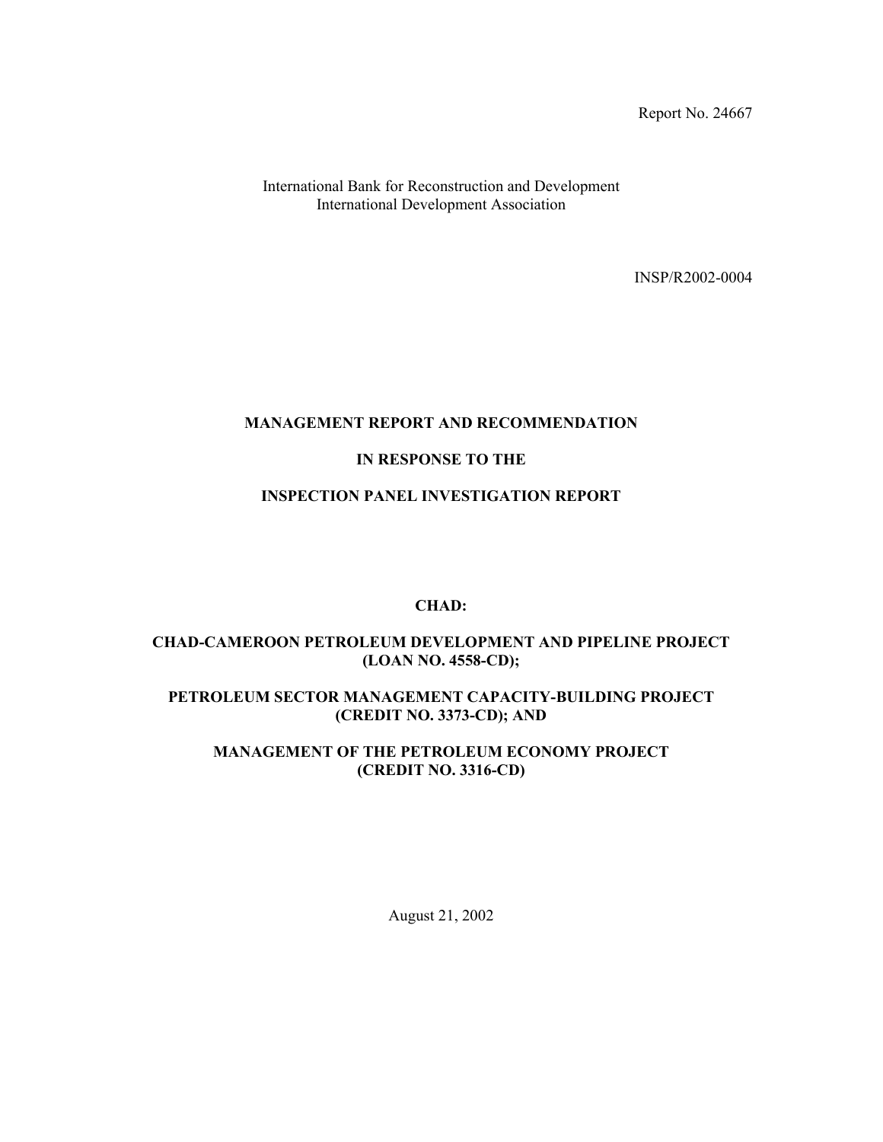Report No. 24667

International Bank for Reconstruction and Development International Development Association

INSP/R2002-0004

# **MANAGEMENT REPORT AND RECOMMENDATION**

# **IN RESPONSE TO THE**

### **INSPECTION PANEL INVESTIGATION REPORT**

### **CHAD:**

# **CHAD-CAMEROON PETROLEUM DEVELOPMENT AND PIPELINE PROJECT (LOAN NO. 4558-CD);**

### **PETROLEUM SECTOR MANAGEMENT CAPACITY-BUILDING PROJECT (CREDIT NO. 3373-CD); AND**

# **MANAGEMENT OF THE PETROLEUM ECONOMY PROJECT (CREDIT NO. 3316-CD)**

August 21, 2002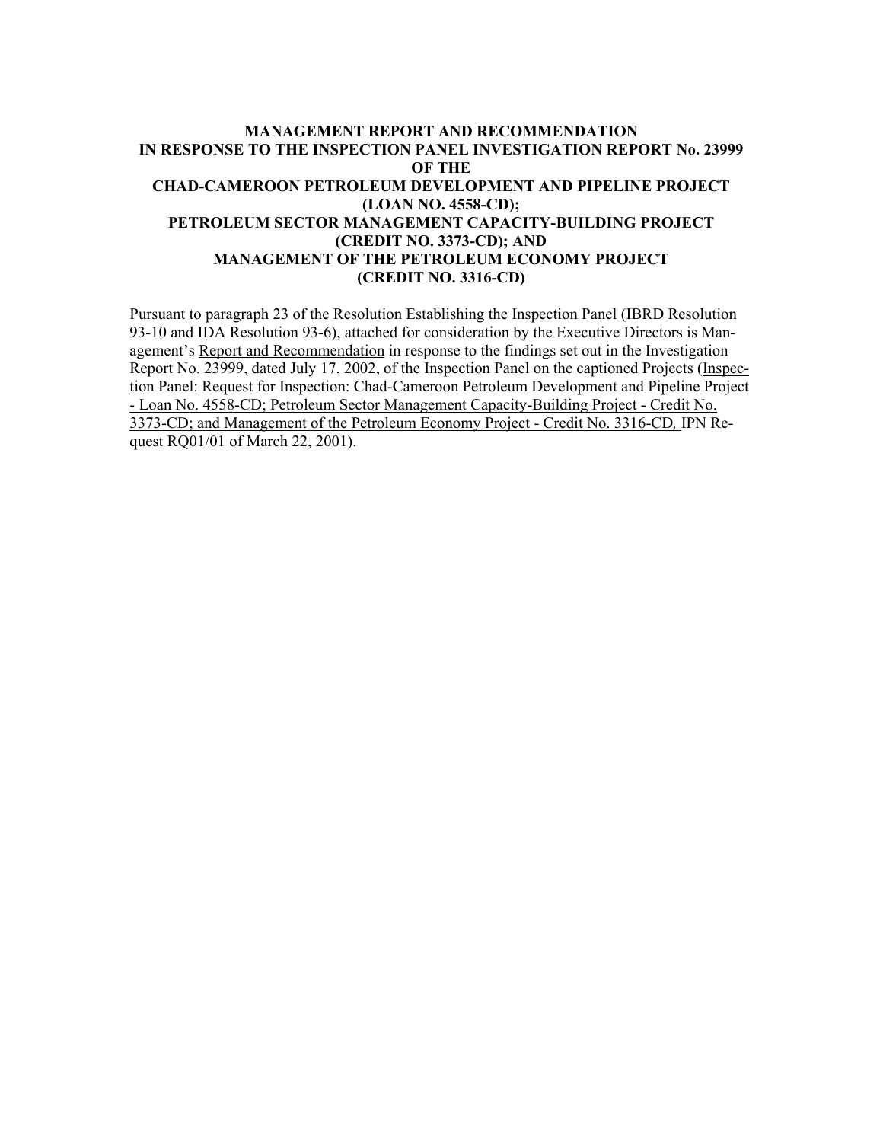# **MANAGEMENT REPORT AND RECOMMENDATION IN RESPONSE TO THE INSPECTION PANEL INVESTIGATION REPORT No. 23999 OF THE CHAD-CAMEROON PETROLEUM DEVELOPMENT AND PIPELINE PROJECT (LOAN NO. 4558-CD); PETROLEUM SECTOR MANAGEMENT CAPACITY-BUILDING PROJECT (CREDIT NO. 3373-CD); AND MANAGEMENT OF THE PETROLEUM ECONOMY PROJECT (CREDIT NO. 3316-CD)**

Pursuant to paragraph 23 of the Resolution Establishing the Inspection Panel (IBRD Resolution 93-10 and IDA Resolution 93-6), attached for consideration by the Executive Directors is Management's Report and Recommendation in response to the findings set out in the Investigation Report No. 23999, dated July 17, 2002, of the Inspection Panel on the captioned Projects (Inspection Panel: Request for Inspection: Chad-Cameroon Petroleum Development and Pipeline Project - Loan No. 4558-CD; Petroleum Sector Management Capacity-Building Project - Credit No. 3373-CD; and Management of the Petroleum Economy Project - Credit No. 3316-CD*,* IPN Request RQ01/01 of March 22, 2001).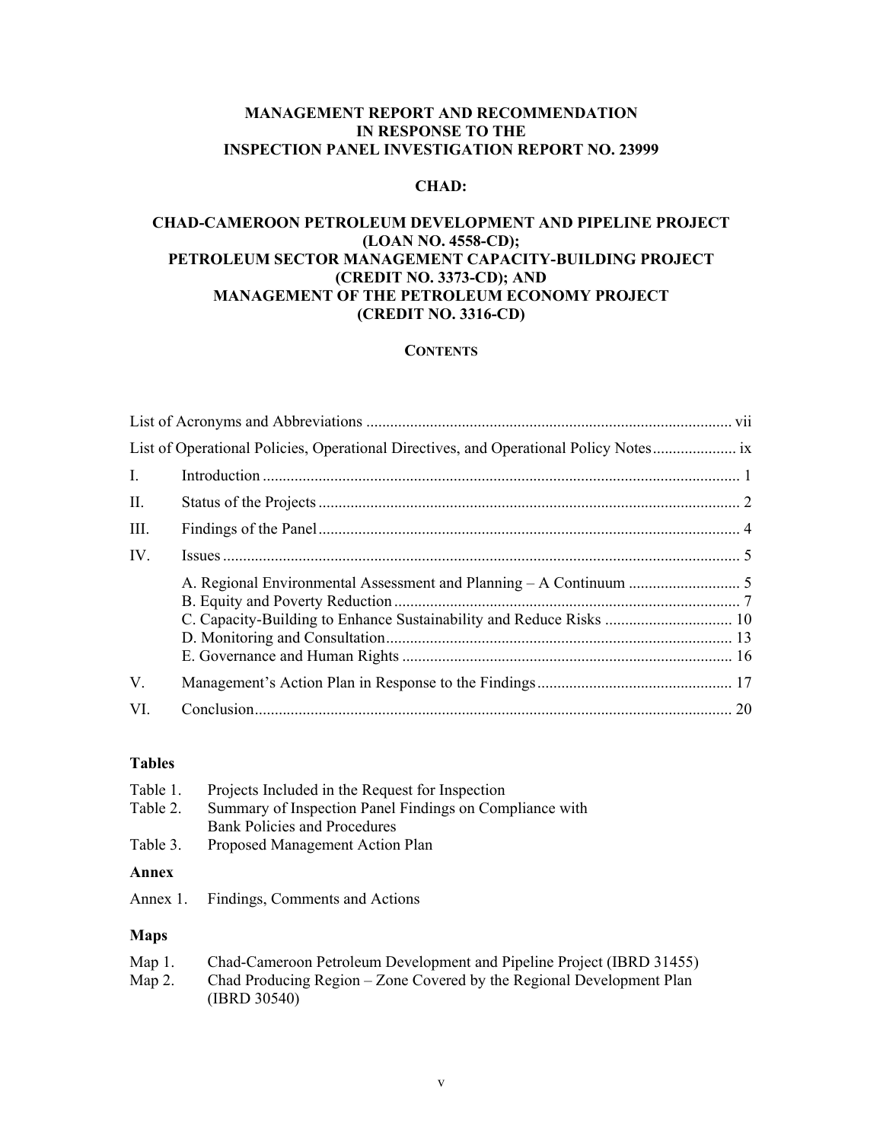# **MANAGEMENT REPORT AND RECOMMENDATION IN RESPONSE TO THE INSPECTION PANEL INVESTIGATION REPORT NO. 23999**

# **CHAD:**

# **CHAD-CAMEROON PETROLEUM DEVELOPMENT AND PIPELINE PROJECT (LOAN NO. 4558-CD); PETROLEUM SECTOR MANAGEMENT CAPACITY-BUILDING PROJECT (CREDIT NO. 3373-CD); AND MANAGEMENT OF THE PETROLEUM ECONOMY PROJECT (CREDIT NO. 3316-CD)**

#### **CONTENTS**

| $\mathbf{I}$ . |                                                                     |  |
|----------------|---------------------------------------------------------------------|--|
| II.            |                                                                     |  |
| III.           |                                                                     |  |
| IV.            |                                                                     |  |
|                | C. Capacity-Building to Enhance Sustainability and Reduce Risks  10 |  |
| V.             |                                                                     |  |
| VI.            |                                                                     |  |

### **Tables**

| Table 1.<br>Table 2. | Projects Included in the Request for Inspection<br>Summary of Inspection Panel Findings on Compliance with<br><b>Bank Policies and Procedures</b> |
|----------------------|---------------------------------------------------------------------------------------------------------------------------------------------------|
| Table 3.             | Proposed Management Action Plan                                                                                                                   |
| Annex                |                                                                                                                                                   |
| Annex 1.             | Findings, Comments and Actions                                                                                                                    |
|                      |                                                                                                                                                   |
| Maps                 |                                                                                                                                                   |

| Map $1$ . | Chad-Cameroon Petroleum Development and Pipeline Project (IBRD 31455) |
|-----------|-----------------------------------------------------------------------|
| Map 2.    | Chad Producing Region – Zone Covered by the Regional Development Plan |
|           | (IBRD 30540)                                                          |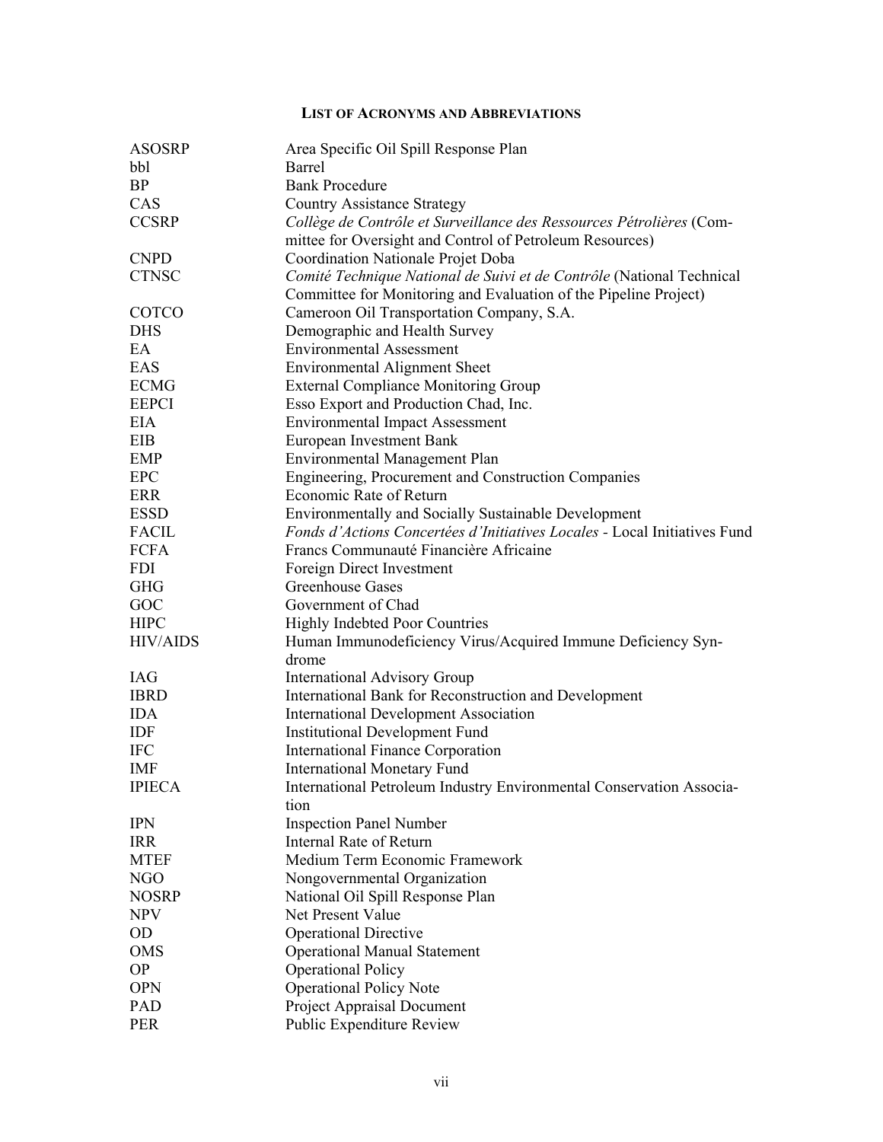### **LIST OF ACRONYMS AND ABBREVIATIONS**

| <b>ASOSRP</b>   | Area Specific Oil Spill Response Plan                                                                                            |  |  |
|-----------------|----------------------------------------------------------------------------------------------------------------------------------|--|--|
| bbl             | Barrel                                                                                                                           |  |  |
| <b>BP</b>       | <b>Bank Procedure</b>                                                                                                            |  |  |
| CAS             | <b>Country Assistance Strategy</b>                                                                                               |  |  |
| <b>CCSRP</b>    | Collège de Contrôle et Surveillance des Ressources Pétrolières (Com-<br>mittee for Oversight and Control of Petroleum Resources) |  |  |
| <b>CNPD</b>     | Coordination Nationale Projet Doba                                                                                               |  |  |
| <b>CTNSC</b>    | Comité Technique National de Suivi et de Contrôle (National Technical                                                            |  |  |
|                 | Committee for Monitoring and Evaluation of the Pipeline Project)                                                                 |  |  |
| COTCO           | Cameroon Oil Transportation Company, S.A.                                                                                        |  |  |
| <b>DHS</b>      | Demographic and Health Survey                                                                                                    |  |  |
| EA              | <b>Environmental Assessment</b>                                                                                                  |  |  |
| EAS             | <b>Environmental Alignment Sheet</b>                                                                                             |  |  |
| <b>ECMG</b>     | <b>External Compliance Monitoring Group</b>                                                                                      |  |  |
| <b>EEPCI</b>    | Esso Export and Production Chad, Inc.                                                                                            |  |  |
| EIA             | <b>Environmental Impact Assessment</b>                                                                                           |  |  |
| EIB             | <b>European Investment Bank</b>                                                                                                  |  |  |
| <b>EMP</b>      | <b>Environmental Management Plan</b>                                                                                             |  |  |
| <b>EPC</b>      | Engineering, Procurement and Construction Companies                                                                              |  |  |
| ERR             | Economic Rate of Return                                                                                                          |  |  |
| <b>ESSD</b>     | Environmentally and Socially Sustainable Development                                                                             |  |  |
| <b>FACIL</b>    | Fonds d'Actions Concertées d'Initiatives Locales - Local Initiatives Fund                                                        |  |  |
| <b>FCFA</b>     | Francs Communauté Financière Africaine                                                                                           |  |  |
| <b>FDI</b>      | Foreign Direct Investment                                                                                                        |  |  |
| <b>GHG</b>      | Greenhouse Gases                                                                                                                 |  |  |
| GOC             | Government of Chad                                                                                                               |  |  |
| <b>HIPC</b>     | <b>Highly Indebted Poor Countries</b>                                                                                            |  |  |
| <b>HIV/AIDS</b> | Human Immunodeficiency Virus/Acquired Immune Deficiency Syn-                                                                     |  |  |
|                 | drome                                                                                                                            |  |  |
| <b>IAG</b>      | <b>International Advisory Group</b>                                                                                              |  |  |
| <b>IBRD</b>     | International Bank for Reconstruction and Development                                                                            |  |  |
| <b>IDA</b>      | <b>International Development Association</b>                                                                                     |  |  |
| IDF             | <b>Institutional Development Fund</b>                                                                                            |  |  |
| <b>IFC</b>      | <b>International Finance Corporation</b>                                                                                         |  |  |
| <b>IMF</b>      | <b>International Monetary Fund</b>                                                                                               |  |  |
| <b>IPIECA</b>   | International Petroleum Industry Environmental Conservation Associa-<br>tion                                                     |  |  |
| <b>IPN</b>      | <b>Inspection Panel Number</b>                                                                                                   |  |  |
| <b>IRR</b>      | <b>Internal Rate of Return</b>                                                                                                   |  |  |
| <b>MTEF</b>     | Medium Term Economic Framework                                                                                                   |  |  |
| NGO             | Nongovernmental Organization                                                                                                     |  |  |
| <b>NOSRP</b>    | National Oil Spill Response Plan                                                                                                 |  |  |
| <b>NPV</b>      | Net Present Value                                                                                                                |  |  |
| <b>OD</b>       | <b>Operational Directive</b>                                                                                                     |  |  |
| <b>OMS</b>      | <b>Operational Manual Statement</b>                                                                                              |  |  |
| <b>OP</b>       | <b>Operational Policy</b>                                                                                                        |  |  |
| <b>OPN</b>      | <b>Operational Policy Note</b>                                                                                                   |  |  |
| PAD             | <b>Project Appraisal Document</b>                                                                                                |  |  |
| <b>PER</b>      | Public Expenditure Review                                                                                                        |  |  |
|                 |                                                                                                                                  |  |  |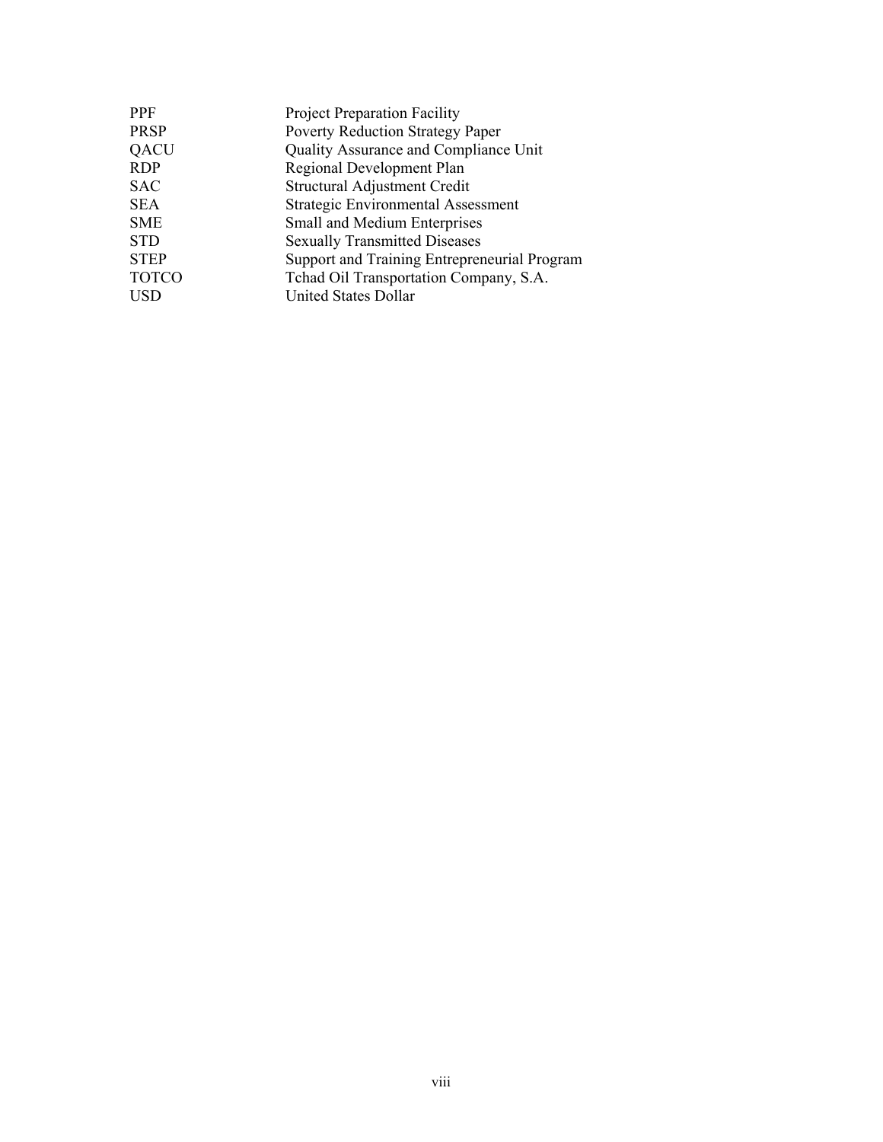| PPF          | <b>Project Preparation Facility</b>          |
|--------------|----------------------------------------------|
| PRSP         | <b>Poverty Reduction Strategy Paper</b>      |
| QACU         | Quality Assurance and Compliance Unit        |
| RDP          | Regional Development Plan                    |
| SAC          | Structural Adjustment Credit                 |
| SEA          | Strategic Environmental Assessment           |
| SME          | Small and Medium Enterprises                 |
| STD          | <b>Sexually Transmitted Diseases</b>         |
| <b>STEP</b>  | Support and Training Entrepreneurial Program |
| <b>TOTCO</b> | Tchad Oil Transportation Company, S.A.       |
| USD          | United States Dollar                         |
|              |                                              |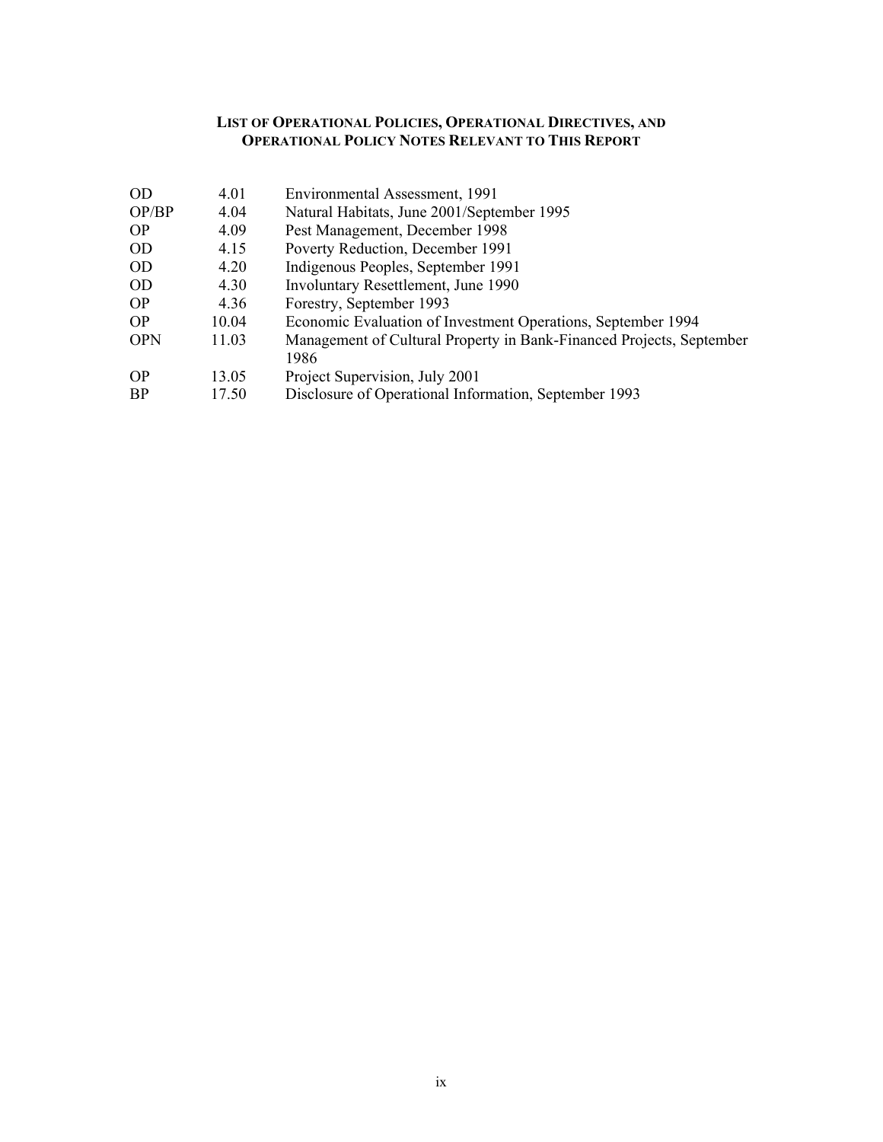#### **LIST OF OPERATIONAL POLICIES, OPERATIONAL DIRECTIVES, AND OPERATIONAL POLICY NOTES RELEVANT TO THIS REPORT**

| <b>OD</b>  | 4.01  | Environmental Assessment, 1991                                               |
|------------|-------|------------------------------------------------------------------------------|
| OP/BP      | 4.04  | Natural Habitats, June 2001/September 1995                                   |
| <b>OP</b>  | 4.09  | Pest Management, December 1998                                               |
| OD         | 4.15  | Poverty Reduction, December 1991                                             |
| OD         | 4.20  | Indigenous Peoples, September 1991                                           |
| OD         | 4.30  | Involuntary Resettlement, June 1990                                          |
| <b>OP</b>  | 4.36  | Forestry, September 1993                                                     |
| <b>OP</b>  | 10.04 | Economic Evaluation of Investment Operations, September 1994                 |
| <b>OPN</b> | 11.03 | Management of Cultural Property in Bank-Financed Projects, September<br>1986 |
| <b>OP</b>  | 13.05 | Project Supervision, July 2001                                               |
| BP         | 17.50 | Disclosure of Operational Information, September 1993                        |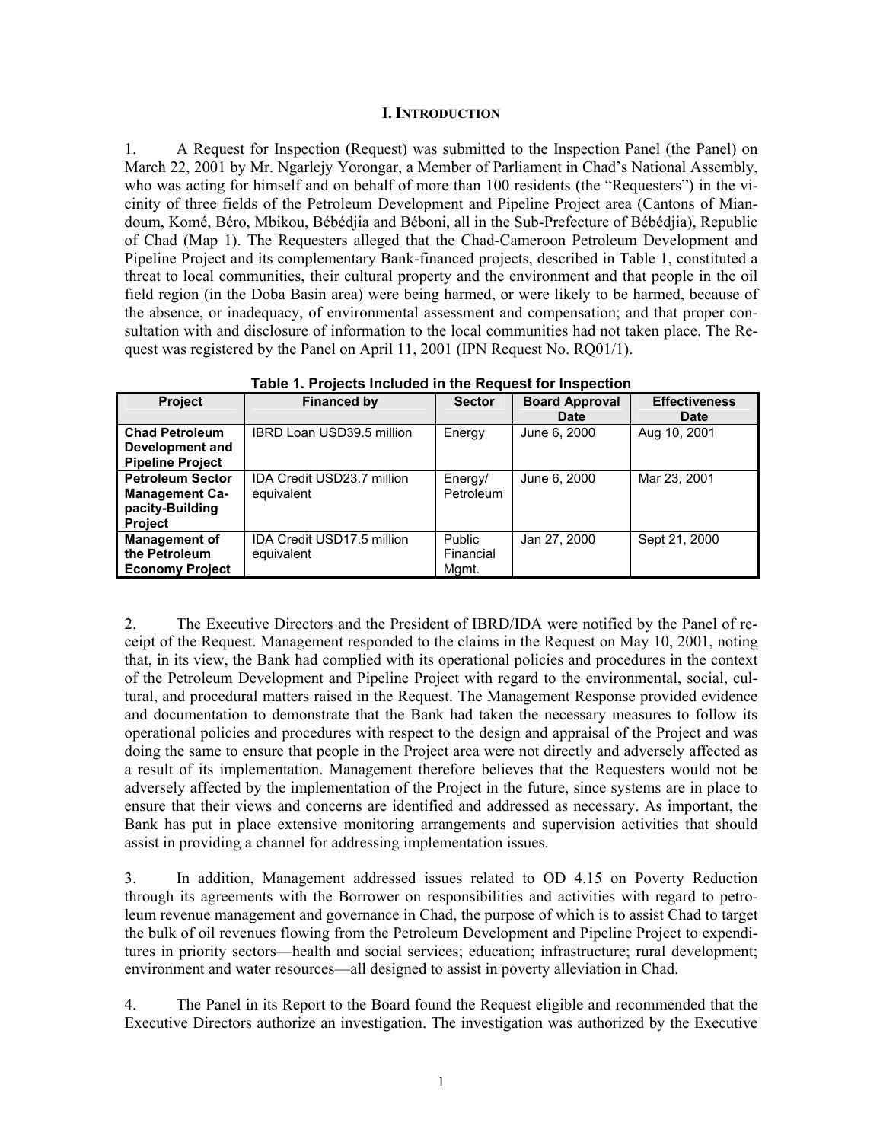#### **I. INTRODUCTION**

1. A Request for Inspection (Request) was submitted to the Inspection Panel (the Panel) on March 22, 2001 by Mr. Ngarlejy Yorongar, a Member of Parliament in Chad's National Assembly, who was acting for himself and on behalf of more than 100 residents (the "Requesters") in the vicinity of three fields of the Petroleum Development and Pipeline Project area (Cantons of Miandoum, Komé, Béro, Mbikou, Bébédjia and Béboni, all in the Sub-Prefecture of Bébédjia), Republic of Chad (Map 1). The Requesters alleged that the Chad-Cameroon Petroleum Development and Pipeline Project and its complementary Bank-financed projects, described in Table 1, constituted a threat to local communities, their cultural property and the environment and that people in the oil field region (in the Doba Basin area) were being harmed, or were likely to be harmed, because of the absence, or inadequacy, of environmental assessment and compensation; and that proper consultation with and disclosure of information to the local communities had not taken place. The Request was registered by the Panel on April 11, 2001 (IPN Request No. RQ01/1).

| <b>Project</b>                                                                        | <b>Financed by</b>                       | <b>Sector</b>                | <b>Board Approval</b> | <b>Effectiveness</b> |
|---------------------------------------------------------------------------------------|------------------------------------------|------------------------------|-----------------------|----------------------|
|                                                                                       |                                          |                              | <b>Date</b>           | <b>Date</b>          |
| <b>Chad Petroleum</b><br>Development and<br><b>Pipeline Project</b>                   | IBRD Loan USD39.5 million                | Energy                       | June 6, 2000          | Aug 10, 2001         |
| <b>Petroleum Sector</b><br><b>Management Ca-</b><br>pacity-Building<br><b>Project</b> | IDA Credit USD23.7 million<br>equivalent | Energy/<br>Petroleum         | June 6, 2000          | Mar 23, 2001         |
| <b>Management of</b><br>the Petroleum<br><b>Economy Project</b>                       | IDA Credit USD17.5 million<br>equivalent | Public<br>Financial<br>Mgmt. | Jan 27, 2000          | Sept 21, 2000        |

**Table 1. Projects Included in the Request for Inspection** 

2. The Executive Directors and the President of IBRD/IDA were notified by the Panel of receipt of the Request. Management responded to the claims in the Request on May 10, 2001, noting that, in its view, the Bank had complied with its operational policies and procedures in the context of the Petroleum Development and Pipeline Project with regard to the environmental, social, cultural, and procedural matters raised in the Request. The Management Response provided evidence and documentation to demonstrate that the Bank had taken the necessary measures to follow its operational policies and procedures with respect to the design and appraisal of the Project and was doing the same to ensure that people in the Project area were not directly and adversely affected as a result of its implementation. Management therefore believes that the Requesters would not be adversely affected by the implementation of the Project in the future, since systems are in place to ensure that their views and concerns are identified and addressed as necessary. As important, the Bank has put in place extensive monitoring arrangements and supervision activities that should assist in providing a channel for addressing implementation issues.

3. In addition, Management addressed issues related to OD 4.15 on Poverty Reduction through its agreements with the Borrower on responsibilities and activities with regard to petroleum revenue management and governance in Chad, the purpose of which is to assist Chad to target the bulk of oil revenues flowing from the Petroleum Development and Pipeline Project to expenditures in priority sectors—health and social services; education; infrastructure; rural development; environment and water resources—all designed to assist in poverty alleviation in Chad.

4. The Panel in its Report to the Board found the Request eligible and recommended that the Executive Directors authorize an investigation. The investigation was authorized by the Executive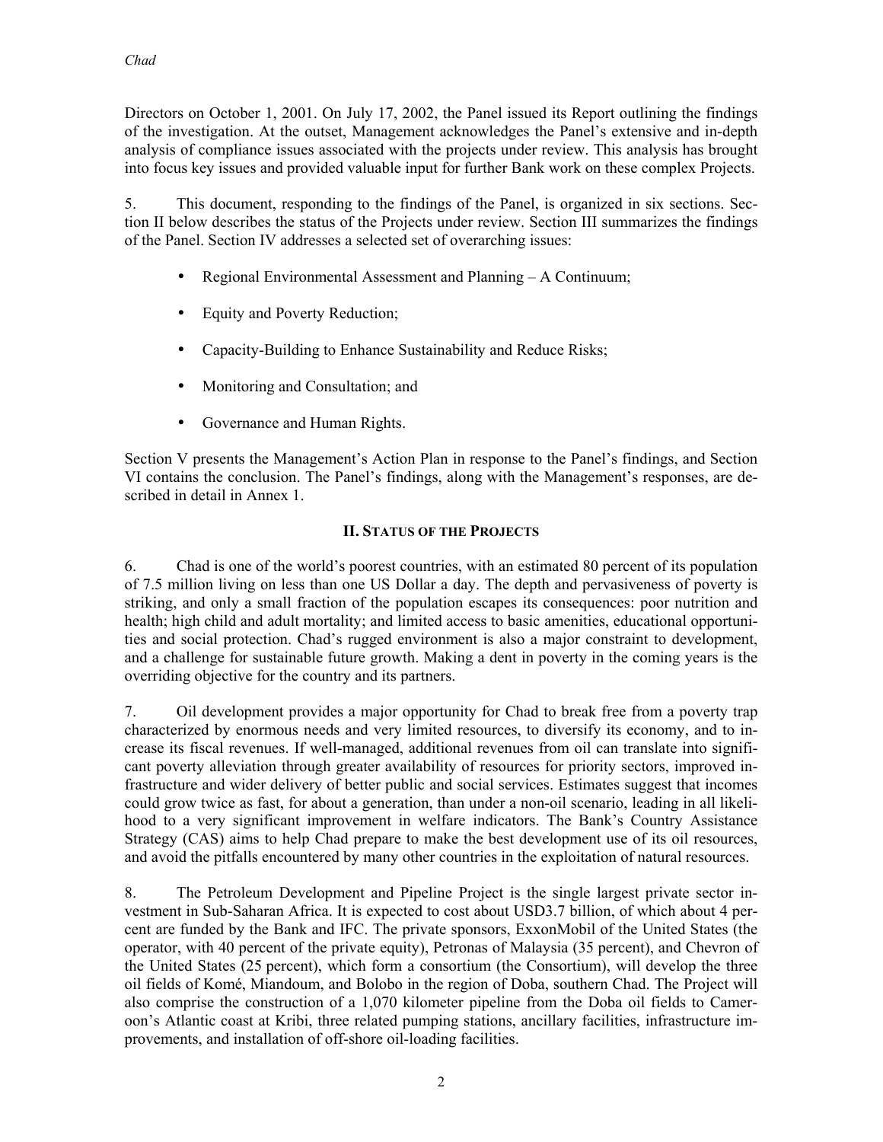Directors on October 1, 2001. On July 17, 2002, the Panel issued its Report outlining the findings of the investigation. At the outset, Management acknowledges the Panel's extensive and in-depth analysis of compliance issues associated with the projects under review. This analysis has brought into focus key issues and provided valuable input for further Bank work on these complex Projects.

5. This document, responding to the findings of the Panel, is organized in six sections. Section II below describes the status of the Projects under review. Section III summarizes the findings of the Panel. Section IV addresses a selected set of overarching issues:

- Regional Environmental Assessment and Planning A Continuum;
- Equity and Poverty Reduction;
- Capacity-Building to Enhance Sustainability and Reduce Risks;
- Monitoring and Consultation; and
- Governance and Human Rights.

Section V presents the Management's Action Plan in response to the Panel's findings, and Section VI contains the conclusion. The Panel's findings, along with the Management's responses, are described in detail in Annex 1.

# **II. STATUS OF THE PROJECTS**

6. Chad is one of the world's poorest countries, with an estimated 80 percent of its population of 7.5 million living on less than one US Dollar a day. The depth and pervasiveness of poverty is striking, and only a small fraction of the population escapes its consequences: poor nutrition and health; high child and adult mortality; and limited access to basic amenities, educational opportunities and social protection. Chad's rugged environment is also a major constraint to development, and a challenge for sustainable future growth. Making a dent in poverty in the coming years is the overriding objective for the country and its partners.

7. Oil development provides a major opportunity for Chad to break free from a poverty trap characterized by enormous needs and very limited resources, to diversify its economy, and to increase its fiscal revenues. If well-managed, additional revenues from oil can translate into significant poverty alleviation through greater availability of resources for priority sectors, improved infrastructure and wider delivery of better public and social services. Estimates suggest that incomes could grow twice as fast, for about a generation, than under a non-oil scenario, leading in all likelihood to a very significant improvement in welfare indicators. The Bank's Country Assistance Strategy (CAS) aims to help Chad prepare to make the best development use of its oil resources, and avoid the pitfalls encountered by many other countries in the exploitation of natural resources.

8. The Petroleum Development and Pipeline Project is the single largest private sector investment in Sub-Saharan Africa. It is expected to cost about USD3.7 billion, of which about 4 percent are funded by the Bank and IFC. The private sponsors, ExxonMobil of the United States (the operator, with 40 percent of the private equity), Petronas of Malaysia (35 percent), and Chevron of the United States (25 percent), which form a consortium (the Consortium), will develop the three oil fields of Komé, Miandoum, and Bolobo in the region of Doba, southern Chad. The Project will also comprise the construction of a 1,070 kilometer pipeline from the Doba oil fields to Cameroon's Atlantic coast at Kribi, three related pumping stations, ancillary facilities, infrastructure improvements, and installation of off-shore oil-loading facilities.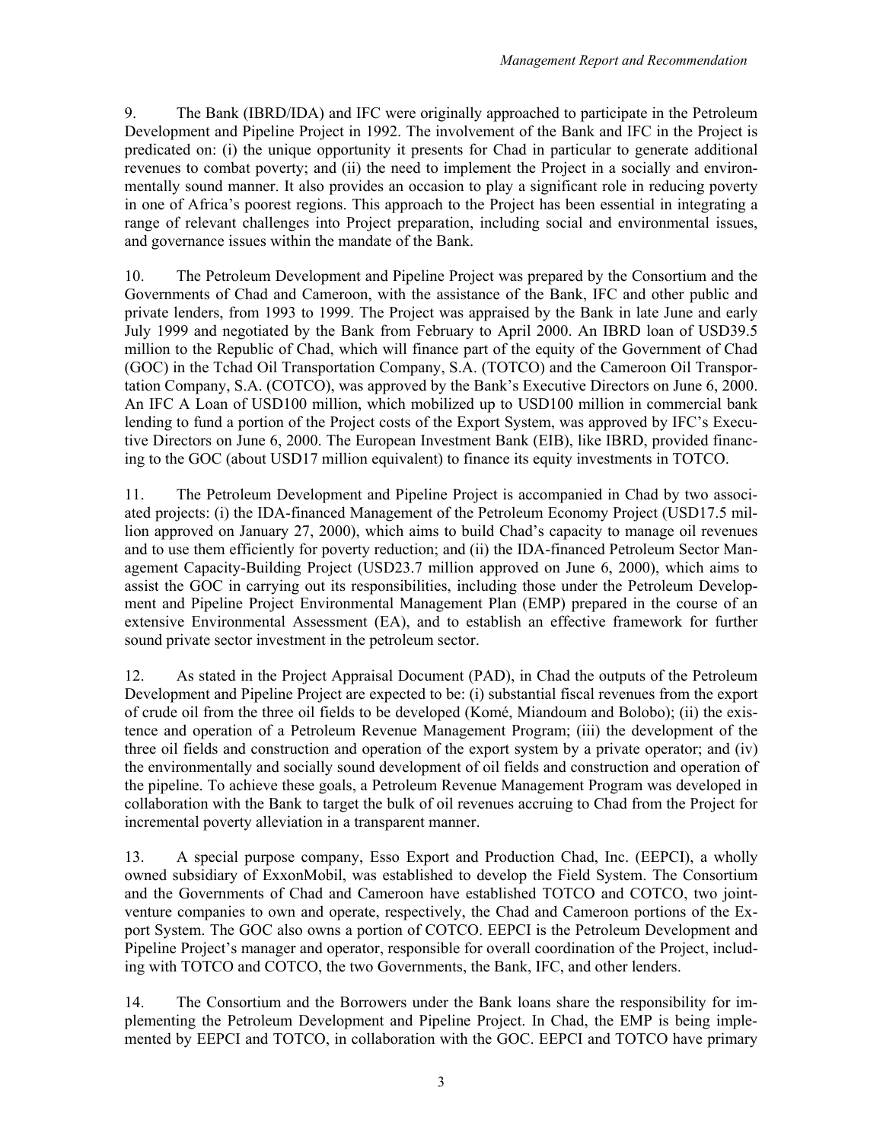9. The Bank (IBRD/IDA) and IFC were originally approached to participate in the Petroleum Development and Pipeline Project in 1992. The involvement of the Bank and IFC in the Project is predicated on: (i) the unique opportunity it presents for Chad in particular to generate additional revenues to combat poverty; and (ii) the need to implement the Project in a socially and environmentally sound manner. It also provides an occasion to play a significant role in reducing poverty in one of Africa's poorest regions. This approach to the Project has been essential in integrating a range of relevant challenges into Project preparation, including social and environmental issues, and governance issues within the mandate of the Bank.

10. The Petroleum Development and Pipeline Project was prepared by the Consortium and the Governments of Chad and Cameroon, with the assistance of the Bank, IFC and other public and private lenders, from 1993 to 1999. The Project was appraised by the Bank in late June and early July 1999 and negotiated by the Bank from February to April 2000. An IBRD loan of USD39.5 million to the Republic of Chad, which will finance part of the equity of the Government of Chad (GOC) in the Tchad Oil Transportation Company, S.A. (TOTCO) and the Cameroon Oil Transportation Company, S.A. (COTCO), was approved by the Bank's Executive Directors on June 6, 2000. An IFC A Loan of USD100 million, which mobilized up to USD100 million in commercial bank lending to fund a portion of the Project costs of the Export System, was approved by IFC's Executive Directors on June 6, 2000. The European Investment Bank (EIB), like IBRD, provided financing to the GOC (about USD17 million equivalent) to finance its equity investments in TOTCO.

11. The Petroleum Development and Pipeline Project is accompanied in Chad by two associated projects: (i) the IDA-financed Management of the Petroleum Economy Project (USD17.5 million approved on January 27, 2000), which aims to build Chad's capacity to manage oil revenues and to use them efficiently for poverty reduction; and (ii) the IDA-financed Petroleum Sector Management Capacity-Building Project (USD23.7 million approved on June 6, 2000), which aims to assist the GOC in carrying out its responsibilities, including those under the Petroleum Development and Pipeline Project Environmental Management Plan (EMP) prepared in the course of an extensive Environmental Assessment (EA), and to establish an effective framework for further sound private sector investment in the petroleum sector.

12. As stated in the Project Appraisal Document (PAD), in Chad the outputs of the Petroleum Development and Pipeline Project are expected to be: (i) substantial fiscal revenues from the export of crude oil from the three oil fields to be developed (Komé, Miandoum and Bolobo); (ii) the existence and operation of a Petroleum Revenue Management Program; (iii) the development of the three oil fields and construction and operation of the export system by a private operator; and (iv) the environmentally and socially sound development of oil fields and construction and operation of the pipeline. To achieve these goals, a Petroleum Revenue Management Program was developed in collaboration with the Bank to target the bulk of oil revenues accruing to Chad from the Project for incremental poverty alleviation in a transparent manner.

13. A special purpose company, Esso Export and Production Chad, Inc. (EEPCI), a wholly owned subsidiary of ExxonMobil, was established to develop the Field System. The Consortium and the Governments of Chad and Cameroon have established TOTCO and COTCO, two jointventure companies to own and operate, respectively, the Chad and Cameroon portions of the Export System. The GOC also owns a portion of COTCO. EEPCI is the Petroleum Development and Pipeline Project's manager and operator, responsible for overall coordination of the Project, including with TOTCO and COTCO, the two Governments, the Bank, IFC, and other lenders.

14. The Consortium and the Borrowers under the Bank loans share the responsibility for implementing the Petroleum Development and Pipeline Project. In Chad, the EMP is being implemented by EEPCI and TOTCO, in collaboration with the GOC. EEPCI and TOTCO have primary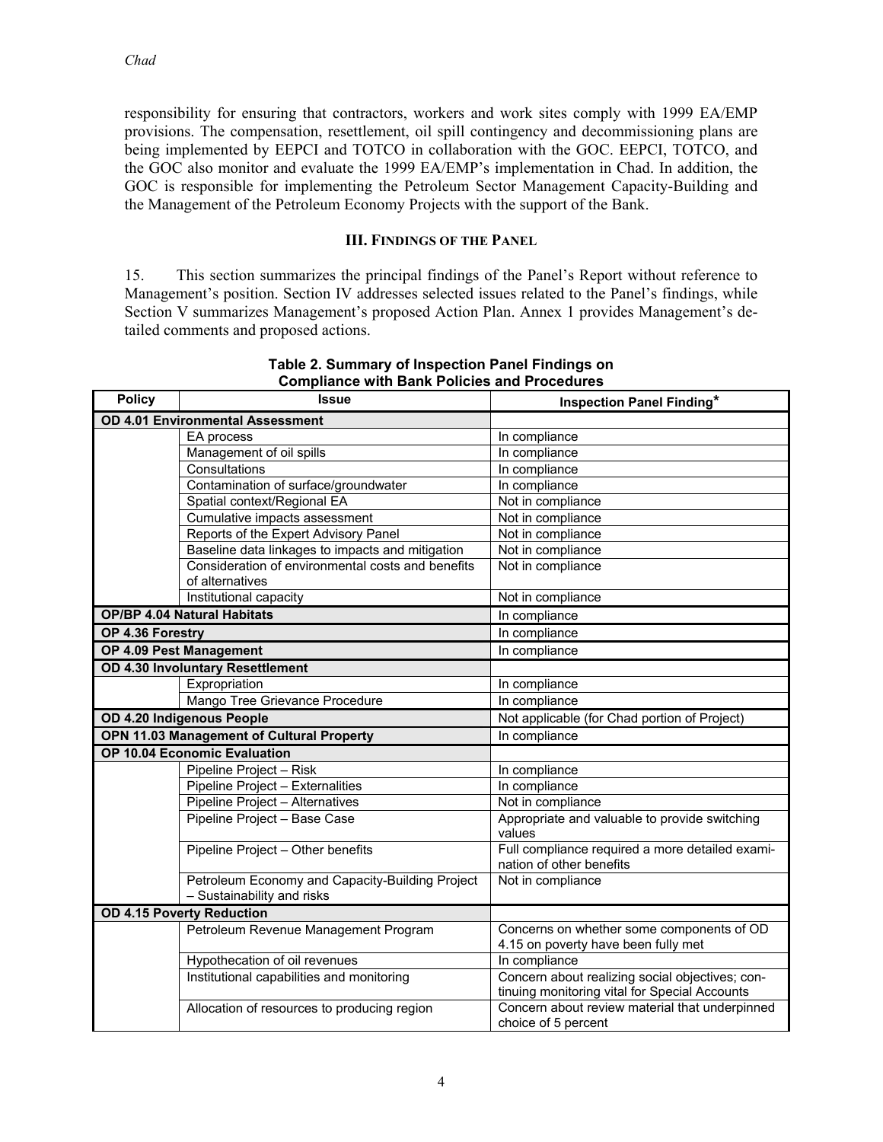responsibility for ensuring that contractors, workers and work sites comply with 1999 EA/EMP provisions. The compensation, resettlement, oil spill contingency and decommissioning plans are being implemented by EEPCI and TOTCO in collaboration with the GOC. EEPCI, TOTCO, and the GOC also monitor and evaluate the 1999 EA/EMP's implementation in Chad. In addition, the GOC is responsible for implementing the Petroleum Sector Management Capacity-Building and the Management of the Petroleum Economy Projects with the support of the Bank.

### **III. FINDINGS OF THE PANEL**

15. This section summarizes the principal findings of the Panel's Report without reference to Management's position. Section IV addresses selected issues related to the Panel's findings, while Section V summarizes Management's proposed Action Plan. Annex 1 provides Management's detailed comments and proposed actions.

| <b>Policy</b>                                    | <b>Issue</b>                                                                  | Inspection Panel Finding*                                                                        |
|--------------------------------------------------|-------------------------------------------------------------------------------|--------------------------------------------------------------------------------------------------|
| <b>OD 4.01 Environmental Assessment</b>          |                                                                               |                                                                                                  |
|                                                  | EA process                                                                    | In compliance                                                                                    |
|                                                  | Management of oil spills                                                      | In compliance                                                                                    |
|                                                  | Consultations                                                                 | In compliance                                                                                    |
|                                                  | Contamination of surface/groundwater                                          | In compliance                                                                                    |
|                                                  | Spatial context/Regional EA                                                   | Not in compliance                                                                                |
|                                                  | Cumulative impacts assessment                                                 | Not in compliance                                                                                |
|                                                  | Reports of the Expert Advisory Panel                                          | Not in compliance                                                                                |
|                                                  | Baseline data linkages to impacts and mitigation                              | Not in compliance                                                                                |
|                                                  | Consideration of environmental costs and benefits<br>of alternatives          | Not in compliance                                                                                |
|                                                  | Institutional capacity                                                        | Not in compliance                                                                                |
|                                                  | <b>OP/BP 4.04 Natural Habitats</b>                                            | In compliance                                                                                    |
| OP 4.36 Forestry                                 |                                                                               | In compliance                                                                                    |
|                                                  | OP 4.09 Pest Management                                                       | In compliance                                                                                    |
|                                                  | OD 4.30 Involuntary Resettlement                                              |                                                                                                  |
|                                                  | Expropriation                                                                 | In compliance                                                                                    |
|                                                  | Mango Tree Grievance Procedure                                                | In compliance                                                                                    |
|                                                  | OD 4.20 Indigenous People                                                     | Not applicable (for Chad portion of Project)                                                     |
| <b>OPN 11.03 Management of Cultural Property</b> |                                                                               | In compliance                                                                                    |
|                                                  | OP 10.04 Economic Evaluation                                                  |                                                                                                  |
|                                                  | Pipeline Project - Risk                                                       | In compliance                                                                                    |
|                                                  | Pipeline Project - Externalities                                              | In compliance                                                                                    |
|                                                  | Pipeline Project - Alternatives                                               | Not in compliance                                                                                |
|                                                  | Pipeline Project - Base Case                                                  | Appropriate and valuable to provide switching<br>values                                          |
|                                                  | Pipeline Project - Other benefits                                             | Full compliance required a more detailed exami-<br>nation of other benefits                      |
|                                                  | Petroleum Economy and Capacity-Building Project<br>- Sustainability and risks | Not in compliance                                                                                |
| <b>OD 4.15 Poverty Reduction</b>                 |                                                                               |                                                                                                  |
|                                                  | Petroleum Revenue Management Program                                          | Concerns on whether some components of OD<br>4.15 on poverty have been fully met                 |
|                                                  | Hypothecation of oil revenues                                                 | In compliance                                                                                    |
|                                                  | Institutional capabilities and monitoring                                     | Concern about realizing social objectives; con-<br>tinuing monitoring vital for Special Accounts |
|                                                  | Allocation of resources to producing region                                   | Concern about review material that underpinned<br>choice of 5 percent                            |

**Table 2. Summary of Inspection Panel Findings on Compliance with Bank Policies and Procedures**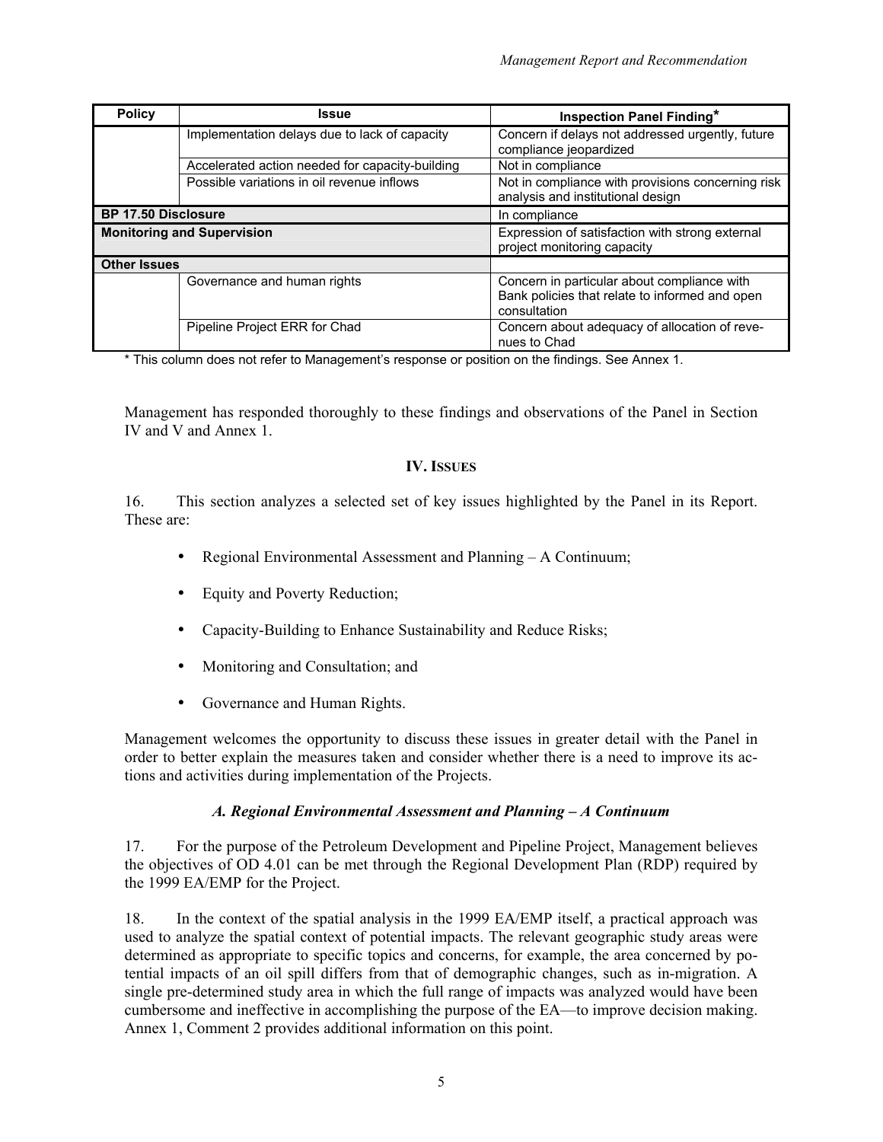| <b>Policy</b>                     | <b>Issue</b>                                    | <b>Inspection Panel Finding*</b>                                                                              |
|-----------------------------------|-------------------------------------------------|---------------------------------------------------------------------------------------------------------------|
|                                   | Implementation delays due to lack of capacity   | Concern if delays not addressed urgently, future                                                              |
|                                   |                                                 | compliance jeopardized                                                                                        |
|                                   | Accelerated action needed for capacity-building | Not in compliance                                                                                             |
|                                   | Possible variations in oil revenue inflows      | Not in compliance with provisions concerning risk<br>analysis and institutional design                        |
| <b>BP 17.50 Disclosure</b>        |                                                 | In compliance                                                                                                 |
| <b>Monitoring and Supervision</b> |                                                 | Expression of satisfaction with strong external<br>project monitoring capacity                                |
| <b>Other Issues</b>               |                                                 |                                                                                                               |
|                                   | Governance and human rights                     | Concern in particular about compliance with<br>Bank policies that relate to informed and open<br>consultation |
|                                   | Pipeline Project ERR for Chad                   | Concern about adequacy of allocation of reve-<br>nues to Chad                                                 |

\* This column does not refer to Management's response or position on the findings. See Annex 1.

Management has responded thoroughly to these findings and observations of the Panel in Section IV and V and Annex 1.

### **IV. ISSUES**

16. This section analyzes a selected set of key issues highlighted by the Panel in its Report. These are:

- Regional Environmental Assessment and Planning A Continuum;
- Equity and Poverty Reduction;
- Capacity-Building to Enhance Sustainability and Reduce Risks;
- Monitoring and Consultation; and
- Governance and Human Rights.

Management welcomes the opportunity to discuss these issues in greater detail with the Panel in order to better explain the measures taken and consider whether there is a need to improve its actions and activities during implementation of the Projects.

### *A. Regional Environmental Assessment and Planning – A Continuum*

17. For the purpose of the Petroleum Development and Pipeline Project, Management believes the objectives of OD 4.01 can be met through the Regional Development Plan (RDP) required by the 1999 EA/EMP for the Project.

18. In the context of the spatial analysis in the 1999 EA/EMP itself, a practical approach was used to analyze the spatial context of potential impacts. The relevant geographic study areas were determined as appropriate to specific topics and concerns, for example, the area concerned by potential impacts of an oil spill differs from that of demographic changes, such as in-migration. A single pre-determined study area in which the full range of impacts was analyzed would have been cumbersome and ineffective in accomplishing the purpose of the EA—to improve decision making. Annex 1, Comment 2 provides additional information on this point.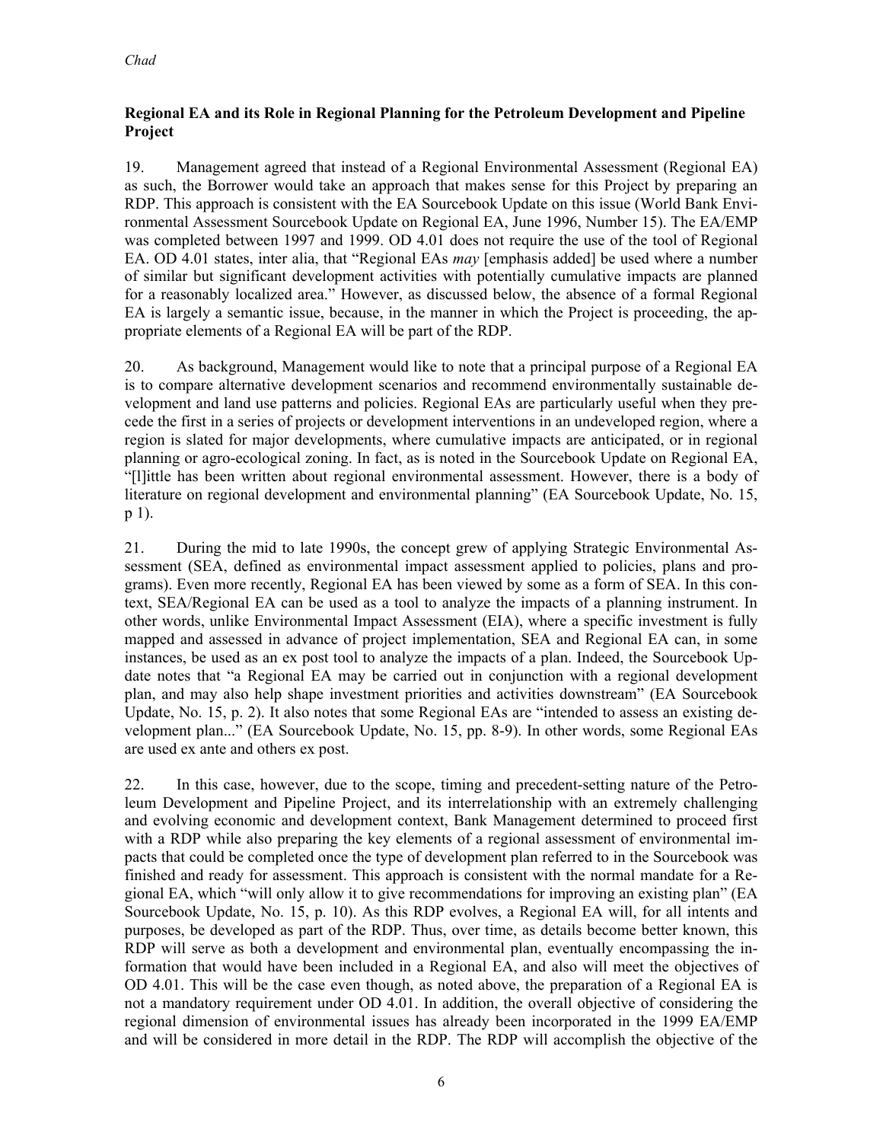# **Regional EA and its Role in Regional Planning for the Petroleum Development and Pipeline Project**

19. Management agreed that instead of a Regional Environmental Assessment (Regional EA) as such, the Borrower would take an approach that makes sense for this Project by preparing an RDP. This approach is consistent with the EA Sourcebook Update on this issue (World Bank Environmental Assessment Sourcebook Update on Regional EA, June 1996, Number 15). The EA/EMP was completed between 1997 and 1999. OD 4.01 does not require the use of the tool of Regional EA. OD 4.01 states, inter alia, that "Regional EAs *may* [emphasis added] be used where a number of similar but significant development activities with potentially cumulative impacts are planned for a reasonably localized area." However, as discussed below, the absence of a formal Regional EA is largely a semantic issue, because, in the manner in which the Project is proceeding, the appropriate elements of a Regional EA will be part of the RDP.

20. As background, Management would like to note that a principal purpose of a Regional EA is to compare alternative development scenarios and recommend environmentally sustainable development and land use patterns and policies. Regional EAs are particularly useful when they precede the first in a series of projects or development interventions in an undeveloped region, where a region is slated for major developments, where cumulative impacts are anticipated, or in regional planning or agro-ecological zoning. In fact, as is noted in the Sourcebook Update on Regional EA, "[l]ittle has been written about regional environmental assessment. However, there is a body of literature on regional development and environmental planning" (EA Sourcebook Update, No. 15, p 1).

21. During the mid to late 1990s, the concept grew of applying Strategic Environmental Assessment (SEA, defined as environmental impact assessment applied to policies, plans and programs). Even more recently, Regional EA has been viewed by some as a form of SEA. In this context, SEA/Regional EA can be used as a tool to analyze the impacts of a planning instrument. In other words, unlike Environmental Impact Assessment (EIA), where a specific investment is fully mapped and assessed in advance of project implementation, SEA and Regional EA can, in some instances, be used as an ex post tool to analyze the impacts of a plan. Indeed, the Sourcebook Update notes that "a Regional EA may be carried out in conjunction with a regional development plan, and may also help shape investment priorities and activities downstream" (EA Sourcebook Update, No. 15, p. 2). It also notes that some Regional EAs are "intended to assess an existing development plan..." (EA Sourcebook Update, No. 15, pp. 8-9). In other words, some Regional EAs are used ex ante and others ex post.

22. In this case, however, due to the scope, timing and precedent-setting nature of the Petroleum Development and Pipeline Project, and its interrelationship with an extremely challenging and evolving economic and development context, Bank Management determined to proceed first with a RDP while also preparing the key elements of a regional assessment of environmental impacts that could be completed once the type of development plan referred to in the Sourcebook was finished and ready for assessment. This approach is consistent with the normal mandate for a Regional EA, which "will only allow it to give recommendations for improving an existing plan" (EA Sourcebook Update, No. 15, p. 10). As this RDP evolves, a Regional EA will, for all intents and purposes, be developed as part of the RDP. Thus, over time, as details become better known, this RDP will serve as both a development and environmental plan, eventually encompassing the information that would have been included in a Regional EA, and also will meet the objectives of OD 4.01. This will be the case even though, as noted above, the preparation of a Regional EA is not a mandatory requirement under OD 4.01. In addition, the overall objective of considering the regional dimension of environmental issues has already been incorporated in the 1999 EA/EMP and will be considered in more detail in the RDP. The RDP will accomplish the objective of the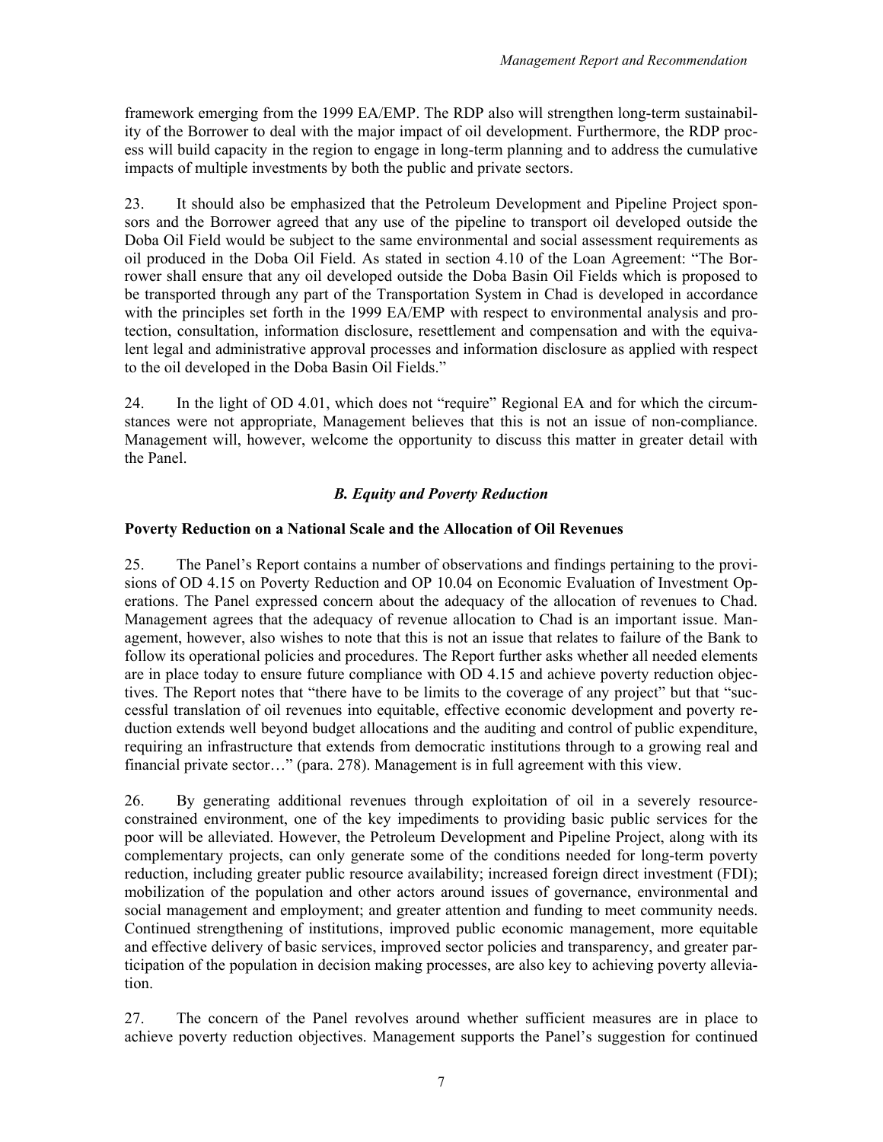framework emerging from the 1999 EA/EMP. The RDP also will strengthen long-term sustainability of the Borrower to deal with the major impact of oil development. Furthermore, the RDP process will build capacity in the region to engage in long-term planning and to address the cumulative impacts of multiple investments by both the public and private sectors.

23. It should also be emphasized that the Petroleum Development and Pipeline Project sponsors and the Borrower agreed that any use of the pipeline to transport oil developed outside the Doba Oil Field would be subject to the same environmental and social assessment requirements as oil produced in the Doba Oil Field. As stated in section 4.10 of the Loan Agreement: "The Borrower shall ensure that any oil developed outside the Doba Basin Oil Fields which is proposed to be transported through any part of the Transportation System in Chad is developed in accordance with the principles set forth in the 1999 EA/EMP with respect to environmental analysis and protection, consultation, information disclosure, resettlement and compensation and with the equivalent legal and administrative approval processes and information disclosure as applied with respect to the oil developed in the Doba Basin Oil Fields."

24. In the light of OD 4.01, which does not "require" Regional EA and for which the circumstances were not appropriate, Management believes that this is not an issue of non-compliance. Management will, however, welcome the opportunity to discuss this matter in greater detail with the Panel.

# *B. Equity and Poverty Reduction*

# **Poverty Reduction on a National Scale and the Allocation of Oil Revenues**

25. The Panel's Report contains a number of observations and findings pertaining to the provisions of OD 4.15 on Poverty Reduction and OP 10.04 on Economic Evaluation of Investment Operations. The Panel expressed concern about the adequacy of the allocation of revenues to Chad. Management agrees that the adequacy of revenue allocation to Chad is an important issue. Management, however, also wishes to note that this is not an issue that relates to failure of the Bank to follow its operational policies and procedures. The Report further asks whether all needed elements are in place today to ensure future compliance with OD 4.15 and achieve poverty reduction objectives. The Report notes that "there have to be limits to the coverage of any project" but that "successful translation of oil revenues into equitable, effective economic development and poverty reduction extends well beyond budget allocations and the auditing and control of public expenditure, requiring an infrastructure that extends from democratic institutions through to a growing real and financial private sector…" (para. 278). Management is in full agreement with this view.

26. By generating additional revenues through exploitation of oil in a severely resourceconstrained environment, one of the key impediments to providing basic public services for the poor will be alleviated. However, the Petroleum Development and Pipeline Project, along with its complementary projects, can only generate some of the conditions needed for long-term poverty reduction, including greater public resource availability; increased foreign direct investment (FDI); mobilization of the population and other actors around issues of governance, environmental and social management and employment; and greater attention and funding to meet community needs. Continued strengthening of institutions, improved public economic management, more equitable and effective delivery of basic services, improved sector policies and transparency, and greater participation of the population in decision making processes, are also key to achieving poverty alleviation.

27. The concern of the Panel revolves around whether sufficient measures are in place to achieve poverty reduction objectives. Management supports the Panel's suggestion for continued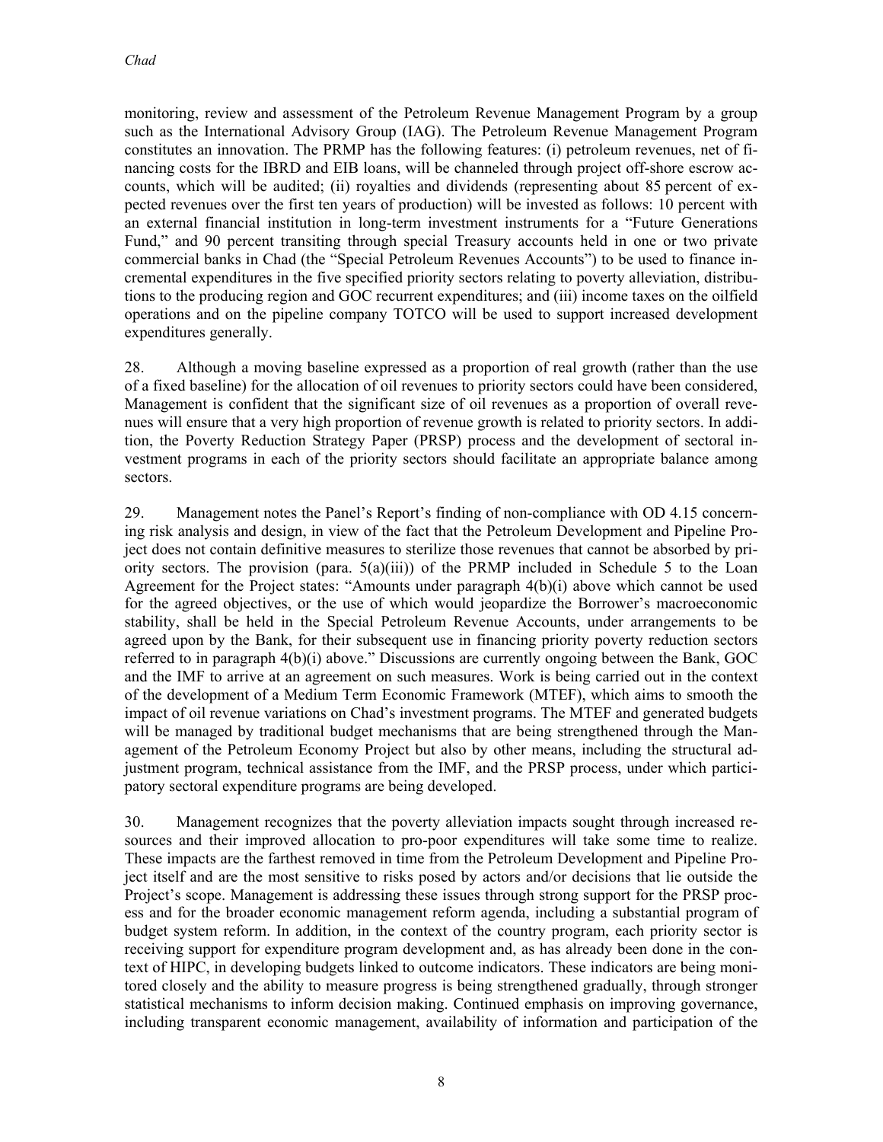monitoring, review and assessment of the Petroleum Revenue Management Program by a group such as the International Advisory Group (IAG). The Petroleum Revenue Management Program constitutes an innovation. The PRMP has the following features: (i) petroleum revenues, net of financing costs for the IBRD and EIB loans, will be channeled through project off-shore escrow accounts, which will be audited; (ii) royalties and dividends (representing about 85 percent of expected revenues over the first ten years of production) will be invested as follows: 10 percent with an external financial institution in long-term investment instruments for a "Future Generations Fund," and 90 percent transiting through special Treasury accounts held in one or two private commercial banks in Chad (the "Special Petroleum Revenues Accounts") to be used to finance incremental expenditures in the five specified priority sectors relating to poverty alleviation, distributions to the producing region and GOC recurrent expenditures; and (iii) income taxes on the oilfield operations and on the pipeline company TOTCO will be used to support increased development expenditures generally.

28. Although a moving baseline expressed as a proportion of real growth (rather than the use of a fixed baseline) for the allocation of oil revenues to priority sectors could have been considered, Management is confident that the significant size of oil revenues as a proportion of overall revenues will ensure that a very high proportion of revenue growth is related to priority sectors. In addition, the Poverty Reduction Strategy Paper (PRSP) process and the development of sectoral investment programs in each of the priority sectors should facilitate an appropriate balance among sectors.

29. Management notes the Panel's Report's finding of non-compliance with OD 4.15 concerning risk analysis and design, in view of the fact that the Petroleum Development and Pipeline Project does not contain definitive measures to sterilize those revenues that cannot be absorbed by priority sectors. The provision (para.  $5(a)(iii)$ ) of the PRMP included in Schedule 5 to the Loan Agreement for the Project states: "Amounts under paragraph 4(b)(i) above which cannot be used for the agreed objectives, or the use of which would jeopardize the Borrower's macroeconomic stability, shall be held in the Special Petroleum Revenue Accounts, under arrangements to be agreed upon by the Bank, for their subsequent use in financing priority poverty reduction sectors referred to in paragraph 4(b)(i) above." Discussions are currently ongoing between the Bank, GOC and the IMF to arrive at an agreement on such measures. Work is being carried out in the context of the development of a Medium Term Economic Framework (MTEF), which aims to smooth the impact of oil revenue variations on Chad's investment programs. The MTEF and generated budgets will be managed by traditional budget mechanisms that are being strengthened through the Management of the Petroleum Economy Project but also by other means, including the structural adjustment program, technical assistance from the IMF, and the PRSP process, under which participatory sectoral expenditure programs are being developed.

30. Management recognizes that the poverty alleviation impacts sought through increased resources and their improved allocation to pro-poor expenditures will take some time to realize. These impacts are the farthest removed in time from the Petroleum Development and Pipeline Project itself and are the most sensitive to risks posed by actors and/or decisions that lie outside the Project's scope. Management is addressing these issues through strong support for the PRSP process and for the broader economic management reform agenda, including a substantial program of budget system reform. In addition, in the context of the country program, each priority sector is receiving support for expenditure program development and, as has already been done in the context of HIPC, in developing budgets linked to outcome indicators. These indicators are being monitored closely and the ability to measure progress is being strengthened gradually, through stronger statistical mechanisms to inform decision making. Continued emphasis on improving governance, including transparent economic management, availability of information and participation of the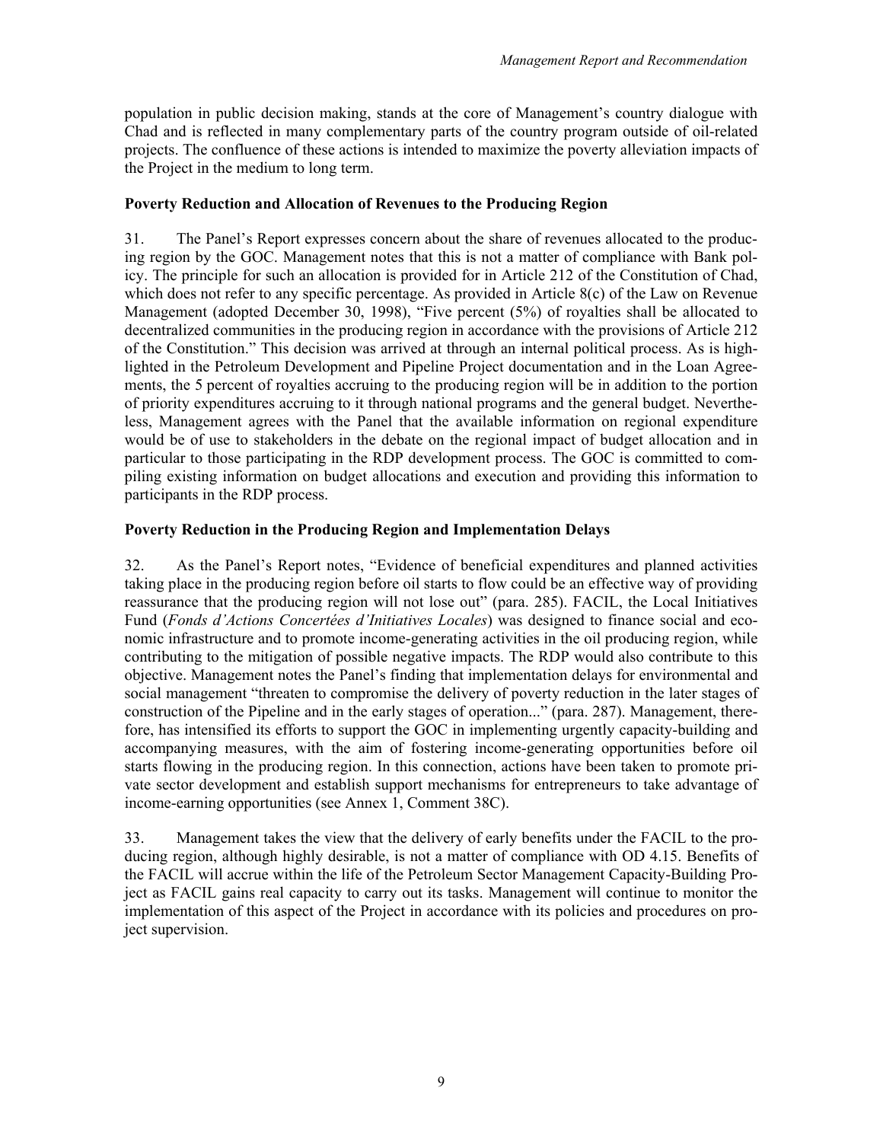population in public decision making, stands at the core of Management's country dialogue with Chad and is reflected in many complementary parts of the country program outside of oil-related projects. The confluence of these actions is intended to maximize the poverty alleviation impacts of the Project in the medium to long term.

### **Poverty Reduction and Allocation of Revenues to the Producing Region**

31. The Panel's Report expresses concern about the share of revenues allocated to the producing region by the GOC. Management notes that this is not a matter of compliance with Bank policy. The principle for such an allocation is provided for in Article 212 of the Constitution of Chad, which does not refer to any specific percentage. As provided in Article 8(c) of the Law on Revenue Management (adopted December 30, 1998), "Five percent (5%) of royalties shall be allocated to decentralized communities in the producing region in accordance with the provisions of Article 212 of the Constitution." This decision was arrived at through an internal political process. As is highlighted in the Petroleum Development and Pipeline Project documentation and in the Loan Agreements, the 5 percent of royalties accruing to the producing region will be in addition to the portion of priority expenditures accruing to it through national programs and the general budget. Nevertheless, Management agrees with the Panel that the available information on regional expenditure would be of use to stakeholders in the debate on the regional impact of budget allocation and in particular to those participating in the RDP development process. The GOC is committed to compiling existing information on budget allocations and execution and providing this information to participants in the RDP process.

# **Poverty Reduction in the Producing Region and Implementation Delays**

32. As the Panel's Report notes, "Evidence of beneficial expenditures and planned activities taking place in the producing region before oil starts to flow could be an effective way of providing reassurance that the producing region will not lose out" (para. 285). FACIL, the Local Initiatives Fund (*Fonds d'Actions Concertées d'Initiatives Locales*) was designed to finance social and economic infrastructure and to promote income-generating activities in the oil producing region, while contributing to the mitigation of possible negative impacts. The RDP would also contribute to this objective. Management notes the Panel's finding that implementation delays for environmental and social management "threaten to compromise the delivery of poverty reduction in the later stages of construction of the Pipeline and in the early stages of operation..." (para. 287). Management, therefore, has intensified its efforts to support the GOC in implementing urgently capacity-building and accompanying measures, with the aim of fostering income-generating opportunities before oil starts flowing in the producing region. In this connection, actions have been taken to promote private sector development and establish support mechanisms for entrepreneurs to take advantage of income-earning opportunities (see Annex 1, Comment 38C).

33. Management takes the view that the delivery of early benefits under the FACIL to the producing region, although highly desirable, is not a matter of compliance with OD 4.15. Benefits of the FACIL will accrue within the life of the Petroleum Sector Management Capacity-Building Project as FACIL gains real capacity to carry out its tasks. Management will continue to monitor the implementation of this aspect of the Project in accordance with its policies and procedures on project supervision.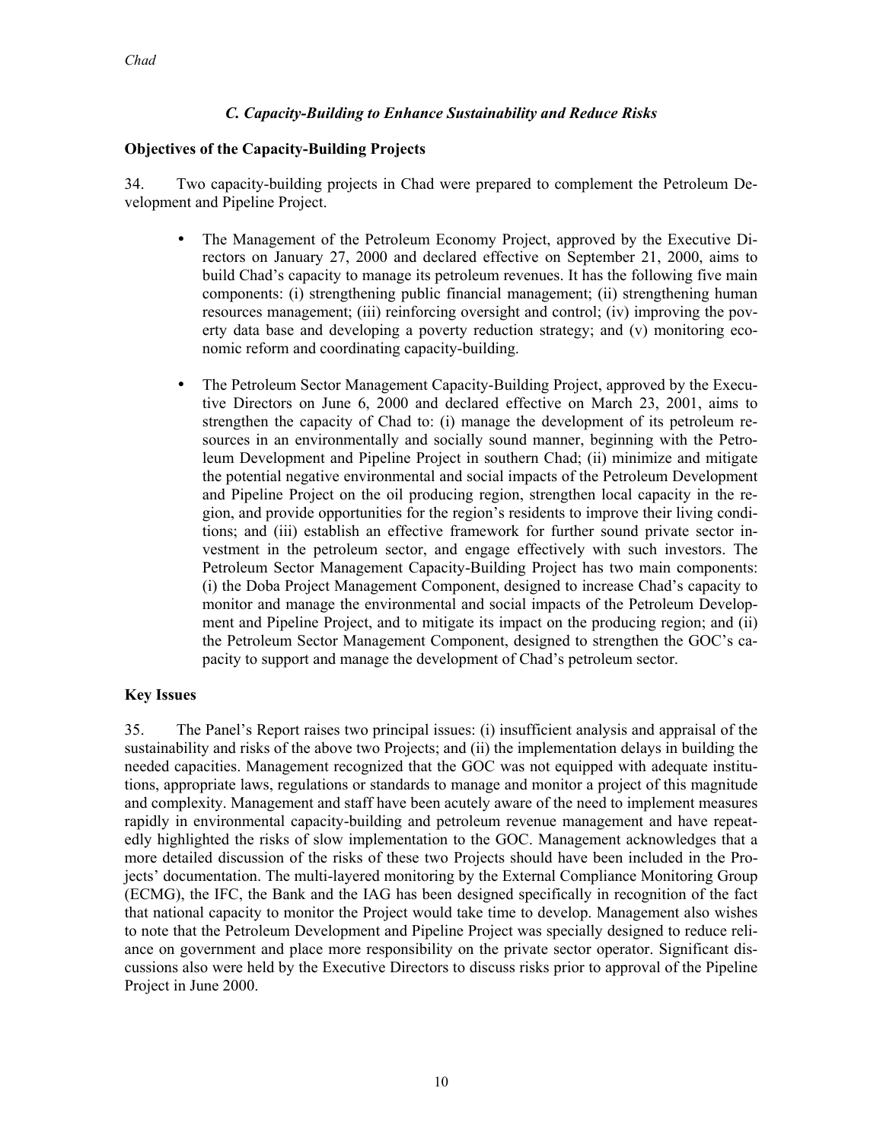# *C. Capacity-Building to Enhance Sustainability and Reduce Risks*

### **Objectives of the Capacity-Building Projects**

34. Two capacity-building projects in Chad were prepared to complement the Petroleum Development and Pipeline Project.

- The Management of the Petroleum Economy Project, approved by the Executive Directors on January 27, 2000 and declared effective on September 21, 2000, aims to build Chad's capacity to manage its petroleum revenues. It has the following five main components: (i) strengthening public financial management; (ii) strengthening human resources management; (iii) reinforcing oversight and control; (iv) improving the poverty data base and developing a poverty reduction strategy; and (v) monitoring economic reform and coordinating capacity-building.
- The Petroleum Sector Management Capacity-Building Project, approved by the Executive Directors on June 6, 2000 and declared effective on March 23, 2001, aims to strengthen the capacity of Chad to: (i) manage the development of its petroleum resources in an environmentally and socially sound manner, beginning with the Petroleum Development and Pipeline Project in southern Chad; (ii) minimize and mitigate the potential negative environmental and social impacts of the Petroleum Development and Pipeline Project on the oil producing region, strengthen local capacity in the region, and provide opportunities for the region's residents to improve their living conditions; and (iii) establish an effective framework for further sound private sector investment in the petroleum sector, and engage effectively with such investors. The Petroleum Sector Management Capacity-Building Project has two main components: (i) the Doba Project Management Component, designed to increase Chad's capacity to monitor and manage the environmental and social impacts of the Petroleum Development and Pipeline Project, and to mitigate its impact on the producing region; and (ii) the Petroleum Sector Management Component, designed to strengthen the GOC's capacity to support and manage the development of Chad's petroleum sector.

### **Key Issues**

35. The Panel's Report raises two principal issues: (i) insufficient analysis and appraisal of the sustainability and risks of the above two Projects; and (ii) the implementation delays in building the needed capacities. Management recognized that the GOC was not equipped with adequate institutions, appropriate laws, regulations or standards to manage and monitor a project of this magnitude and complexity. Management and staff have been acutely aware of the need to implement measures rapidly in environmental capacity-building and petroleum revenue management and have repeatedly highlighted the risks of slow implementation to the GOC. Management acknowledges that a more detailed discussion of the risks of these two Projects should have been included in the Projects' documentation. The multi-layered monitoring by the External Compliance Monitoring Group (ECMG), the IFC, the Bank and the IAG has been designed specifically in recognition of the fact that national capacity to monitor the Project would take time to develop. Management also wishes to note that the Petroleum Development and Pipeline Project was specially designed to reduce reliance on government and place more responsibility on the private sector operator. Significant discussions also were held by the Executive Directors to discuss risks prior to approval of the Pipeline Project in June 2000.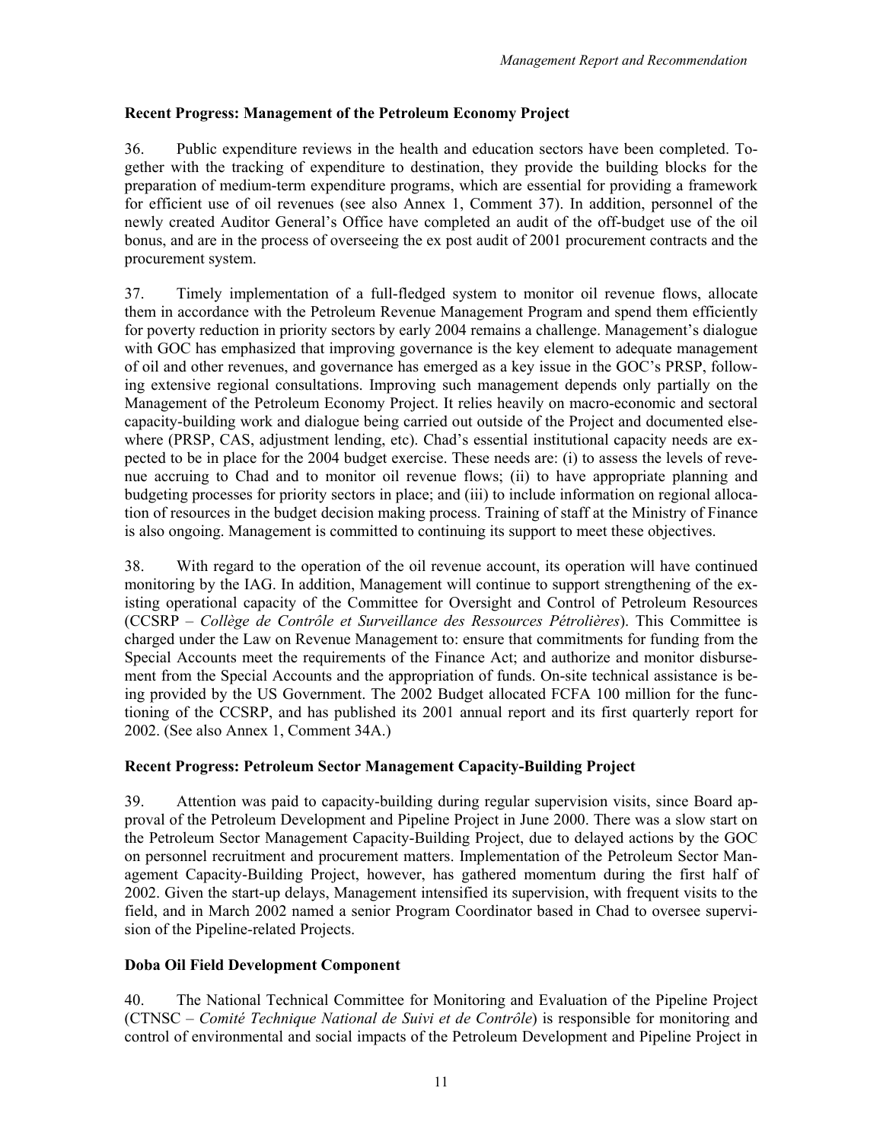# **Recent Progress: Management of the Petroleum Economy Project**

36. Public expenditure reviews in the health and education sectors have been completed. Together with the tracking of expenditure to destination, they provide the building blocks for the preparation of medium-term expenditure programs, which are essential for providing a framework for efficient use of oil revenues (see also Annex 1, Comment 37). In addition, personnel of the newly created Auditor General's Office have completed an audit of the off-budget use of the oil bonus, and are in the process of overseeing the ex post audit of 2001 procurement contracts and the procurement system.

37. Timely implementation of a full-fledged system to monitor oil revenue flows, allocate them in accordance with the Petroleum Revenue Management Program and spend them efficiently for poverty reduction in priority sectors by early 2004 remains a challenge. Management's dialogue with GOC has emphasized that improving governance is the key element to adequate management of oil and other revenues, and governance has emerged as a key issue in the GOC's PRSP, following extensive regional consultations. Improving such management depends only partially on the Management of the Petroleum Economy Project. It relies heavily on macro-economic and sectoral capacity-building work and dialogue being carried out outside of the Project and documented elsewhere (PRSP, CAS, adjustment lending, etc). Chad's essential institutional capacity needs are expected to be in place for the 2004 budget exercise. These needs are: (i) to assess the levels of revenue accruing to Chad and to monitor oil revenue flows; (ii) to have appropriate planning and budgeting processes for priority sectors in place; and (iii) to include information on regional allocation of resources in the budget decision making process. Training of staff at the Ministry of Finance is also ongoing. Management is committed to continuing its support to meet these objectives.

38. With regard to the operation of the oil revenue account, its operation will have continued monitoring by the IAG. In addition, Management will continue to support strengthening of the existing operational capacity of the Committee for Oversight and Control of Petroleum Resources (CCSRP – *Collège de Contrôle et Surveillance des Ressources Pétrolières*). This Committee is charged under the Law on Revenue Management to: ensure that commitments for funding from the Special Accounts meet the requirements of the Finance Act; and authorize and monitor disbursement from the Special Accounts and the appropriation of funds. On-site technical assistance is being provided by the US Government. The 2002 Budget allocated FCFA 100 million for the functioning of the CCSRP, and has published its 2001 annual report and its first quarterly report for 2002. (See also Annex 1, Comment 34A.)

# **Recent Progress: Petroleum Sector Management Capacity-Building Project**

39. Attention was paid to capacity-building during regular supervision visits, since Board approval of the Petroleum Development and Pipeline Project in June 2000. There was a slow start on the Petroleum Sector Management Capacity-Building Project, due to delayed actions by the GOC on personnel recruitment and procurement matters. Implementation of the Petroleum Sector Management Capacity-Building Project, however, has gathered momentum during the first half of 2002. Given the start-up delays, Management intensified its supervision, with frequent visits to the field, and in March 2002 named a senior Program Coordinator based in Chad to oversee supervision of the Pipeline-related Projects.

# **Doba Oil Field Development Component**

40. The National Technical Committee for Monitoring and Evaluation of the Pipeline Project (CTNSC *– Comité Technique National de Suivi et de Contrôle*) is responsible for monitoring and control of environmental and social impacts of the Petroleum Development and Pipeline Project in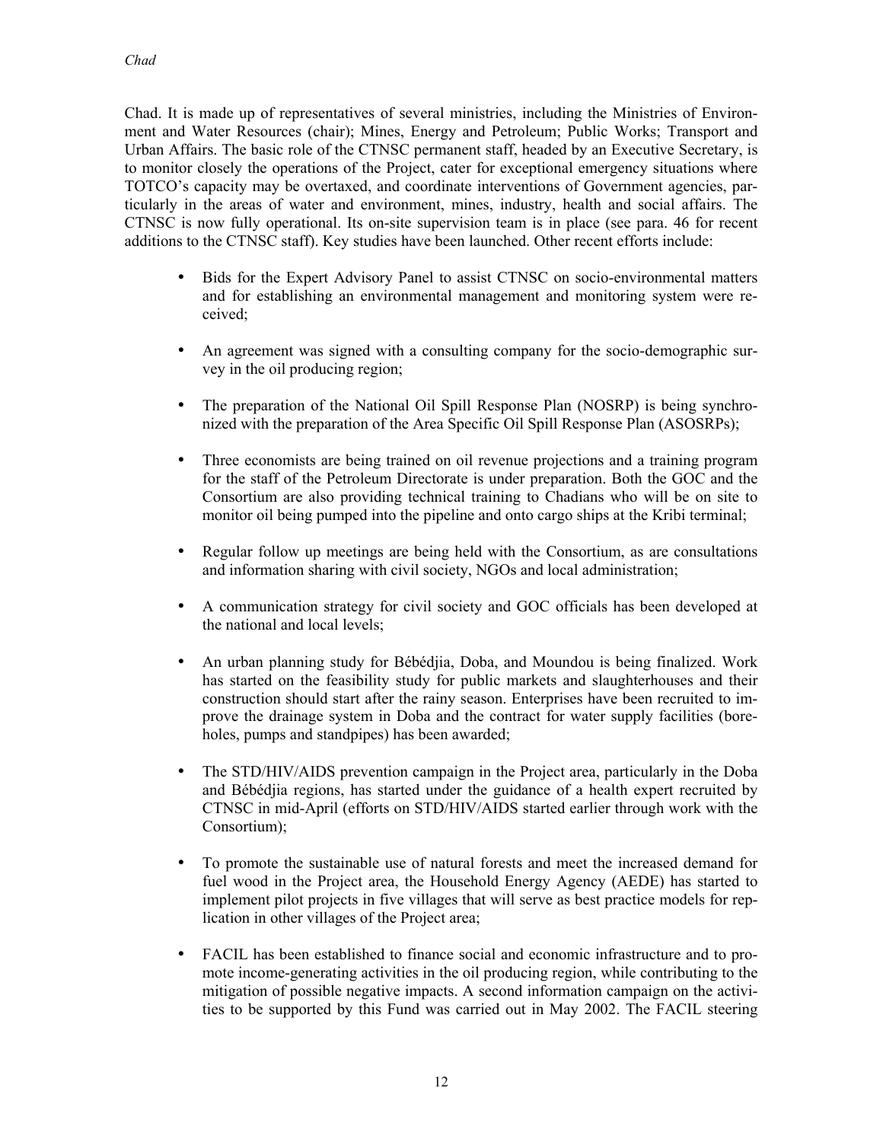Chad. It is made up of representatives of several ministries, including the Ministries of Environment and Water Resources (chair); Mines, Energy and Petroleum; Public Works; Transport and Urban Affairs. The basic role of the CTNSC permanent staff, headed by an Executive Secretary, is to monitor closely the operations of the Project, cater for exceptional emergency situations where TOTCO's capacity may be overtaxed, and coordinate interventions of Government agencies, particularly in the areas of water and environment, mines, industry, health and social affairs. The CTNSC is now fully operational. Its on-site supervision team is in place (see para. 46 for recent additions to the CTNSC staff). Key studies have been launched. Other recent efforts include:

- Bids for the Expert Advisory Panel to assist CTNSC on socio-environmental matters and for establishing an environmental management and monitoring system were received;
- An agreement was signed with a consulting company for the socio-demographic survey in the oil producing region;
- The preparation of the National Oil Spill Response Plan (NOSRP) is being synchronized with the preparation of the Area Specific Oil Spill Response Plan (ASOSRPs);
- Three economists are being trained on oil revenue projections and a training program for the staff of the Petroleum Directorate is under preparation. Both the GOC and the Consortium are also providing technical training to Chadians who will be on site to monitor oil being pumped into the pipeline and onto cargo ships at the Kribi terminal;
- Regular follow up meetings are being held with the Consortium, as are consultations and information sharing with civil society, NGOs and local administration;
- A communication strategy for civil society and GOC officials has been developed at the national and local levels;
- An urban planning study for Bébédjia, Doba, and Moundou is being finalized. Work has started on the feasibility study for public markets and slaughterhouses and their construction should start after the rainy season. Enterprises have been recruited to improve the drainage system in Doba and the contract for water supply facilities (boreholes, pumps and standpipes) has been awarded;
- The STD/HIV/AIDS prevention campaign in the Project area, particularly in the Doba and Bébédjia regions, has started under the guidance of a health expert recruited by CTNSC in mid-April (efforts on STD/HIV/AIDS started earlier through work with the Consortium);
- To promote the sustainable use of natural forests and meet the increased demand for fuel wood in the Project area, the Household Energy Agency (AEDE) has started to implement pilot projects in five villages that will serve as best practice models for replication in other villages of the Project area;
- FACIL has been established to finance social and economic infrastructure and to promote income-generating activities in the oil producing region, while contributing to the mitigation of possible negative impacts. A second information campaign on the activities to be supported by this Fund was carried out in May 2002. The FACIL steering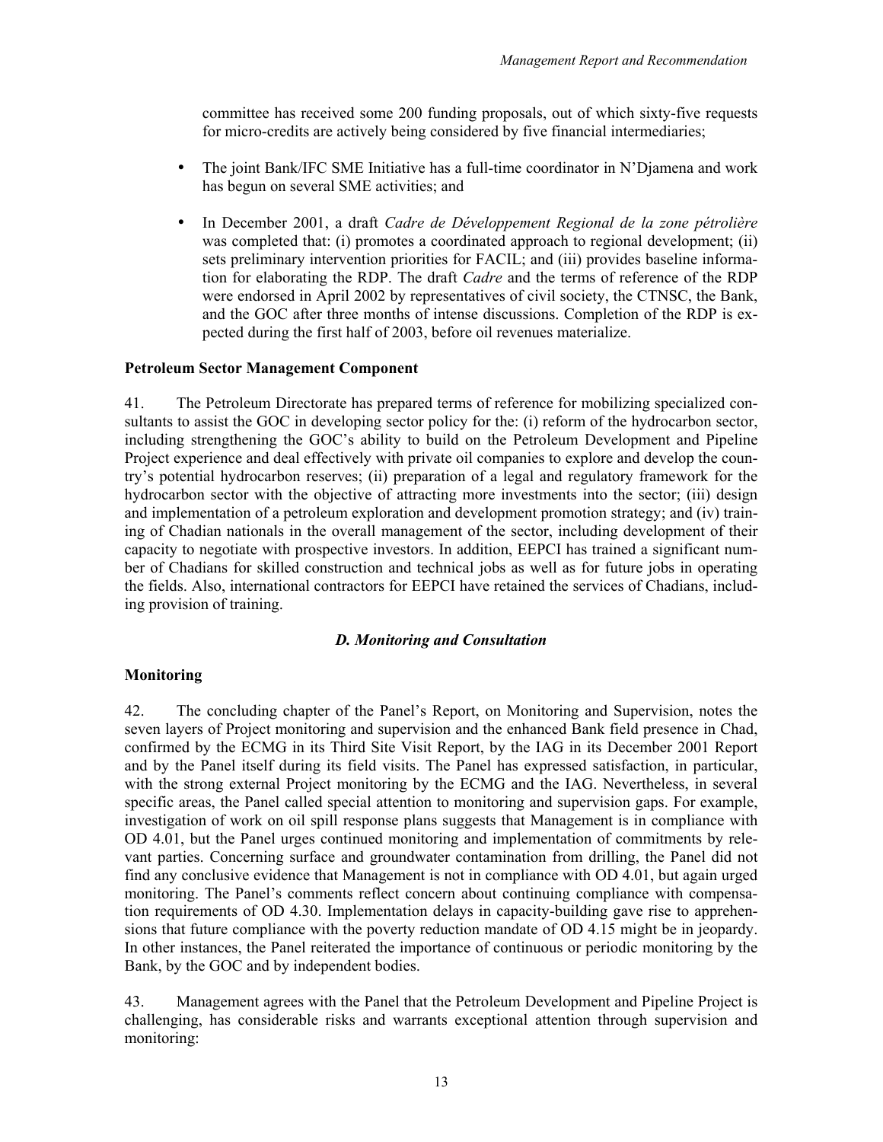committee has received some 200 funding proposals, out of which sixty-five requests for micro-credits are actively being considered by five financial intermediaries;

- The joint Bank/IFC SME Initiative has a full-time coordinator in N'Djamena and work has begun on several SME activities; and
- In December 2001, a draft *Cadre de Développement Regional de la zone pétrolière* was completed that: (i) promotes a coordinated approach to regional development; (ii) sets preliminary intervention priorities for FACIL; and (iii) provides baseline information for elaborating the RDP. The draft *Cadre* and the terms of reference of the RDP were endorsed in April 2002 by representatives of civil society, the CTNSC, the Bank, and the GOC after three months of intense discussions. Completion of the RDP is expected during the first half of 2003, before oil revenues materialize.

### **Petroleum Sector Management Component**

41. The Petroleum Directorate has prepared terms of reference for mobilizing specialized consultants to assist the GOC in developing sector policy for the: (i) reform of the hydrocarbon sector, including strengthening the GOC's ability to build on the Petroleum Development and Pipeline Project experience and deal effectively with private oil companies to explore and develop the country's potential hydrocarbon reserves; (ii) preparation of a legal and regulatory framework for the hydrocarbon sector with the objective of attracting more investments into the sector; (iii) design and implementation of a petroleum exploration and development promotion strategy; and (iv) training of Chadian nationals in the overall management of the sector, including development of their capacity to negotiate with prospective investors. In addition, EEPCI has trained a significant number of Chadians for skilled construction and technical jobs as well as for future jobs in operating the fields. Also, international contractors for EEPCI have retained the services of Chadians, including provision of training.

### *D. Monitoring and Consultation*

### **Monitoring**

42. The concluding chapter of the Panel's Report, on Monitoring and Supervision, notes the seven layers of Project monitoring and supervision and the enhanced Bank field presence in Chad, confirmed by the ECMG in its Third Site Visit Report, by the IAG in its December 2001 Report and by the Panel itself during its field visits. The Panel has expressed satisfaction, in particular, with the strong external Project monitoring by the ECMG and the IAG. Nevertheless, in several specific areas, the Panel called special attention to monitoring and supervision gaps. For example, investigation of work on oil spill response plans suggests that Management is in compliance with OD 4.01, but the Panel urges continued monitoring and implementation of commitments by relevant parties. Concerning surface and groundwater contamination from drilling, the Panel did not find any conclusive evidence that Management is not in compliance with OD 4.01, but again urged monitoring. The Panel's comments reflect concern about continuing compliance with compensation requirements of OD 4.30. Implementation delays in capacity-building gave rise to apprehensions that future compliance with the poverty reduction mandate of OD 4.15 might be in jeopardy. In other instances, the Panel reiterated the importance of continuous or periodic monitoring by the Bank, by the GOC and by independent bodies.

43. Management agrees with the Panel that the Petroleum Development and Pipeline Project is challenging, has considerable risks and warrants exceptional attention through supervision and monitoring: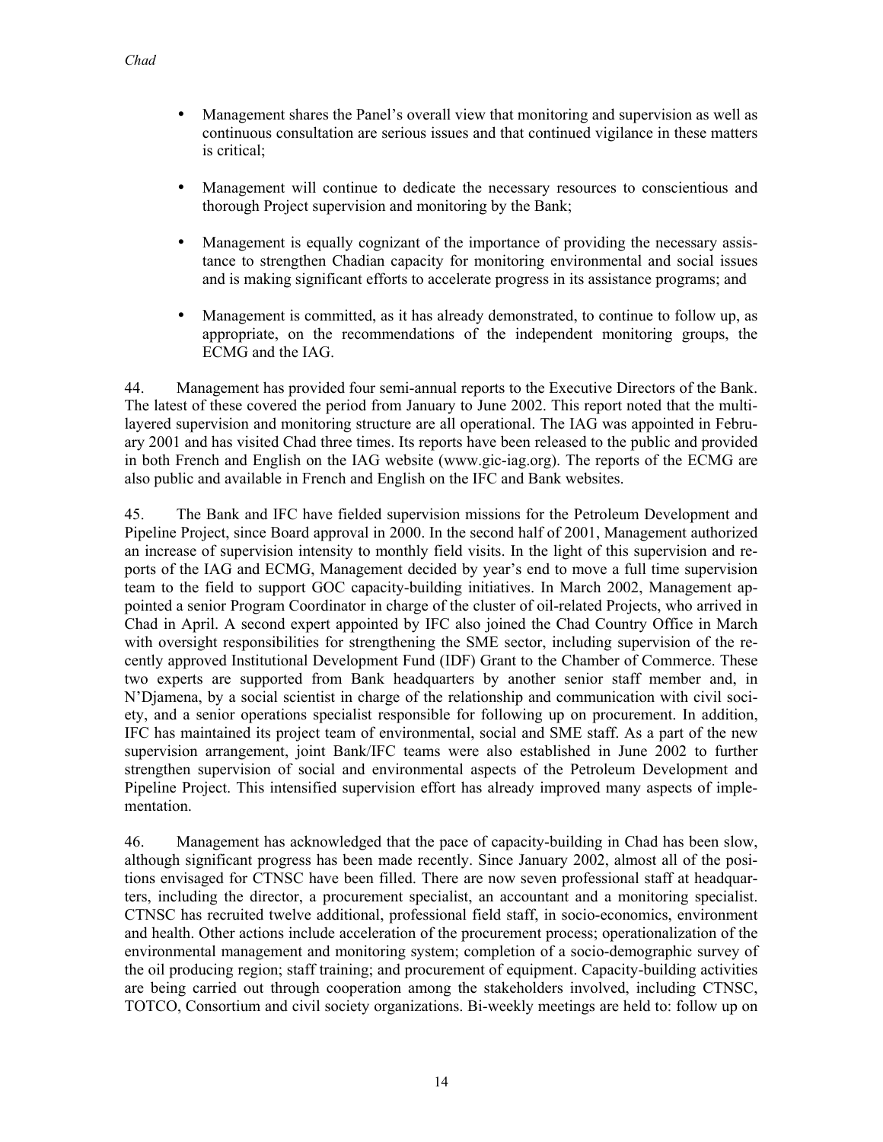- Management shares the Panel's overall view that monitoring and supervision as well as continuous consultation are serious issues and that continued vigilance in these matters is critical;
- Management will continue to dedicate the necessary resources to conscientious and thorough Project supervision and monitoring by the Bank;
- Management is equally cognizant of the importance of providing the necessary assistance to strengthen Chadian capacity for monitoring environmental and social issues and is making significant efforts to accelerate progress in its assistance programs; and
- Management is committed, as it has already demonstrated, to continue to follow up, as appropriate, on the recommendations of the independent monitoring groups, the ECMG and the IAG.

44. Management has provided four semi-annual reports to the Executive Directors of the Bank. The latest of these covered the period from January to June 2002. This report noted that the multilayered supervision and monitoring structure are all operational. The IAG was appointed in February 2001 and has visited Chad three times. Its reports have been released to the public and provided in both French and English on the IAG website (www.gic-iag.org). The reports of the ECMG are also public and available in French and English on the IFC and Bank websites.

45. The Bank and IFC have fielded supervision missions for the Petroleum Development and Pipeline Project, since Board approval in 2000. In the second half of 2001, Management authorized an increase of supervision intensity to monthly field visits. In the light of this supervision and reports of the IAG and ECMG, Management decided by year's end to move a full time supervision team to the field to support GOC capacity-building initiatives. In March 2002, Management appointed a senior Program Coordinator in charge of the cluster of oil-related Projects, who arrived in Chad in April. A second expert appointed by IFC also joined the Chad Country Office in March with oversight responsibilities for strengthening the SME sector, including supervision of the recently approved Institutional Development Fund (IDF) Grant to the Chamber of Commerce. These two experts are supported from Bank headquarters by another senior staff member and, in N'Djamena, by a social scientist in charge of the relationship and communication with civil society, and a senior operations specialist responsible for following up on procurement. In addition, IFC has maintained its project team of environmental, social and SME staff. As a part of the new supervision arrangement, joint Bank/IFC teams were also established in June 2002 to further strengthen supervision of social and environmental aspects of the Petroleum Development and Pipeline Project. This intensified supervision effort has already improved many aspects of implementation.

46. Management has acknowledged that the pace of capacity-building in Chad has been slow, although significant progress has been made recently. Since January 2002, almost all of the positions envisaged for CTNSC have been filled. There are now seven professional staff at headquarters, including the director, a procurement specialist, an accountant and a monitoring specialist. CTNSC has recruited twelve additional, professional field staff, in socio-economics, environment and health. Other actions include acceleration of the procurement process; operationalization of the environmental management and monitoring system; completion of a socio-demographic survey of the oil producing region; staff training; and procurement of equipment. Capacity-building activities are being carried out through cooperation among the stakeholders involved, including CTNSC, TOTCO, Consortium and civil society organizations. Bi-weekly meetings are held to: follow up on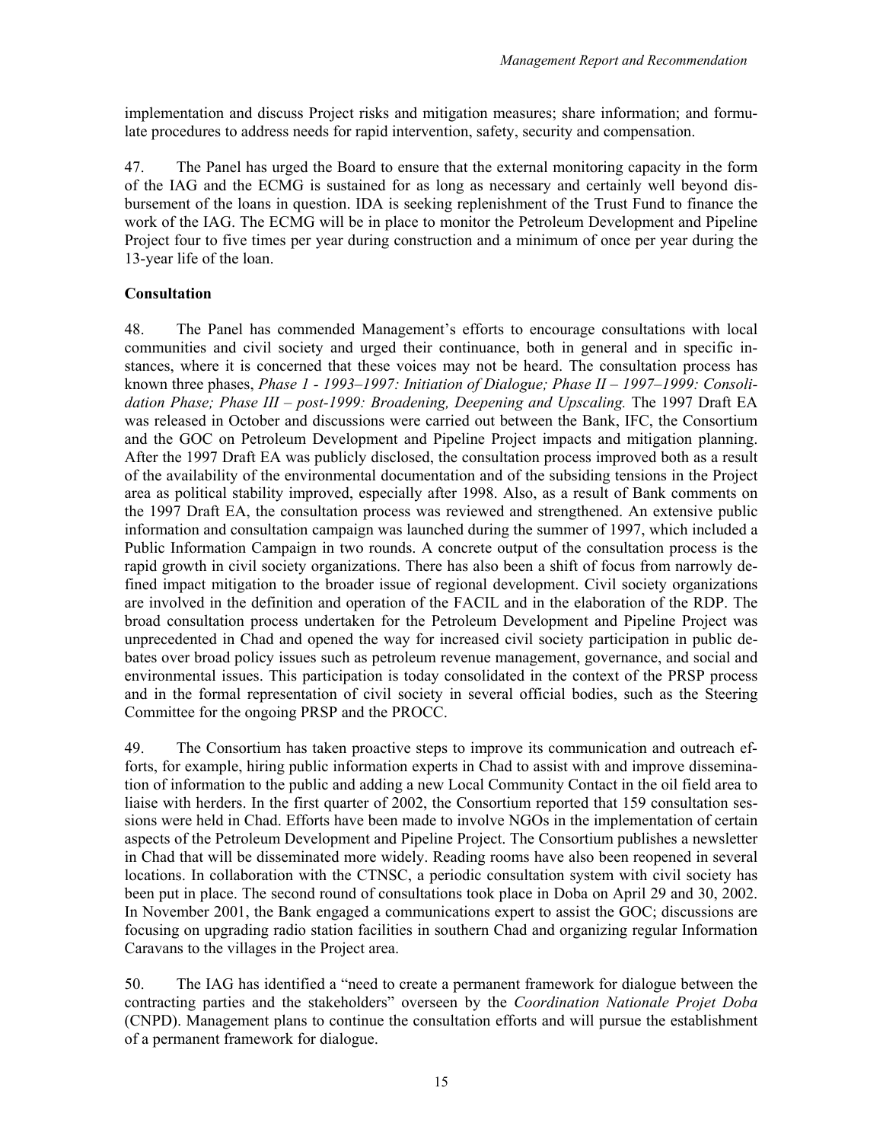implementation and discuss Project risks and mitigation measures; share information; and formulate procedures to address needs for rapid intervention, safety, security and compensation.

47. The Panel has urged the Board to ensure that the external monitoring capacity in the form of the IAG and the ECMG is sustained for as long as necessary and certainly well beyond disbursement of the loans in question. IDA is seeking replenishment of the Trust Fund to finance the work of the IAG. The ECMG will be in place to monitor the Petroleum Development and Pipeline Project four to five times per year during construction and a minimum of once per year during the 13-year life of the loan.

# **Consultation**

48. The Panel has commended Management's efforts to encourage consultations with local communities and civil society and urged their continuance, both in general and in specific instances, where it is concerned that these voices may not be heard. The consultation process has known three phases, *Phase 1 - 1993–1997: Initiation of Dialogue; Phase II – 1997–1999: Consoli*dation Phase; Phase III – post-1999: Broadening, Deepening and Upscaling. The 1997 Draft EA was released in October and discussions were carried out between the Bank, IFC, the Consortium and the GOC on Petroleum Development and Pipeline Project impacts and mitigation planning. After the 1997 Draft EA was publicly disclosed, the consultation process improved both as a result of the availability of the environmental documentation and of the subsiding tensions in the Project area as political stability improved, especially after 1998. Also, as a result of Bank comments on the 1997 Draft EA, the consultation process was reviewed and strengthened. An extensive public information and consultation campaign was launched during the summer of 1997, which included a Public Information Campaign in two rounds. A concrete output of the consultation process is the rapid growth in civil society organizations. There has also been a shift of focus from narrowly defined impact mitigation to the broader issue of regional development. Civil society organizations are involved in the definition and operation of the FACIL and in the elaboration of the RDP. The broad consultation process undertaken for the Petroleum Development and Pipeline Project was unprecedented in Chad and opened the way for increased civil society participation in public debates over broad policy issues such as petroleum revenue management, governance, and social and environmental issues. This participation is today consolidated in the context of the PRSP process and in the formal representation of civil society in several official bodies, such as the Steering Committee for the ongoing PRSP and the PROCC.

49. The Consortium has taken proactive steps to improve its communication and outreach efforts, for example, hiring public information experts in Chad to assist with and improve dissemination of information to the public and adding a new Local Community Contact in the oil field area to liaise with herders. In the first quarter of 2002, the Consortium reported that 159 consultation sessions were held in Chad. Efforts have been made to involve NGOs in the implementation of certain aspects of the Petroleum Development and Pipeline Project. The Consortium publishes a newsletter in Chad that will be disseminated more widely. Reading rooms have also been reopened in several locations. In collaboration with the CTNSC, a periodic consultation system with civil society has been put in place. The second round of consultations took place in Doba on April 29 and 30, 2002. In November 2001, the Bank engaged a communications expert to assist the GOC; discussions are focusing on upgrading radio station facilities in southern Chad and organizing regular Information Caravans to the villages in the Project area.

50. The IAG has identified a "need to create a permanent framework for dialogue between the contracting parties and the stakeholders" overseen by the *Coordination Nationale Projet Doba*  (CNPD). Management plans to continue the consultation efforts and will pursue the establishment of a permanent framework for dialogue.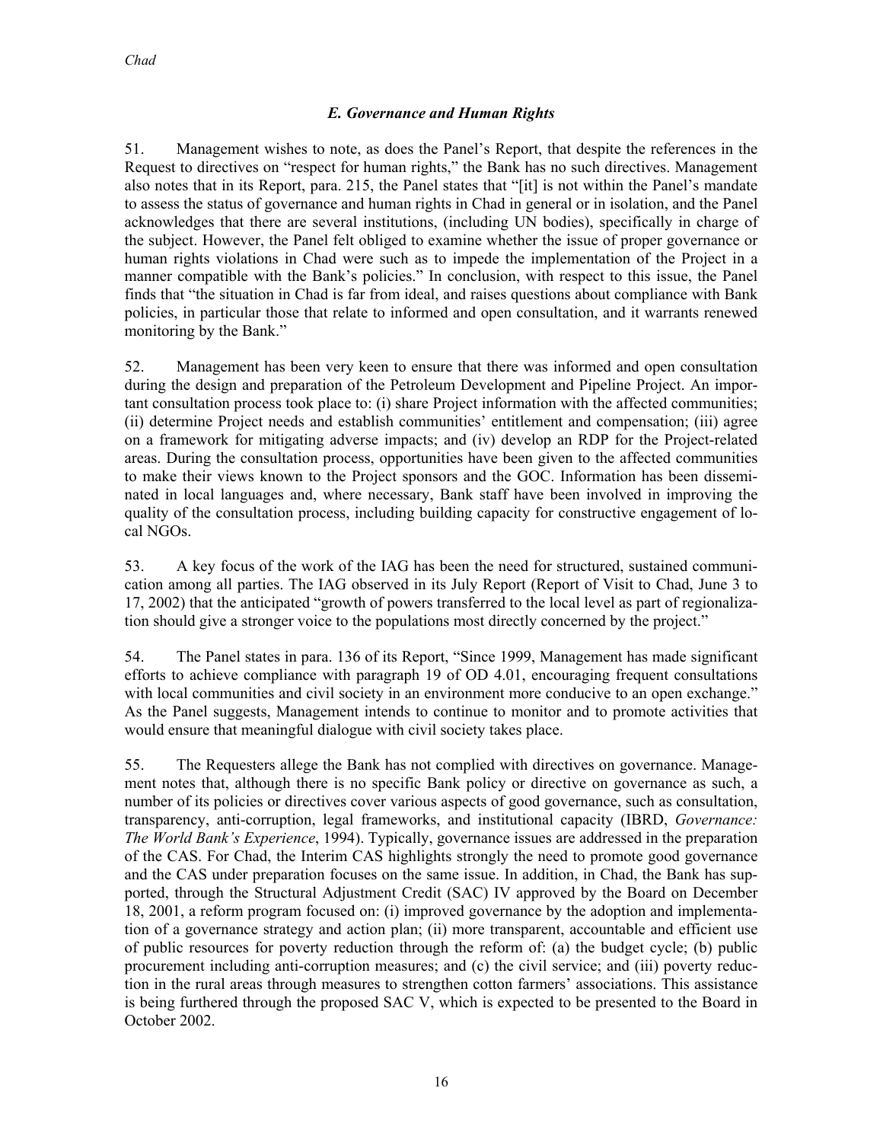# *E. Governance and Human Rights*

51. Management wishes to note, as does the Panel's Report, that despite the references in the Request to directives on "respect for human rights," the Bank has no such directives. Management also notes that in its Report, para. 215, the Panel states that "[it] is not within the Panel's mandate to assess the status of governance and human rights in Chad in general or in isolation, and the Panel acknowledges that there are several institutions, (including UN bodies), specifically in charge of the subject. However, the Panel felt obliged to examine whether the issue of proper governance or human rights violations in Chad were such as to impede the implementation of the Project in a manner compatible with the Bank's policies." In conclusion, with respect to this issue, the Panel finds that "the situation in Chad is far from ideal, and raises questions about compliance with Bank policies, in particular those that relate to informed and open consultation, and it warrants renewed monitoring by the Bank."

52. Management has been very keen to ensure that there was informed and open consultation during the design and preparation of the Petroleum Development and Pipeline Project. An important consultation process took place to: (i) share Project information with the affected communities; (ii) determine Project needs and establish communities' entitlement and compensation; (iii) agree on a framework for mitigating adverse impacts; and (iv) develop an RDP for the Project-related areas. During the consultation process, opportunities have been given to the affected communities to make their views known to the Project sponsors and the GOC. Information has been disseminated in local languages and, where necessary, Bank staff have been involved in improving the quality of the consultation process, including building capacity for constructive engagement of local NGOs.

53. A key focus of the work of the IAG has been the need for structured, sustained communication among all parties. The IAG observed in its July Report (Report of Visit to Chad, June 3 to 17, 2002) that the anticipated "growth of powers transferred to the local level as part of regionalization should give a stronger voice to the populations most directly concerned by the project."

54. The Panel states in para. 136 of its Report, "Since 1999, Management has made significant efforts to achieve compliance with paragraph 19 of OD 4.01, encouraging frequent consultations with local communities and civil society in an environment more conducive to an open exchange." As the Panel suggests, Management intends to continue to monitor and to promote activities that would ensure that meaningful dialogue with civil society takes place.

55. The Requesters allege the Bank has not complied with directives on governance. Management notes that, although there is no specific Bank policy or directive on governance as such, a number of its policies or directives cover various aspects of good governance, such as consultation, transparency, anti-corruption, legal frameworks, and institutional capacity (IBRD, *Governance: The World Bank's Experience*, 1994). Typically, governance issues are addressed in the preparation of the CAS. For Chad, the Interim CAS highlights strongly the need to promote good governance and the CAS under preparation focuses on the same issue. In addition, in Chad, the Bank has supported, through the Structural Adjustment Credit (SAC) IV approved by the Board on December 18, 2001, a reform program focused on: (i) improved governance by the adoption and implementation of a governance strategy and action plan; (ii) more transparent, accountable and efficient use of public resources for poverty reduction through the reform of: (a) the budget cycle; (b) public procurement including anti-corruption measures; and (c) the civil service; and (iii) poverty reduction in the rural areas through measures to strengthen cotton farmers' associations. This assistance is being furthered through the proposed SAC V, which is expected to be presented to the Board in October 2002.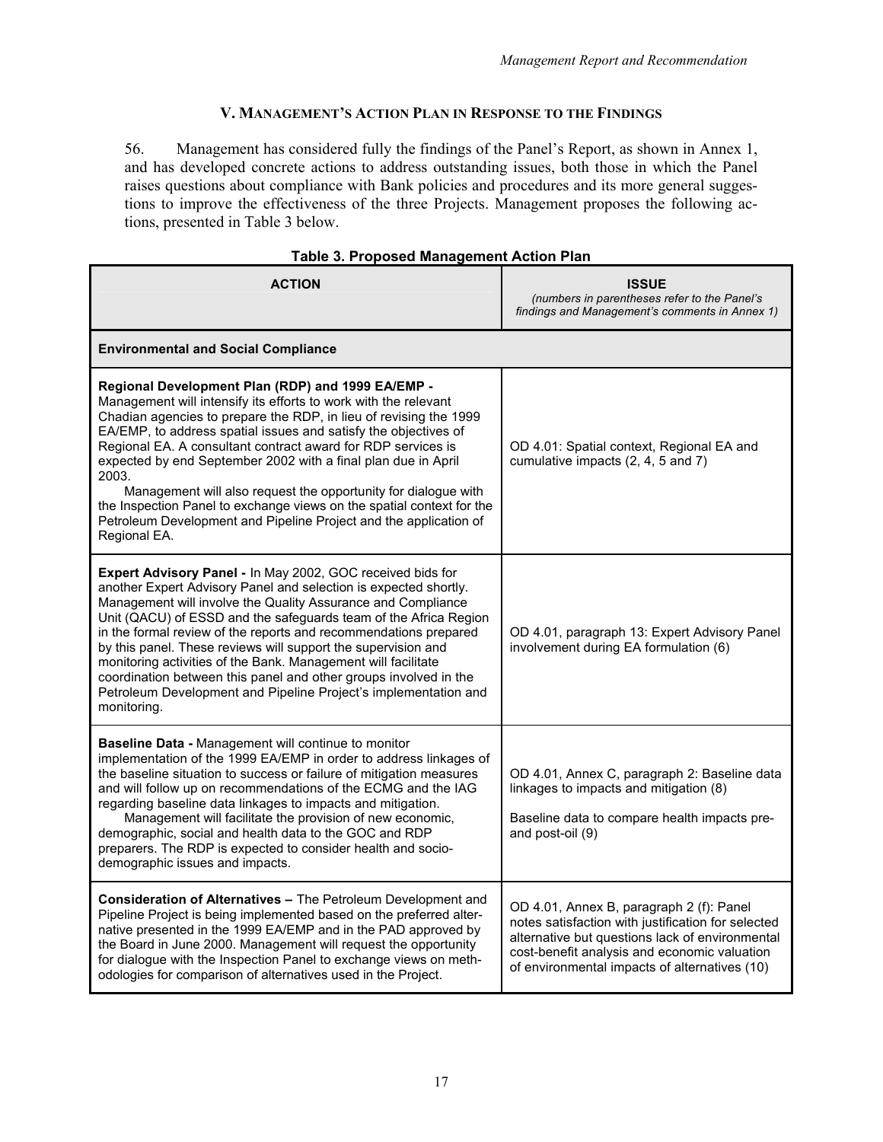# **V. MANAGEMENT'S ACTION PLAN IN RESPONSE TO THE FINDINGS**

56. Management has considered fully the findings of the Panel's Report, as shown in Annex 1, and has developed concrete actions to address outstanding issues, both those in which the Panel raises questions about compliance with Bank policies and procedures and its more general suggestions to improve the effectiveness of the three Projects. Management proposes the following actions, presented in Table 3 below.

| <b>ACTION</b>                                                                                                                                                                                                                                                                                                                                                                                                                                                                                                                                                                                                                          | <b>ISSUE</b><br>(numbers in parentheses refer to the Panel's<br>findings and Management's comments in Annex 1)                                                                                                                                     |
|----------------------------------------------------------------------------------------------------------------------------------------------------------------------------------------------------------------------------------------------------------------------------------------------------------------------------------------------------------------------------------------------------------------------------------------------------------------------------------------------------------------------------------------------------------------------------------------------------------------------------------------|----------------------------------------------------------------------------------------------------------------------------------------------------------------------------------------------------------------------------------------------------|
| <b>Environmental and Social Compliance</b>                                                                                                                                                                                                                                                                                                                                                                                                                                                                                                                                                                                             |                                                                                                                                                                                                                                                    |
| Regional Development Plan (RDP) and 1999 EA/EMP -<br>Management will intensify its efforts to work with the relevant<br>Chadian agencies to prepare the RDP, in lieu of revising the 1999<br>EA/EMP, to address spatial issues and satisfy the objectives of<br>Regional EA. A consultant contract award for RDP services is<br>expected by end September 2002 with a final plan due in April<br>2003.<br>Management will also request the opportunity for dialogue with<br>the Inspection Panel to exchange views on the spatial context for the<br>Petroleum Development and Pipeline Project and the application of<br>Regional EA. | OD 4.01: Spatial context, Regional EA and<br>cumulative impacts (2, 4, 5 and 7)                                                                                                                                                                    |
| Expert Advisory Panel - In May 2002, GOC received bids for<br>another Expert Advisory Panel and selection is expected shortly.<br>Management will involve the Quality Assurance and Compliance<br>Unit (QACU) of ESSD and the safeguards team of the Africa Region<br>in the formal review of the reports and recommendations prepared<br>by this panel. These reviews will support the supervision and<br>monitoring activities of the Bank. Management will facilitate<br>coordination between this panel and other groups involved in the<br>Petroleum Development and Pipeline Project's implementation and<br>monitoring.         | OD 4.01, paragraph 13: Expert Advisory Panel<br>involvement during EA formulation (6)                                                                                                                                                              |
| <b>Baseline Data - Management will continue to monitor</b><br>implementation of the 1999 EA/EMP in order to address linkages of<br>the baseline situation to success or failure of mitigation measures<br>and will follow up on recommendations of the ECMG and the IAG<br>regarding baseline data linkages to impacts and mitigation.<br>Management will facilitate the provision of new economic,<br>demographic, social and health data to the GOC and RDP<br>preparers. The RDP is expected to consider health and socio-<br>demographic issues and impacts.                                                                       | OD 4.01, Annex C, paragraph 2: Baseline data<br>linkages to impacts and mitigation (8)<br>Baseline data to compare health impacts pre-<br>and post-oil (9)                                                                                         |
| <b>Consideration of Alternatives –</b> The Petroleum Development and<br>Pipeline Project is being implemented based on the preferred alter-<br>native presented in the 1999 EA/EMP and in the PAD approved by<br>the Board in June 2000. Management will request the opportunity<br>for dialogue with the Inspection Panel to exchange views on meth-<br>odologies for comparison of alternatives used in the Project.                                                                                                                                                                                                                 | OD 4.01, Annex B, paragraph 2 (f): Panel<br>notes satisfaction with justification for selected<br>alternative but questions lack of environmental<br>cost-benefit analysis and economic valuation<br>of environmental impacts of alternatives (10) |

# **Table 3. Proposed Management Action Plan**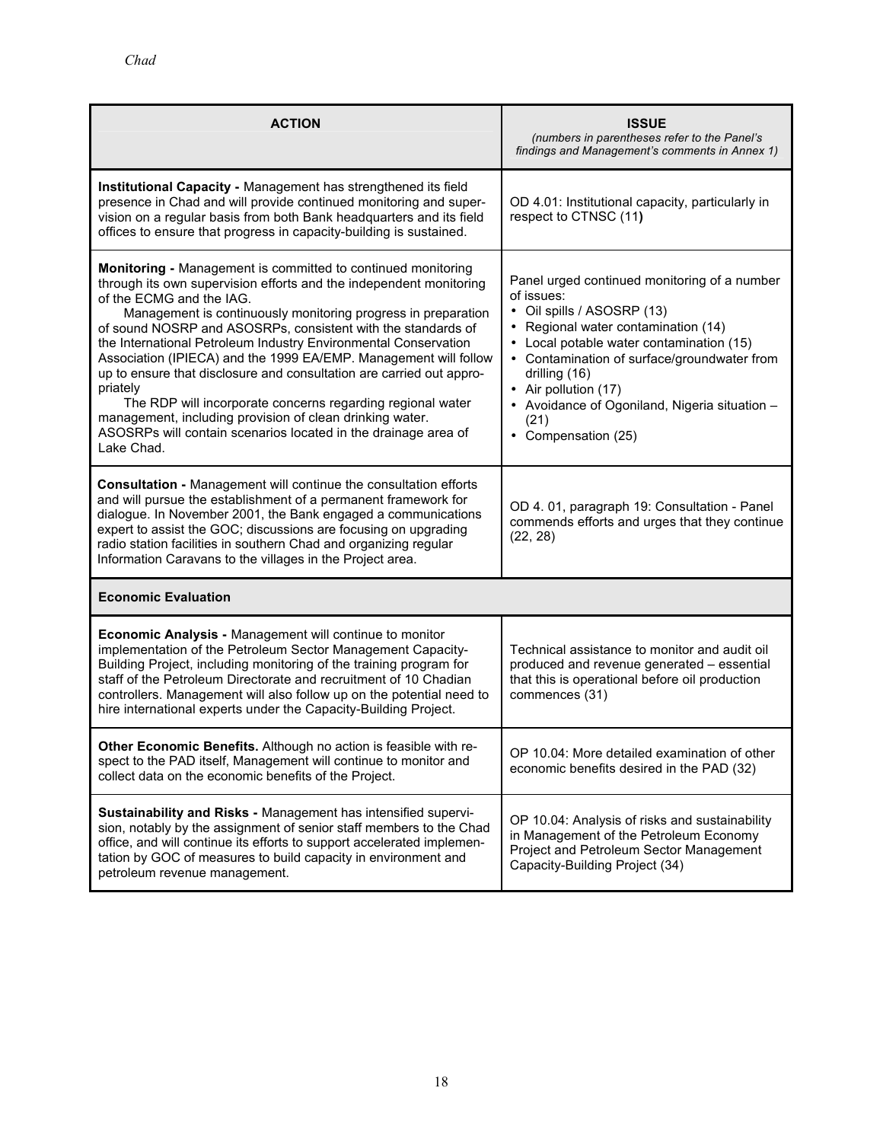| <b>ACTION</b>                                                                                                                                                                                                                                                                                                                                                                                                                                                                                                                                                                                                                                                                                                                        | <b>ISSUE</b><br>(numbers in parentheses refer to the Panel's<br>findings and Management's comments in Annex 1)                                                                                                                                                                                                                                      |
|--------------------------------------------------------------------------------------------------------------------------------------------------------------------------------------------------------------------------------------------------------------------------------------------------------------------------------------------------------------------------------------------------------------------------------------------------------------------------------------------------------------------------------------------------------------------------------------------------------------------------------------------------------------------------------------------------------------------------------------|-----------------------------------------------------------------------------------------------------------------------------------------------------------------------------------------------------------------------------------------------------------------------------------------------------------------------------------------------------|
| Institutional Capacity - Management has strengthened its field<br>presence in Chad and will provide continued monitoring and super-<br>vision on a regular basis from both Bank headquarters and its field<br>offices to ensure that progress in capacity-building is sustained.                                                                                                                                                                                                                                                                                                                                                                                                                                                     | OD 4.01: Institutional capacity, particularly in<br>respect to CTNSC (11)                                                                                                                                                                                                                                                                           |
| Monitoring - Management is committed to continued monitoring<br>through its own supervision efforts and the independent monitoring<br>of the ECMG and the IAG.<br>Management is continuously monitoring progress in preparation<br>of sound NOSRP and ASOSRPs, consistent with the standards of<br>the International Petroleum Industry Environmental Conservation<br>Association (IPIECA) and the 1999 EA/EMP. Management will follow<br>up to ensure that disclosure and consultation are carried out appro-<br>priately<br>The RDP will incorporate concerns regarding regional water<br>management, including provision of clean drinking water.<br>ASOSRPs will contain scenarios located in the drainage area of<br>Lake Chad. | Panel urged continued monitoring of a number<br>of issues:<br>• Oil spills / ASOSRP (13)<br>• Regional water contamination (14)<br>• Local potable water contamination (15)<br>• Contamination of surface/groundwater from<br>drilling (16)<br>• Air pollution (17)<br>• Avoidance of Ogoniland, Nigeria situation -<br>(21)<br>• Compensation (25) |
| <b>Consultation - Management will continue the consultation efforts</b><br>and will pursue the establishment of a permanent framework for<br>dialogue. In November 2001, the Bank engaged a communications<br>expert to assist the GOC; discussions are focusing on upgrading<br>radio station facilities in southern Chad and organizing regular<br>Information Caravans to the villages in the Project area.                                                                                                                                                                                                                                                                                                                       | OD 4.01, paragraph 19: Consultation - Panel<br>commends efforts and urges that they continue<br>(22, 28)                                                                                                                                                                                                                                            |
| <b>Economic Evaluation</b>                                                                                                                                                                                                                                                                                                                                                                                                                                                                                                                                                                                                                                                                                                           |                                                                                                                                                                                                                                                                                                                                                     |
| Economic Analysis - Management will continue to monitor<br>implementation of the Petroleum Sector Management Capacity-<br>Building Project, including monitoring of the training program for<br>staff of the Petroleum Directorate and recruitment of 10 Chadian<br>controllers. Management will also follow up on the potential need to<br>hire international experts under the Capacity-Building Project.                                                                                                                                                                                                                                                                                                                          | Technical assistance to monitor and audit oil<br>produced and revenue generated - essential<br>that this is operational before oil production<br>commences (31)                                                                                                                                                                                     |
| Other Economic Benefits. Although no action is feasible with re-<br>spect to the PAD itself, Management will continue to monitor and<br>collect data on the economic benefits of the Project.                                                                                                                                                                                                                                                                                                                                                                                                                                                                                                                                        | OP 10.04: More detailed examination of other<br>economic benefits desired in the PAD (32)                                                                                                                                                                                                                                                           |
| Sustainability and Risks - Management has intensified supervi-<br>sion, notably by the assignment of senior staff members to the Chad<br>office, and will continue its efforts to support accelerated implemen-<br>tation by GOC of measures to build capacity in environment and<br>petroleum revenue management.                                                                                                                                                                                                                                                                                                                                                                                                                   | OP 10.04: Analysis of risks and sustainability<br>in Management of the Petroleum Economy<br>Project and Petroleum Sector Management<br>Capacity-Building Project (34)                                                                                                                                                                               |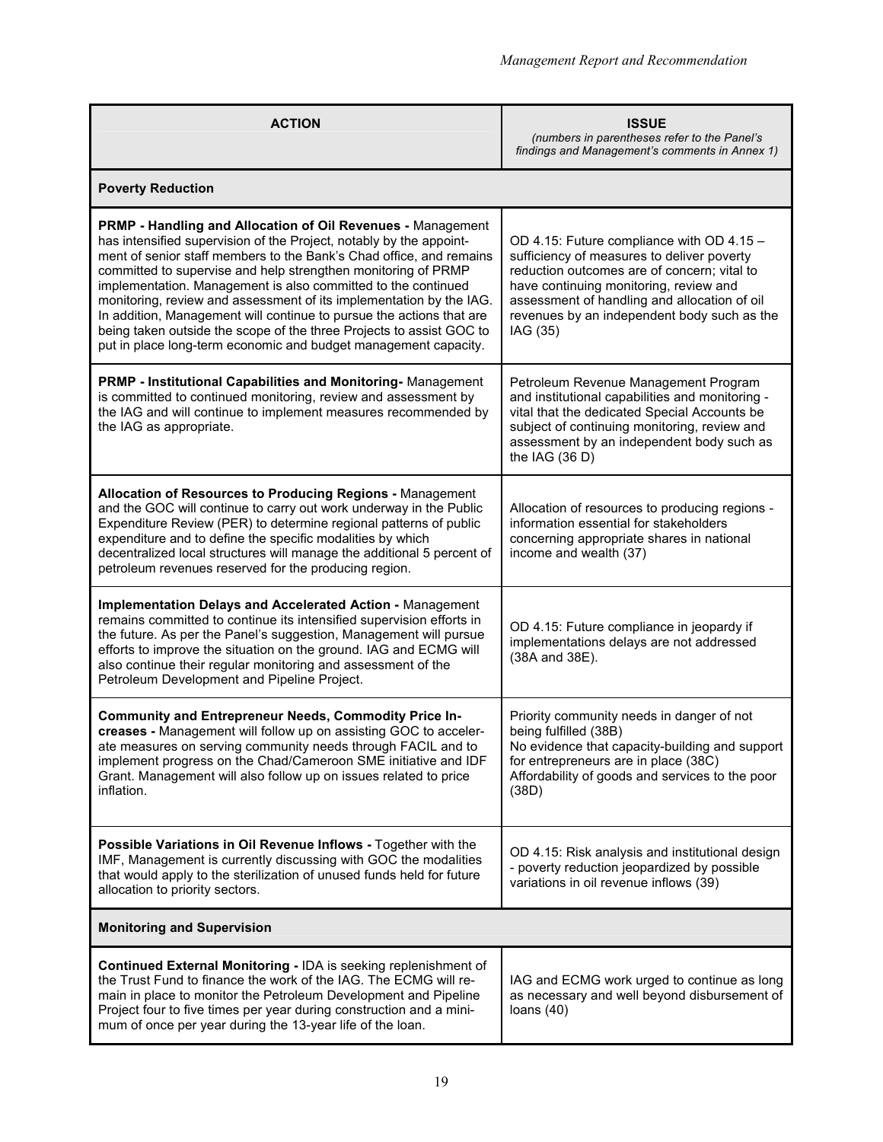| <b>ACTION</b>                                                                                                                                                                                                                                                                                                                                                                                                                                                                                                                                                                                                                         | <b>ISSUE</b><br>(numbers in parentheses refer to the Panel's<br>findings and Management's comments in Annex 1)                                                                                                                                                                              |  |
|---------------------------------------------------------------------------------------------------------------------------------------------------------------------------------------------------------------------------------------------------------------------------------------------------------------------------------------------------------------------------------------------------------------------------------------------------------------------------------------------------------------------------------------------------------------------------------------------------------------------------------------|---------------------------------------------------------------------------------------------------------------------------------------------------------------------------------------------------------------------------------------------------------------------------------------------|--|
| <b>Poverty Reduction</b>                                                                                                                                                                                                                                                                                                                                                                                                                                                                                                                                                                                                              |                                                                                                                                                                                                                                                                                             |  |
| PRMP - Handling and Allocation of Oil Revenues - Management<br>has intensified supervision of the Project, notably by the appoint-<br>ment of senior staff members to the Bank's Chad office, and remains<br>committed to supervise and help strengthen monitoring of PRMP<br>implementation. Management is also committed to the continued<br>monitoring, review and assessment of its implementation by the IAG.<br>In addition, Management will continue to pursue the actions that are<br>being taken outside the scope of the three Projects to assist GOC to<br>put in place long-term economic and budget management capacity. | OD 4.15: Future compliance with OD 4.15 -<br>sufficiency of measures to deliver poverty<br>reduction outcomes are of concern; vital to<br>have continuing monitoring, review and<br>assessment of handling and allocation of oil<br>revenues by an independent body such as the<br>IAG (35) |  |
| PRMP - Institutional Capabilities and Monitoring-Management<br>is committed to continued monitoring, review and assessment by<br>the IAG and will continue to implement measures recommended by<br>the IAG as appropriate.                                                                                                                                                                                                                                                                                                                                                                                                            | Petroleum Revenue Management Program<br>and institutional capabilities and monitoring -<br>vital that the dedicated Special Accounts be<br>subject of continuing monitoring, review and<br>assessment by an independent body such as<br>the IAG $(36 D)$                                    |  |
| Allocation of Resources to Producing Regions - Management<br>and the GOC will continue to carry out work underway in the Public<br>Expenditure Review (PER) to determine regional patterns of public<br>expenditure and to define the specific modalities by which<br>decentralized local structures will manage the additional 5 percent of<br>petroleum revenues reserved for the producing region.                                                                                                                                                                                                                                 | Allocation of resources to producing regions -<br>information essential for stakeholders<br>concerning appropriate shares in national<br>income and wealth (37)                                                                                                                             |  |
| <b>Implementation Delays and Accelerated Action - Management</b><br>remains committed to continue its intensified supervision efforts in<br>the future. As per the Panel's suggestion, Management will pursue<br>efforts to improve the situation on the ground. IAG and ECMG will<br>also continue their regular monitoring and assessment of the<br>Petroleum Development and Pipeline Project.                                                                                                                                                                                                                                     | OD 4.15: Future compliance in jeopardy if<br>implementations delays are not addressed<br>(38A and 38E).                                                                                                                                                                                     |  |
| <b>Community and Entrepreneur Needs, Commodity Price In-</b><br>creases - Management will follow up on assisting GOC to acceler-<br>ate measures on serving community needs through FACIL and to<br>implement progress on the Chad/Cameroon SME initiative and IDF<br>Grant. Management will also follow up on issues related to price<br>inflation.                                                                                                                                                                                                                                                                                  | Priority community needs in danger of not<br>being fulfilled (38B)<br>No evidence that capacity-building and support<br>for entrepreneurs are in place (38C)<br>Affordability of goods and services to the poor<br>(38D)                                                                    |  |
| Possible Variations in Oil Revenue Inflows - Together with the<br>IMF, Management is currently discussing with GOC the modalities<br>that would apply to the sterilization of unused funds held for future<br>allocation to priority sectors.                                                                                                                                                                                                                                                                                                                                                                                         | OD 4.15: Risk analysis and institutional design<br>- poverty reduction jeopardized by possible<br>variations in oil revenue inflows (39)                                                                                                                                                    |  |
| <b>Monitoring and Supervision</b>                                                                                                                                                                                                                                                                                                                                                                                                                                                                                                                                                                                                     |                                                                                                                                                                                                                                                                                             |  |
| Continued External Monitoring - IDA is seeking replenishment of<br>the Trust Fund to finance the work of the IAG. The ECMG will re-<br>main in place to monitor the Petroleum Development and Pipeline<br>Project four to five times per year during construction and a mini-<br>mum of once per year during the 13-year life of the loan.                                                                                                                                                                                                                                                                                            | IAG and ECMG work urged to continue as long<br>as necessary and well beyond disbursement of<br>loans $(40)$                                                                                                                                                                                 |  |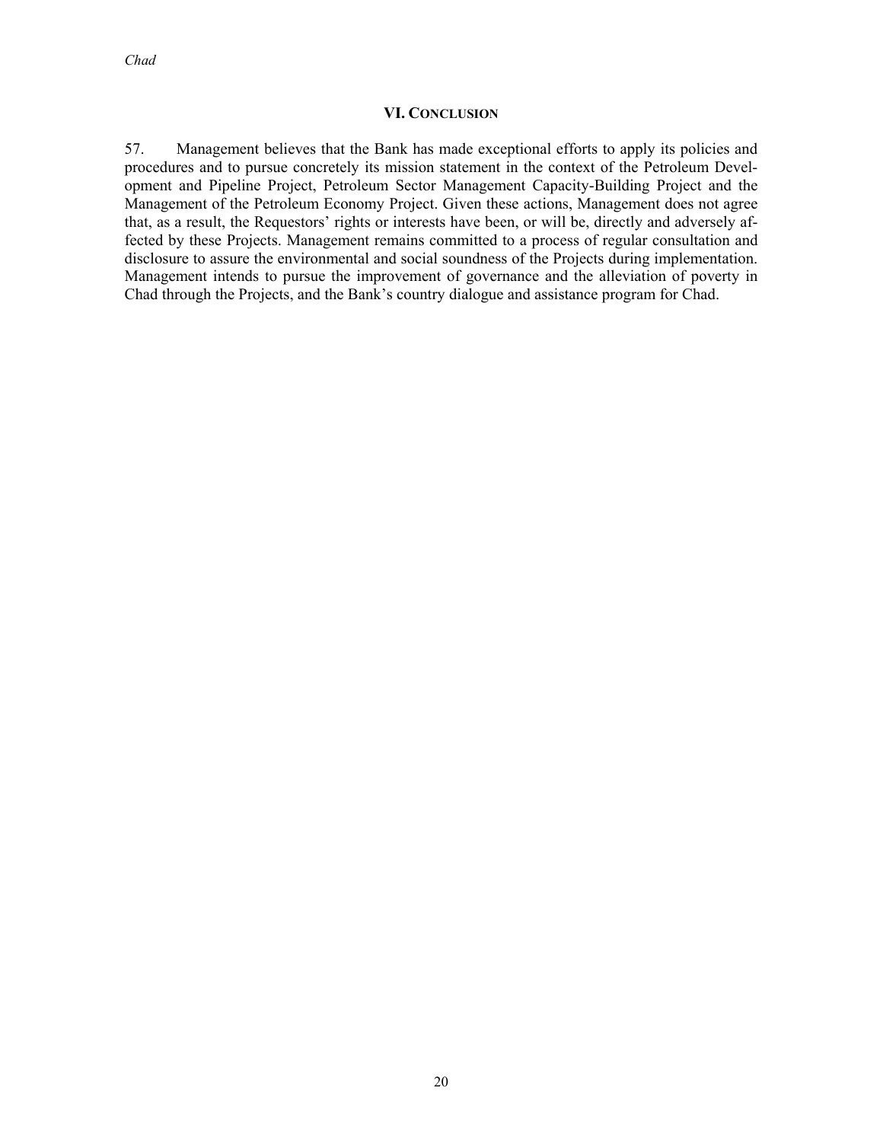#### **VI. CONCLUSION**

57. Management believes that the Bank has made exceptional efforts to apply its policies and procedures and to pursue concretely its mission statement in the context of the Petroleum Development and Pipeline Project, Petroleum Sector Management Capacity-Building Project and the Management of the Petroleum Economy Project. Given these actions, Management does not agree that, as a result, the Requestors' rights or interests have been, or will be, directly and adversely affected by these Projects. Management remains committed to a process of regular consultation and disclosure to assure the environmental and social soundness of the Projects during implementation. Management intends to pursue the improvement of governance and the alleviation of poverty in Chad through the Projects, and the Bank's country dialogue and assistance program for Chad.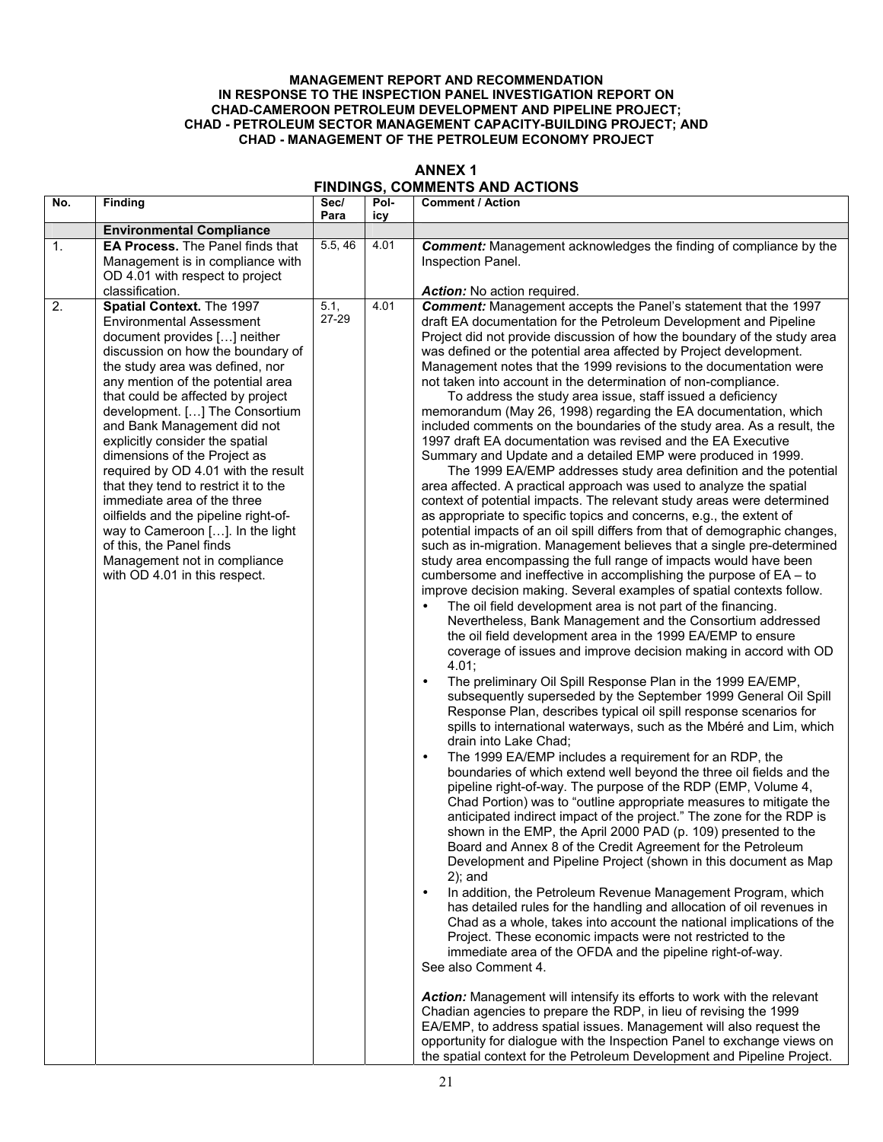#### **MANAGEMENT REPORT AND RECOMMENDATION IN RESPONSE TO THE INSPECTION PANEL INVESTIGATION REPORT ON CHAD-CAMEROON PETROLEUM DEVELOPMENT AND PIPELINE PROJECT; CHAD - PETROLEUM SECTOR MANAGEMENT CAPACITY-BUILDING PROJECT; AND CHAD - MANAGEMENT OF THE PETROLEUM ECONOMY PROJECT**

| <b>ANNEX 1</b>                        |
|---------------------------------------|
| <b>FINDINGS, COMMENTS AND ACTIONS</b> |

| No. | <b>Finding</b>                                                                                                                                                                                                                                                                                                                                                                                                                                                                                                                                                                                                                                                            | Sec/<br>Para  | Pol-<br>icy | <b>Comment / Action</b>                                                                                                                                                                                                                                                                                                                                                                                                                                                                                                                                                                                                                                                                                                                                                                                                                                                                                                                                                                                                                                                                                                                                                                                                                                                                                                                                                                                                                                                                                                                                                                                                                                                                                                                                                                                                                                                                                                                                                                                                                                                                                                                                                                                                                                                                                                                                                                                                                                                                                                                                                                                                                                                                                                                                                                                                                                                                                                                                                                                                                                                                                                                                                                                                                                                                                                                                                                                           |
|-----|---------------------------------------------------------------------------------------------------------------------------------------------------------------------------------------------------------------------------------------------------------------------------------------------------------------------------------------------------------------------------------------------------------------------------------------------------------------------------------------------------------------------------------------------------------------------------------------------------------------------------------------------------------------------------|---------------|-------------|-------------------------------------------------------------------------------------------------------------------------------------------------------------------------------------------------------------------------------------------------------------------------------------------------------------------------------------------------------------------------------------------------------------------------------------------------------------------------------------------------------------------------------------------------------------------------------------------------------------------------------------------------------------------------------------------------------------------------------------------------------------------------------------------------------------------------------------------------------------------------------------------------------------------------------------------------------------------------------------------------------------------------------------------------------------------------------------------------------------------------------------------------------------------------------------------------------------------------------------------------------------------------------------------------------------------------------------------------------------------------------------------------------------------------------------------------------------------------------------------------------------------------------------------------------------------------------------------------------------------------------------------------------------------------------------------------------------------------------------------------------------------------------------------------------------------------------------------------------------------------------------------------------------------------------------------------------------------------------------------------------------------------------------------------------------------------------------------------------------------------------------------------------------------------------------------------------------------------------------------------------------------------------------------------------------------------------------------------------------------------------------------------------------------------------------------------------------------------------------------------------------------------------------------------------------------------------------------------------------------------------------------------------------------------------------------------------------------------------------------------------------------------------------------------------------------------------------------------------------------------------------------------------------------------------------------------------------------------------------------------------------------------------------------------------------------------------------------------------------------------------------------------------------------------------------------------------------------------------------------------------------------------------------------------------------------------------------------------------------------------------------------------------------------|
|     | <b>Environmental Compliance</b>                                                                                                                                                                                                                                                                                                                                                                                                                                                                                                                                                                                                                                           |               |             |                                                                                                                                                                                                                                                                                                                                                                                                                                                                                                                                                                                                                                                                                                                                                                                                                                                                                                                                                                                                                                                                                                                                                                                                                                                                                                                                                                                                                                                                                                                                                                                                                                                                                                                                                                                                                                                                                                                                                                                                                                                                                                                                                                                                                                                                                                                                                                                                                                                                                                                                                                                                                                                                                                                                                                                                                                                                                                                                                                                                                                                                                                                                                                                                                                                                                                                                                                                                                   |
| 1.  | EA Process. The Panel finds that                                                                                                                                                                                                                                                                                                                                                                                                                                                                                                                                                                                                                                          | 5.5, 46       | 4.01        | <b>Comment:</b> Management acknowledges the finding of compliance by the                                                                                                                                                                                                                                                                                                                                                                                                                                                                                                                                                                                                                                                                                                                                                                                                                                                                                                                                                                                                                                                                                                                                                                                                                                                                                                                                                                                                                                                                                                                                                                                                                                                                                                                                                                                                                                                                                                                                                                                                                                                                                                                                                                                                                                                                                                                                                                                                                                                                                                                                                                                                                                                                                                                                                                                                                                                                                                                                                                                                                                                                                                                                                                                                                                                                                                                                          |
|     | Management is in compliance with                                                                                                                                                                                                                                                                                                                                                                                                                                                                                                                                                                                                                                          |               |             | Inspection Panel.                                                                                                                                                                                                                                                                                                                                                                                                                                                                                                                                                                                                                                                                                                                                                                                                                                                                                                                                                                                                                                                                                                                                                                                                                                                                                                                                                                                                                                                                                                                                                                                                                                                                                                                                                                                                                                                                                                                                                                                                                                                                                                                                                                                                                                                                                                                                                                                                                                                                                                                                                                                                                                                                                                                                                                                                                                                                                                                                                                                                                                                                                                                                                                                                                                                                                                                                                                                                 |
|     | OD 4.01 with respect to project                                                                                                                                                                                                                                                                                                                                                                                                                                                                                                                                                                                                                                           |               |             |                                                                                                                                                                                                                                                                                                                                                                                                                                                                                                                                                                                                                                                                                                                                                                                                                                                                                                                                                                                                                                                                                                                                                                                                                                                                                                                                                                                                                                                                                                                                                                                                                                                                                                                                                                                                                                                                                                                                                                                                                                                                                                                                                                                                                                                                                                                                                                                                                                                                                                                                                                                                                                                                                                                                                                                                                                                                                                                                                                                                                                                                                                                                                                                                                                                                                                                                                                                                                   |
|     | classification.                                                                                                                                                                                                                                                                                                                                                                                                                                                                                                                                                                                                                                                           |               |             | Action: No action required.                                                                                                                                                                                                                                                                                                                                                                                                                                                                                                                                                                                                                                                                                                                                                                                                                                                                                                                                                                                                                                                                                                                                                                                                                                                                                                                                                                                                                                                                                                                                                                                                                                                                                                                                                                                                                                                                                                                                                                                                                                                                                                                                                                                                                                                                                                                                                                                                                                                                                                                                                                                                                                                                                                                                                                                                                                                                                                                                                                                                                                                                                                                                                                                                                                                                                                                                                                                       |
| 2.  | Spatial Context. The 1997<br><b>Environmental Assessment</b><br>document provides [] neither<br>discussion on how the boundary of<br>the study area was defined, nor<br>any mention of the potential area<br>that could be affected by project<br>development. [] The Consortium<br>and Bank Management did not<br>explicitly consider the spatial<br>dimensions of the Project as<br>required by OD 4.01 with the result<br>that they tend to restrict it to the<br>immediate area of the three<br>oilfields and the pipeline right-of-<br>way to Cameroon []. In the light<br>of this, the Panel finds<br>Management not in compliance<br>with OD 4.01 in this respect. | 5.1,<br>27-29 | 4.01        | <b>Comment:</b> Management accepts the Panel's statement that the 1997<br>draft EA documentation for the Petroleum Development and Pipeline<br>Project did not provide discussion of how the boundary of the study area<br>was defined or the potential area affected by Project development.<br>Management notes that the 1999 revisions to the documentation were<br>not taken into account in the determination of non-compliance.<br>To address the study area issue, staff issued a deficiency<br>memorandum (May 26, 1998) regarding the EA documentation, which<br>included comments on the boundaries of the study area. As a result, the<br>1997 draft EA documentation was revised and the EA Executive<br>Summary and Update and a detailed EMP were produced in 1999.<br>The 1999 EA/EMP addresses study area definition and the potential<br>area affected. A practical approach was used to analyze the spatial<br>context of potential impacts. The relevant study areas were determined<br>as appropriate to specific topics and concerns, e.g., the extent of<br>potential impacts of an oil spill differs from that of demographic changes,<br>such as in-migration. Management believes that a single pre-determined<br>study area encompassing the full range of impacts would have been<br>cumbersome and ineffective in accomplishing the purpose of EA - to<br>improve decision making. Several examples of spatial contexts follow.<br>The oil field development area is not part of the financing.<br>$\bullet$<br>Nevertheless, Bank Management and the Consortium addressed<br>the oil field development area in the 1999 EA/EMP to ensure<br>coverage of issues and improve decision making in accord with OD<br>4.01;<br>The preliminary Oil Spill Response Plan in the 1999 EA/EMP,<br>$\bullet$<br>subsequently superseded by the September 1999 General Oil Spill<br>Response Plan, describes typical oil spill response scenarios for<br>spills to international waterways, such as the Mbéré and Lim, which<br>drain into Lake Chad;<br>The 1999 EA/EMP includes a requirement for an RDP, the<br>$\bullet$<br>boundaries of which extend well beyond the three oil fields and the<br>pipeline right-of-way. The purpose of the RDP (EMP, Volume 4,<br>Chad Portion) was to "outline appropriate measures to mitigate the<br>anticipated indirect impact of the project." The zone for the RDP is<br>shown in the EMP, the April 2000 PAD (p. 109) presented to the<br>Board and Annex 8 of the Credit Agreement for the Petroleum<br>Development and Pipeline Project (shown in this document as Map<br>$2$ ; and<br>In addition, the Petroleum Revenue Management Program, which<br>$\bullet$<br>has detailed rules for the handling and allocation of oil revenues in<br>Chad as a whole, takes into account the national implications of the<br>Project. These economic impacts were not restricted to the<br>immediate area of the OFDA and the pipeline right-of-way.<br>See also Comment 4.<br>Action: Management will intensify its efforts to work with the relevant<br>Chadian agencies to prepare the RDP, in lieu of revising the 1999<br>EA/EMP, to address spatial issues. Management will also request the<br>opportunity for dialogue with the Inspection Panel to exchange views on<br>the spatial context for the Petroleum Development and Pipeline Project. |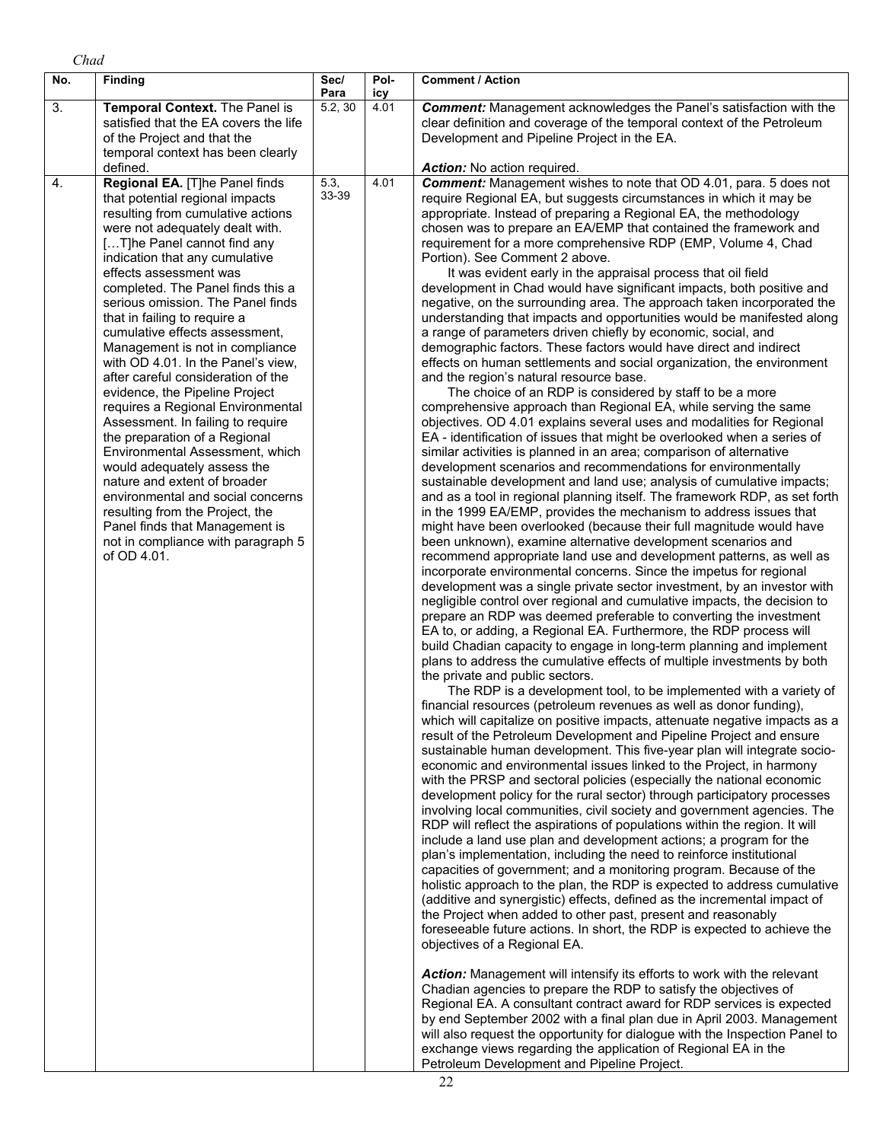| No. | <b>Finding</b>                                                                                                                                                                                                                                                                                                                                                                                                                                                                                                                                                                                                                                                                                                                                                                                                                                                                                                | Sec/<br>Para  | Pol-<br>icy | <b>Comment / Action</b>                                                                                                                                                                                                                                                                                                                                                                                                                                                                                                                                                                                                                                                                                                                                                                                                                                                                                                                                                                                                                                                                                                                                                                                                                                                                                                                                                                                                                                                                                                                                                                                                                                                                                                                                                                                                                                                                                                                                                                                                                                                                                                                                                                                                                                                                                                                                                                                                                                                                                                                                                                                                                                                                                                                                                                                                                                                                                                                                                                                                                                                                                                                                                                                                                                                                                                                                                                                                                                                                                                                                                                                                                                                                                                                                                                                                                                                                                                                                                                                                                                                                                                                                         |
|-----|---------------------------------------------------------------------------------------------------------------------------------------------------------------------------------------------------------------------------------------------------------------------------------------------------------------------------------------------------------------------------------------------------------------------------------------------------------------------------------------------------------------------------------------------------------------------------------------------------------------------------------------------------------------------------------------------------------------------------------------------------------------------------------------------------------------------------------------------------------------------------------------------------------------|---------------|-------------|-----------------------------------------------------------------------------------------------------------------------------------------------------------------------------------------------------------------------------------------------------------------------------------------------------------------------------------------------------------------------------------------------------------------------------------------------------------------------------------------------------------------------------------------------------------------------------------------------------------------------------------------------------------------------------------------------------------------------------------------------------------------------------------------------------------------------------------------------------------------------------------------------------------------------------------------------------------------------------------------------------------------------------------------------------------------------------------------------------------------------------------------------------------------------------------------------------------------------------------------------------------------------------------------------------------------------------------------------------------------------------------------------------------------------------------------------------------------------------------------------------------------------------------------------------------------------------------------------------------------------------------------------------------------------------------------------------------------------------------------------------------------------------------------------------------------------------------------------------------------------------------------------------------------------------------------------------------------------------------------------------------------------------------------------------------------------------------------------------------------------------------------------------------------------------------------------------------------------------------------------------------------------------------------------------------------------------------------------------------------------------------------------------------------------------------------------------------------------------------------------------------------------------------------------------------------------------------------------------------------------------------------------------------------------------------------------------------------------------------------------------------------------------------------------------------------------------------------------------------------------------------------------------------------------------------------------------------------------------------------------------------------------------------------------------------------------------------------------------------------------------------------------------------------------------------------------------------------------------------------------------------------------------------------------------------------------------------------------------------------------------------------------------------------------------------------------------------------------------------------------------------------------------------------------------------------------------------------------------------------------------------------------------------------------------------------------------------------------------------------------------------------------------------------------------------------------------------------------------------------------------------------------------------------------------------------------------------------------------------------------------------------------------------------------------------------------------------------------------------------------------------------------------------------|
| 3.  | Temporal Context. The Panel is<br>satisfied that the EA covers the life<br>of the Project and that the<br>temporal context has been clearly<br>defined.                                                                                                                                                                                                                                                                                                                                                                                                                                                                                                                                                                                                                                                                                                                                                       | 5.2, 30       | 4.01        | <b>Comment:</b> Management acknowledges the Panel's satisfaction with the<br>clear definition and coverage of the temporal context of the Petroleum<br>Development and Pipeline Project in the EA.<br><b>Action:</b> No action required.                                                                                                                                                                                                                                                                                                                                                                                                                                                                                                                                                                                                                                                                                                                                                                                                                                                                                                                                                                                                                                                                                                                                                                                                                                                                                                                                                                                                                                                                                                                                                                                                                                                                                                                                                                                                                                                                                                                                                                                                                                                                                                                                                                                                                                                                                                                                                                                                                                                                                                                                                                                                                                                                                                                                                                                                                                                                                                                                                                                                                                                                                                                                                                                                                                                                                                                                                                                                                                                                                                                                                                                                                                                                                                                                                                                                                                                                                                                        |
| 4.  | Regional EA. [T]he Panel finds<br>that potential regional impacts<br>resulting from cumulative actions<br>were not adequately dealt with.<br>[T]he Panel cannot find any<br>indication that any cumulative<br>effects assessment was<br>completed. The Panel finds this a<br>serious omission. The Panel finds<br>that in failing to require a<br>cumulative effects assessment.<br>Management is not in compliance<br>with OD 4.01. In the Panel's view,<br>after careful consideration of the<br>evidence, the Pipeline Project<br>requires a Regional Environmental<br>Assessment. In failing to require<br>the preparation of a Regional<br>Environmental Assessment, which<br>would adequately assess the<br>nature and extent of broader<br>environmental and social concerns<br>resulting from the Project, the<br>Panel finds that Management is<br>not in compliance with paragraph 5<br>of OD 4.01. | 5.3,<br>33-39 | 4.01        | <b>Comment:</b> Management wishes to note that OD 4.01, para. 5 does not<br>require Regional EA, but suggests circumstances in which it may be<br>appropriate. Instead of preparing a Regional EA, the methodology<br>chosen was to prepare an EA/EMP that contained the framework and<br>requirement for a more comprehensive RDP (EMP, Volume 4, Chad<br>Portion). See Comment 2 above.<br>It was evident early in the appraisal process that oil field<br>development in Chad would have significant impacts, both positive and<br>negative, on the surrounding area. The approach taken incorporated the<br>understanding that impacts and opportunities would be manifested along<br>a range of parameters driven chiefly by economic, social, and<br>demographic factors. These factors would have direct and indirect<br>effects on human settlements and social organization, the environment<br>and the region's natural resource base.<br>The choice of an RDP is considered by staff to be a more<br>comprehensive approach than Regional EA, while serving the same<br>objectives. OD 4.01 explains several uses and modalities for Regional<br>EA - identification of issues that might be overlooked when a series of<br>similar activities is planned in an area; comparison of alternative<br>development scenarios and recommendations for environmentally<br>sustainable development and land use; analysis of cumulative impacts;<br>and as a tool in regional planning itself. The framework RDP, as set forth<br>in the 1999 EA/EMP, provides the mechanism to address issues that<br>might have been overlooked (because their full magnitude would have<br>been unknown), examine alternative development scenarios and<br>recommend appropriate land use and development patterns, as well as<br>incorporate environmental concerns. Since the impetus for regional<br>development was a single private sector investment, by an investor with<br>negligible control over regional and cumulative impacts, the decision to<br>prepare an RDP was deemed preferable to converting the investment<br>EA to, or adding, a Regional EA. Furthermore, the RDP process will<br>build Chadian capacity to engage in long-term planning and implement<br>plans to address the cumulative effects of multiple investments by both<br>the private and public sectors.<br>The RDP is a development tool, to be implemented with a variety of<br>financial resources (petroleum revenues as well as donor funding),<br>which will capitalize on positive impacts, attenuate negative impacts as a<br>result of the Petroleum Development and Pipeline Project and ensure<br>sustainable human development. This five-year plan will integrate socio-<br>economic and environmental issues linked to the Project, in harmony<br>with the PRSP and sectoral policies (especially the national economic<br>development policy for the rural sector) through participatory processes<br>involving local communities, civil society and government agencies. The<br>RDP will reflect the aspirations of populations within the region. It will<br>include a land use plan and development actions; a program for the<br>plan's implementation, including the need to reinforce institutional<br>capacities of government; and a monitoring program. Because of the<br>holistic approach to the plan, the RDP is expected to address cumulative<br>(additive and synergistic) effects, defined as the incremental impact of<br>the Project when added to other past, present and reasonably<br>foreseeable future actions. In short, the RDP is expected to achieve the<br>objectives of a Regional EA.<br>Action: Management will intensify its efforts to work with the relevant<br>Chadian agencies to prepare the RDP to satisfy the objectives of<br>Regional EA. A consultant contract award for RDP services is expected<br>by end September 2002 with a final plan due in April 2003. Management<br>will also request the opportunity for dialogue with the Inspection Panel to<br>exchange views regarding the application of Regional EA in the |

Petroleum Development and Pipeline Project.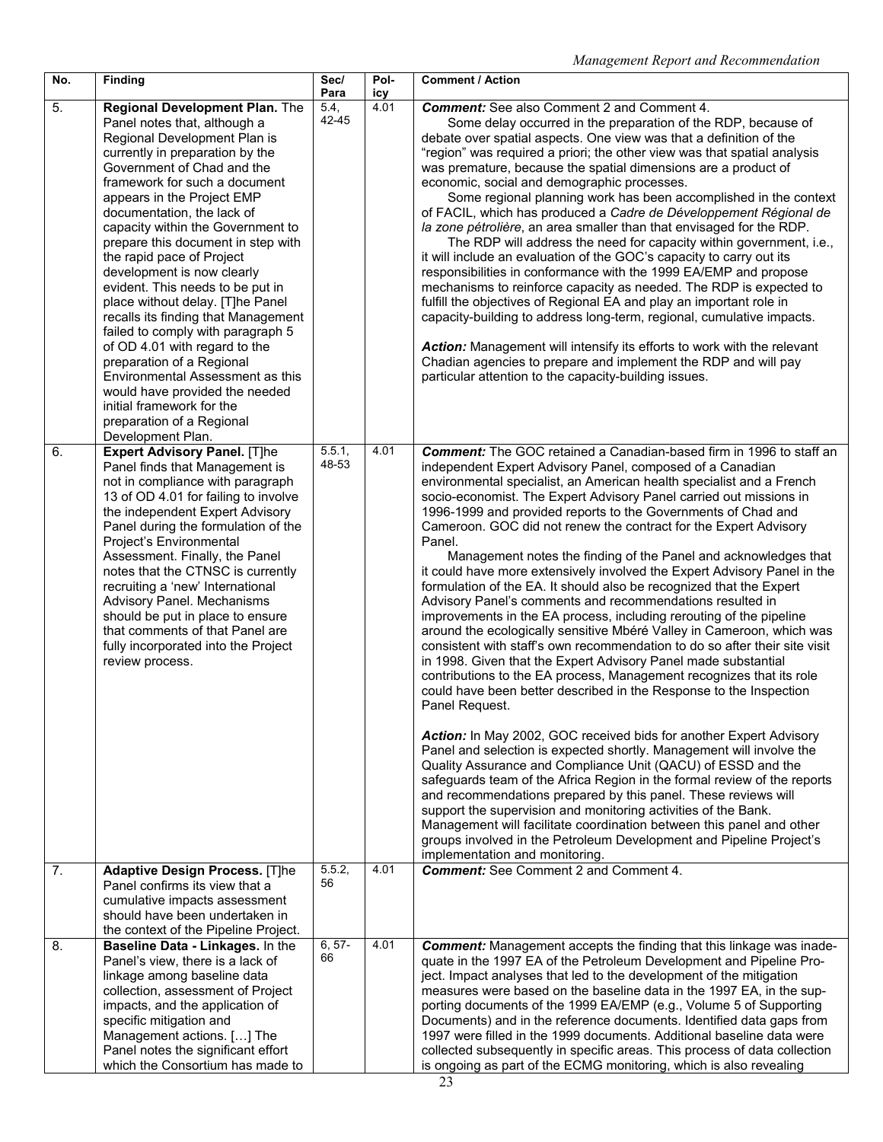| No. | Finding                                                                                                                                                                                                                                                                                                                                                                                                                                                                                                                                                                                                                                                                                                                                                                   | Sec/<br>Para    | Pol-<br>icy | <b>Comment / Action</b>                                                                                                                                                                                                                                                                                                                                                                                                                                                                                                                                                                                                                                                                                                                                                                                                                                                                                                                                                                                                                                                                                                                                                                                                                                                                                                                                                                                                                                                                                                                                                                                                                                                                                                                                                                                |
|-----|---------------------------------------------------------------------------------------------------------------------------------------------------------------------------------------------------------------------------------------------------------------------------------------------------------------------------------------------------------------------------------------------------------------------------------------------------------------------------------------------------------------------------------------------------------------------------------------------------------------------------------------------------------------------------------------------------------------------------------------------------------------------------|-----------------|-------------|--------------------------------------------------------------------------------------------------------------------------------------------------------------------------------------------------------------------------------------------------------------------------------------------------------------------------------------------------------------------------------------------------------------------------------------------------------------------------------------------------------------------------------------------------------------------------------------------------------------------------------------------------------------------------------------------------------------------------------------------------------------------------------------------------------------------------------------------------------------------------------------------------------------------------------------------------------------------------------------------------------------------------------------------------------------------------------------------------------------------------------------------------------------------------------------------------------------------------------------------------------------------------------------------------------------------------------------------------------------------------------------------------------------------------------------------------------------------------------------------------------------------------------------------------------------------------------------------------------------------------------------------------------------------------------------------------------------------------------------------------------------------------------------------------------|
| 5.  | Regional Development Plan. The<br>Panel notes that, although a<br>Regional Development Plan is<br>currently in preparation by the<br>Government of Chad and the<br>framework for such a document<br>appears in the Project EMP<br>documentation, the lack of<br>capacity within the Government to<br>prepare this document in step with<br>the rapid pace of Project<br>development is now clearly<br>evident. This needs to be put in<br>place without delay. [T]he Panel<br>recalls its finding that Management<br>failed to comply with paragraph 5<br>of OD 4.01 with regard to the<br>preparation of a Regional<br>Environmental Assessment as this<br>would have provided the needed<br>initial framework for the<br>preparation of a Regional<br>Development Plan. | 5.4,<br>42-45   | 4.01        | <b>Comment:</b> See also Comment 2 and Comment 4.<br>Some delay occurred in the preparation of the RDP, because of<br>debate over spatial aspects. One view was that a definition of the<br>"region" was required a priori; the other view was that spatial analysis<br>was premature, because the spatial dimensions are a product of<br>economic, social and demographic processes.<br>Some regional planning work has been accomplished in the context<br>of FACIL, which has produced a Cadre de Développement Régional de<br>la zone pétrolière, an area smaller than that envisaged for the RDP.<br>The RDP will address the need for capacity within government, i.e.,<br>it will include an evaluation of the GOC's capacity to carry out its<br>responsibilities in conformance with the 1999 EA/EMP and propose<br>mechanisms to reinforce capacity as needed. The RDP is expected to<br>fulfill the objectives of Regional EA and play an important role in<br>capacity-building to address long-term, regional, cumulative impacts.<br>Action: Management will intensify its efforts to work with the relevant<br>Chadian agencies to prepare and implement the RDP and will pay<br>particular attention to the capacity-building issues.                                                                                                                                                                                                                                                                                                                                                                                                                                                                                                                                                  |
| 6.  | <b>Expert Advisory Panel. [T]he</b><br>Panel finds that Management is<br>not in compliance with paragraph<br>13 of OD 4.01 for failing to involve<br>the independent Expert Advisory<br>Panel during the formulation of the<br>Project's Environmental<br>Assessment. Finally, the Panel<br>notes that the CTNSC is currently<br>recruiting a 'new' International<br>Advisory Panel. Mechanisms<br>should be put in place to ensure<br>that comments of that Panel are<br>fully incorporated into the Project<br>review process.                                                                                                                                                                                                                                          | 5.5.1,<br>48-53 | 4.01        | <b>Comment:</b> The GOC retained a Canadian-based firm in 1996 to staff an<br>independent Expert Advisory Panel, composed of a Canadian<br>environmental specialist, an American health specialist and a French<br>socio-economist. The Expert Advisory Panel carried out missions in<br>1996-1999 and provided reports to the Governments of Chad and<br>Cameroon. GOC did not renew the contract for the Expert Advisory<br>Panel.<br>Management notes the finding of the Panel and acknowledges that<br>it could have more extensively involved the Expert Advisory Panel in the<br>formulation of the EA. It should also be recognized that the Expert<br>Advisory Panel's comments and recommendations resulted in<br>improvements in the EA process, including rerouting of the pipeline<br>around the ecologically sensitive Mbéré Valley in Cameroon, which was<br>consistent with staff's own recommendation to do so after their site visit<br>in 1998. Given that the Expert Advisory Panel made substantial<br>contributions to the EA process, Management recognizes that its role<br>could have been better described in the Response to the Inspection<br>Panel Request.<br>Action: In May 2002, GOC received bids for another Expert Advisory<br>Panel and selection is expected shortly. Management will involve the<br>Quality Assurance and Compliance Unit (QACU) of ESSD and the<br>safeguards team of the Africa Region in the formal review of the reports<br>and recommendations prepared by this panel. These reviews will<br>support the supervision and monitoring activities of the Bank.<br>Management will facilitate coordination between this panel and other<br>groups involved in the Petroleum Development and Pipeline Project's<br>implementation and monitoring. |
| 7.  | <b>Adaptive Design Process. [T]he</b><br>Panel confirms its view that a<br>cumulative impacts assessment<br>should have been undertaken in<br>the context of the Pipeline Project.                                                                                                                                                                                                                                                                                                                                                                                                                                                                                                                                                                                        | 5.5.2,<br>56    | 4.01        | <b>Comment:</b> See Comment 2 and Comment 4.                                                                                                                                                                                                                                                                                                                                                                                                                                                                                                                                                                                                                                                                                                                                                                                                                                                                                                                                                                                                                                                                                                                                                                                                                                                                                                                                                                                                                                                                                                                                                                                                                                                                                                                                                           |
| 8.  | Baseline Data - Linkages. In the<br>Panel's view, there is a lack of<br>linkage among baseline data<br>collection, assessment of Project<br>impacts, and the application of<br>specific mitigation and<br>Management actions. [] The<br>Panel notes the significant effort<br>which the Consortium has made to                                                                                                                                                                                                                                                                                                                                                                                                                                                            | $6, 57-$<br>66  | 4.01        | <b>Comment:</b> Management accepts the finding that this linkage was inade-<br>quate in the 1997 EA of the Petroleum Development and Pipeline Pro-<br>ject. Impact analyses that led to the development of the mitigation<br>measures were based on the baseline data in the 1997 EA, in the sup-<br>porting documents of the 1999 EA/EMP (e.g., Volume 5 of Supporting<br>Documents) and in the reference documents. Identified data gaps from<br>1997 were filled in the 1999 documents. Additional baseline data were<br>collected subsequently in specific areas. This process of data collection<br>is ongoing as part of the ECMG monitoring, which is also revealing                                                                                                                                                                                                                                                                                                                                                                                                                                                                                                                                                                                                                                                                                                                                                                                                                                                                                                                                                                                                                                                                                                                            |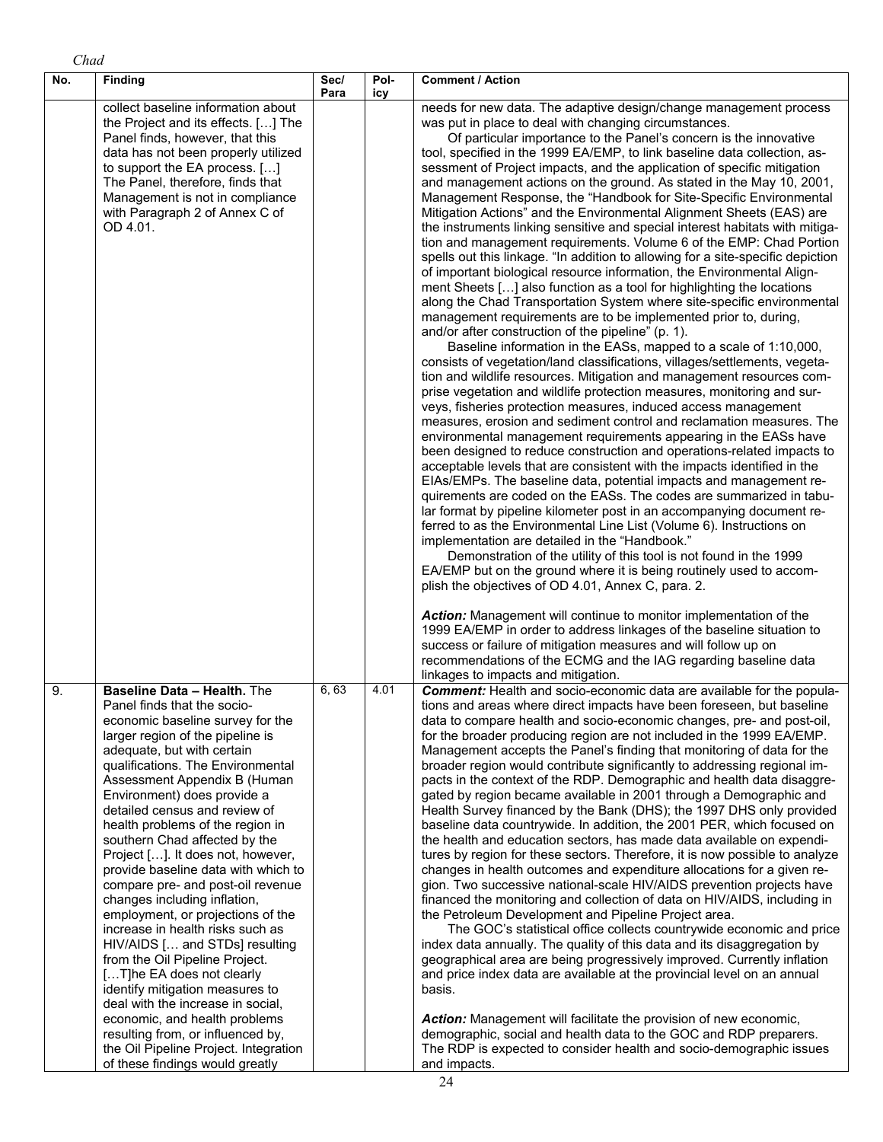| No. | <b>Finding</b>                                                                                                                                                                                                                                                                                                                                                                                                                                                                                                                                                                                                                                                                                                                                                                                                                                                                               | Sec/<br>Para | Pol-<br>icy | <b>Comment / Action</b>                                                                                                                                                                                                                                                                                                                                                                                                                                                                                                                                                                                                                                                                                                                                                                                                                                                                                                                                                                                                                                                                                                                                                                                                                                                                                                                                                                                                                                                                                                                                                                                                                                                                                                                                                                                                                                                                                                                                                                                                                                                                                                                                                                                                                                                                                                                                                                                                                                                                                                                                                                                                                                                                                                              |
|-----|----------------------------------------------------------------------------------------------------------------------------------------------------------------------------------------------------------------------------------------------------------------------------------------------------------------------------------------------------------------------------------------------------------------------------------------------------------------------------------------------------------------------------------------------------------------------------------------------------------------------------------------------------------------------------------------------------------------------------------------------------------------------------------------------------------------------------------------------------------------------------------------------|--------------|-------------|--------------------------------------------------------------------------------------------------------------------------------------------------------------------------------------------------------------------------------------------------------------------------------------------------------------------------------------------------------------------------------------------------------------------------------------------------------------------------------------------------------------------------------------------------------------------------------------------------------------------------------------------------------------------------------------------------------------------------------------------------------------------------------------------------------------------------------------------------------------------------------------------------------------------------------------------------------------------------------------------------------------------------------------------------------------------------------------------------------------------------------------------------------------------------------------------------------------------------------------------------------------------------------------------------------------------------------------------------------------------------------------------------------------------------------------------------------------------------------------------------------------------------------------------------------------------------------------------------------------------------------------------------------------------------------------------------------------------------------------------------------------------------------------------------------------------------------------------------------------------------------------------------------------------------------------------------------------------------------------------------------------------------------------------------------------------------------------------------------------------------------------------------------------------------------------------------------------------------------------------------------------------------------------------------------------------------------------------------------------------------------------------------------------------------------------------------------------------------------------------------------------------------------------------------------------------------------------------------------------------------------------------------------------------------------------------------------------------------------------|
|     | collect baseline information about<br>the Project and its effects. [] The<br>Panel finds, however, that this<br>data has not been properly utilized<br>to support the EA process. []<br>The Panel, therefore, finds that<br>Management is not in compliance<br>with Paragraph 2 of Annex C of<br>OD 4.01.                                                                                                                                                                                                                                                                                                                                                                                                                                                                                                                                                                                    |              |             | needs for new data. The adaptive design/change management process<br>was put in place to deal with changing circumstances.<br>Of particular importance to the Panel's concern is the innovative<br>tool, specified in the 1999 EA/EMP, to link baseline data collection, as-<br>sessment of Project impacts, and the application of specific mitigation<br>and management actions on the ground. As stated in the May 10, 2001,<br>Management Response, the "Handbook for Site-Specific Environmental<br>Mitigation Actions" and the Environmental Alignment Sheets (EAS) are<br>the instruments linking sensitive and special interest habitats with mitiga-<br>tion and management requirements. Volume 6 of the EMP: Chad Portion<br>spells out this linkage. "In addition to allowing for a site-specific depiction<br>of important biological resource information, the Environmental Align-<br>ment Sheets [] also function as a tool for highlighting the locations<br>along the Chad Transportation System where site-specific environmental<br>management requirements are to be implemented prior to, during,<br>and/or after construction of the pipeline" (p. 1).<br>Baseline information in the EASs, mapped to a scale of 1:10,000,<br>consists of vegetation/land classifications, villages/settlements, vegeta-<br>tion and wildlife resources. Mitigation and management resources com-<br>prise vegetation and wildlife protection measures, monitoring and sur-<br>veys, fisheries protection measures, induced access management<br>measures, erosion and sediment control and reclamation measures. The<br>environmental management requirements appearing in the EASs have<br>been designed to reduce construction and operations-related impacts to<br>acceptable levels that are consistent with the impacts identified in the<br>EIAs/EMPs. The baseline data, potential impacts and management re-<br>quirements are coded on the EASs. The codes are summarized in tabu-<br>lar format by pipeline kilometer post in an accompanying document re-<br>ferred to as the Environmental Line List (Volume 6). Instructions on<br>implementation are detailed in the "Handbook."<br>Demonstration of the utility of this tool is not found in the 1999<br>EA/EMP but on the ground where it is being routinely used to accom-<br>plish the objectives of OD 4.01, Annex C, para. 2.<br>Action: Management will continue to monitor implementation of the<br>1999 EA/EMP in order to address linkages of the baseline situation to<br>success or failure of mitigation measures and will follow up on<br>recommendations of the ECMG and the IAG regarding baseline data<br>linkages to impacts and mitigation. |
| 9.  | Baseline Data - Health. The<br>Panel finds that the socio-<br>economic baseline survey for the<br>larger region of the pipeline is<br>adequate, but with certain<br>qualifications. The Environmental<br>Assessment Appendix B (Human<br>Environment) does provide a<br>detailed census and review of<br>health problems of the region in<br>southern Chad affected by the<br>Project []. It does not, however,<br>provide baseline data with which to<br>compare pre- and post-oil revenue<br>changes including inflation,<br>employment, or projections of the<br>increase in health risks such as<br>HIV/AIDS [ and STDs] resulting<br>from the Oil Pipeline Project.<br>[T]he EA does not clearly<br>identify mitigation measures to<br>deal with the increase in social,<br>economic, and health problems<br>resulting from, or influenced by,<br>the Oil Pipeline Project. Integration | 6, 63        | 4.01        | <b>Comment:</b> Health and socio-economic data are available for the popula-<br>tions and areas where direct impacts have been foreseen, but baseline<br>data to compare health and socio-economic changes, pre- and post-oil,<br>for the broader producing region are not included in the 1999 EA/EMP.<br>Management accepts the Panel's finding that monitoring of data for the<br>broader region would contribute significantly to addressing regional im-<br>pacts in the context of the RDP. Demographic and health data disaggre-<br>gated by region became available in 2001 through a Demographic and<br>Health Survey financed by the Bank (DHS); the 1997 DHS only provided<br>baseline data countrywide. In addition, the 2001 PER, which focused on<br>the health and education sectors, has made data available on expendi-<br>tures by region for these sectors. Therefore, it is now possible to analyze<br>changes in health outcomes and expenditure allocations for a given re-<br>gion. Two successive national-scale HIV/AIDS prevention projects have<br>financed the monitoring and collection of data on HIV/AIDS, including in<br>the Petroleum Development and Pipeline Project area.<br>The GOC's statistical office collects countrywide economic and price<br>index data annually. The quality of this data and its disaggregation by<br>geographical area are being progressively improved. Currently inflation<br>and price index data are available at the provincial level on an annual<br>basis.<br>Action: Management will facilitate the provision of new economic,<br>demographic, social and health data to the GOC and RDP preparers.<br>The RDP is expected to consider health and socio-demographic issues                                                                                                                                                                                                                                                                                                                                                                                                                                                                                                                                                                                                                                                                                                                                                                                                                                                                                                                                                                                   |

*Chad* 

and impacts.

of these findings would greatly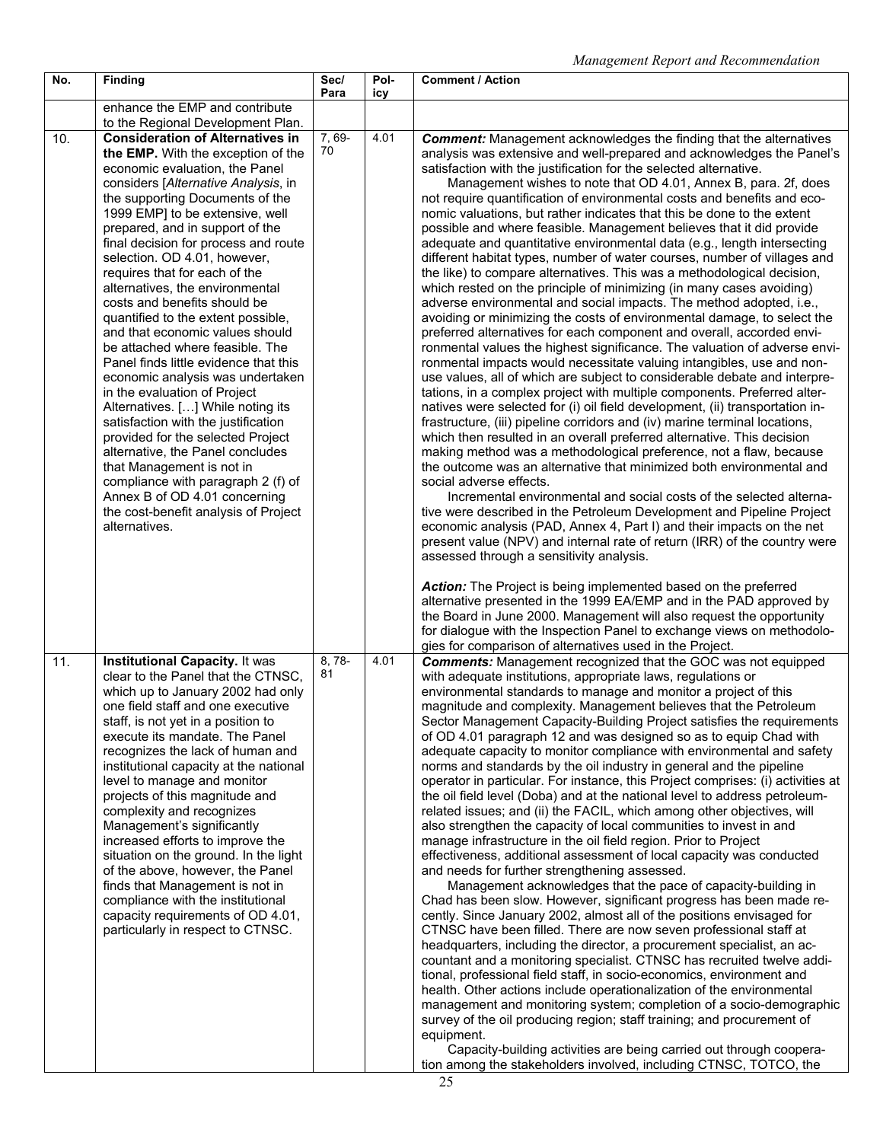| No. | <b>Finding</b>                                                                                                                                                                                                                                                                                                                                                                                                                                                                                                                                                                                                                                                                                                                                                                                                                                                                                                                                                                         | Sec/<br>Para | Pol-<br>icy | <b>Comment / Action</b>                                                                                                                                                                                                                                                                                                                                                                                                                                                                                                                                                                                                                                                                                                                                                                                                                                                                                                                                                                                                                                                                                                                                                                                                                                                                                                                                                                                                                                                                                                                                                                                                                                                                                                                                                                                                                                                                                                                                                                                                                                                                                                                       |
|-----|----------------------------------------------------------------------------------------------------------------------------------------------------------------------------------------------------------------------------------------------------------------------------------------------------------------------------------------------------------------------------------------------------------------------------------------------------------------------------------------------------------------------------------------------------------------------------------------------------------------------------------------------------------------------------------------------------------------------------------------------------------------------------------------------------------------------------------------------------------------------------------------------------------------------------------------------------------------------------------------|--------------|-------------|-----------------------------------------------------------------------------------------------------------------------------------------------------------------------------------------------------------------------------------------------------------------------------------------------------------------------------------------------------------------------------------------------------------------------------------------------------------------------------------------------------------------------------------------------------------------------------------------------------------------------------------------------------------------------------------------------------------------------------------------------------------------------------------------------------------------------------------------------------------------------------------------------------------------------------------------------------------------------------------------------------------------------------------------------------------------------------------------------------------------------------------------------------------------------------------------------------------------------------------------------------------------------------------------------------------------------------------------------------------------------------------------------------------------------------------------------------------------------------------------------------------------------------------------------------------------------------------------------------------------------------------------------------------------------------------------------------------------------------------------------------------------------------------------------------------------------------------------------------------------------------------------------------------------------------------------------------------------------------------------------------------------------------------------------------------------------------------------------------------------------------------------------|
|     | enhance the EMP and contribute<br>to the Regional Development Plan.                                                                                                                                                                                                                                                                                                                                                                                                                                                                                                                                                                                                                                                                                                                                                                                                                                                                                                                    |              |             |                                                                                                                                                                                                                                                                                                                                                                                                                                                                                                                                                                                                                                                                                                                                                                                                                                                                                                                                                                                                                                                                                                                                                                                                                                                                                                                                                                                                                                                                                                                                                                                                                                                                                                                                                                                                                                                                                                                                                                                                                                                                                                                                               |
| 10. | <b>Consideration of Alternatives in</b><br>the EMP. With the exception of the<br>economic evaluation, the Panel<br>considers [Alternative Analysis, in<br>the supporting Documents of the<br>1999 EMP] to be extensive, well<br>prepared, and in support of the<br>final decision for process and route<br>selection. OD 4.01, however,<br>requires that for each of the<br>alternatives, the environmental<br>costs and benefits should be<br>quantified to the extent possible,<br>and that economic values should<br>be attached where feasible. The<br>Panel finds little evidence that this<br>economic analysis was undertaken<br>in the evaluation of Project<br>Alternatives. [] While noting its<br>satisfaction with the justification<br>provided for the selected Project<br>alternative, the Panel concludes<br>that Management is not in<br>compliance with paragraph 2 (f) of<br>Annex B of OD 4.01 concerning<br>the cost-benefit analysis of Project<br>alternatives. | 7, 69-<br>70 | 4.01        | <b>Comment:</b> Management acknowledges the finding that the alternatives<br>analysis was extensive and well-prepared and acknowledges the Panel's<br>satisfaction with the justification for the selected alternative.<br>Management wishes to note that OD 4.01, Annex B, para. 2f, does<br>not require quantification of environmental costs and benefits and eco-<br>nomic valuations, but rather indicates that this be done to the extent<br>possible and where feasible. Management believes that it did provide<br>adequate and quantitative environmental data (e.g., length intersecting<br>different habitat types, number of water courses, number of villages and<br>the like) to compare alternatives. This was a methodological decision,<br>which rested on the principle of minimizing (in many cases avoiding)<br>adverse environmental and social impacts. The method adopted, i.e.,<br>avoiding or minimizing the costs of environmental damage, to select the<br>preferred alternatives for each component and overall, accorded envi-<br>ronmental values the highest significance. The valuation of adverse envi-<br>ronmental impacts would necessitate valuing intangibles, use and non-<br>use values, all of which are subject to considerable debate and interpre-<br>tations, in a complex project with multiple components. Preferred alter-<br>natives were selected for (i) oil field development, (ii) transportation in-<br>frastructure, (iii) pipeline corridors and (iv) marine terminal locations,<br>which then resulted in an overall preferred alternative. This decision<br>making method was a methodological preference, not a flaw, because<br>the outcome was an alternative that minimized both environmental and<br>social adverse effects.<br>Incremental environmental and social costs of the selected alterna-<br>tive were described in the Petroleum Development and Pipeline Project<br>economic analysis (PAD, Annex 4, Part I) and their impacts on the net<br>present value (NPV) and internal rate of return (IRR) of the country were<br>assessed through a sensitivity analysis. |
|     |                                                                                                                                                                                                                                                                                                                                                                                                                                                                                                                                                                                                                                                                                                                                                                                                                                                                                                                                                                                        |              |             | Action: The Project is being implemented based on the preferred<br>alternative presented in the 1999 EA/EMP and in the PAD approved by<br>the Board in June 2000. Management will also request the opportunity<br>for dialogue with the Inspection Panel to exchange views on methodolo-<br>gies for comparison of alternatives used in the Project.                                                                                                                                                                                                                                                                                                                                                                                                                                                                                                                                                                                                                                                                                                                                                                                                                                                                                                                                                                                                                                                                                                                                                                                                                                                                                                                                                                                                                                                                                                                                                                                                                                                                                                                                                                                          |
| 11. | Institutional Capacity. It was<br>clear to the Panel that the CTNSC,<br>which up to January 2002 had only<br>one field staff and one executive<br>staff, is not yet in a position to<br>execute its mandate. The Panel<br>recognizes the lack of human and<br>institutional capacity at the national<br>level to manage and monitor<br>projects of this magnitude and<br>complexity and recognizes<br>Management's significantly<br>increased efforts to improve the<br>situation on the ground. In the light<br>of the above, however, the Panel<br>finds that Management is not in<br>compliance with the institutional<br>capacity requirements of OD 4.01,<br>particularly in respect to CTNSC.                                                                                                                                                                                                                                                                                    | 8, 78-<br>81 | 4.01        | <b>Comments:</b> Management recognized that the GOC was not equipped<br>with adequate institutions, appropriate laws, regulations or<br>environmental standards to manage and monitor a project of this<br>magnitude and complexity. Management believes that the Petroleum<br>Sector Management Capacity-Building Project satisfies the requirements<br>of OD 4.01 paragraph 12 and was designed so as to equip Chad with<br>adequate capacity to monitor compliance with environmental and safety<br>norms and standards by the oil industry in general and the pipeline<br>operator in particular. For instance, this Project comprises: (i) activities at<br>the oil field level (Doba) and at the national level to address petroleum-<br>related issues; and (ii) the FACIL, which among other objectives, will<br>also strengthen the capacity of local communities to invest in and<br>manage infrastructure in the oil field region. Prior to Project<br>effectiveness, additional assessment of local capacity was conducted<br>and needs for further strengthening assessed.<br>Management acknowledges that the pace of capacity-building in<br>Chad has been slow. However, significant progress has been made re-<br>cently. Since January 2002, almost all of the positions envisaged for<br>CTNSC have been filled. There are now seven professional staff at<br>headquarters, including the director, a procurement specialist, an ac-<br>countant and a monitoring specialist. CTNSC has recruited twelve addi-<br>tional, professional field staff, in socio-economics, environment and<br>health. Other actions include operationalization of the environmental<br>management and monitoring system; completion of a socio-demographic<br>survey of the oil producing region; staff training; and procurement of<br>equipment.<br>Capacity-building activities are being carried out through coopera-<br>tion among the stakeholders involved, including CTNSC, TOTCO, the                                                                                                                                                |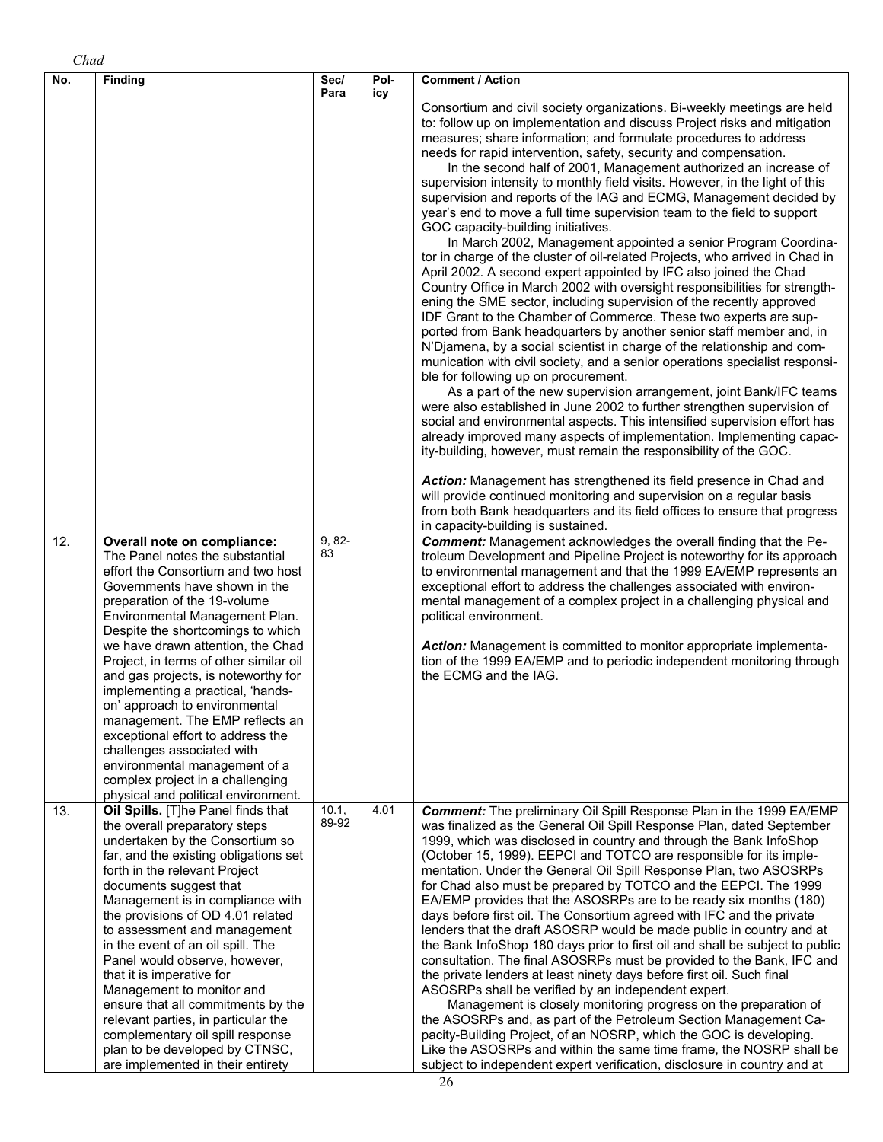| No. | <b>Finding</b>                                                                                                                                                                                                                                                                                                                                                                                                                                                                                                                                                                                                                              | Sec/                 | Pol- | <b>Comment / Action</b>                                                                                                                                                                                                                                                                                                                                                                                                                                                                                                                                                                                                                                                                                                                                                                                                                                                                                                                                                                                                                                                                                                                                                                                                                                                                                                                                                                                                                                                                                                                                                                                                                                                                                                                                                                                                                                                                                                                                                                                                                                                                                                                                                                                                                                                                                                                                                                                                                                                                     |
|-----|---------------------------------------------------------------------------------------------------------------------------------------------------------------------------------------------------------------------------------------------------------------------------------------------------------------------------------------------------------------------------------------------------------------------------------------------------------------------------------------------------------------------------------------------------------------------------------------------------------------------------------------------|----------------------|------|---------------------------------------------------------------------------------------------------------------------------------------------------------------------------------------------------------------------------------------------------------------------------------------------------------------------------------------------------------------------------------------------------------------------------------------------------------------------------------------------------------------------------------------------------------------------------------------------------------------------------------------------------------------------------------------------------------------------------------------------------------------------------------------------------------------------------------------------------------------------------------------------------------------------------------------------------------------------------------------------------------------------------------------------------------------------------------------------------------------------------------------------------------------------------------------------------------------------------------------------------------------------------------------------------------------------------------------------------------------------------------------------------------------------------------------------------------------------------------------------------------------------------------------------------------------------------------------------------------------------------------------------------------------------------------------------------------------------------------------------------------------------------------------------------------------------------------------------------------------------------------------------------------------------------------------------------------------------------------------------------------------------------------------------------------------------------------------------------------------------------------------------------------------------------------------------------------------------------------------------------------------------------------------------------------------------------------------------------------------------------------------------------------------------------------------------------------------------------------------------|
| 12. | Overall note on compliance:<br>The Panel notes the substantial<br>effort the Consortium and two host<br>Governments have shown in the<br>preparation of the 19-volume<br>Environmental Management Plan.<br>Despite the shortcomings to which<br>we have drawn attention, the Chad                                                                                                                                                                                                                                                                                                                                                           | Para<br>9, 82-<br>83 | icy  | Consortium and civil society organizations. Bi-weekly meetings are held<br>to: follow up on implementation and discuss Project risks and mitigation<br>measures; share information; and formulate procedures to address<br>needs for rapid intervention, safety, security and compensation.<br>In the second half of 2001, Management authorized an increase of<br>supervision intensity to monthly field visits. However, in the light of this<br>supervision and reports of the IAG and ECMG, Management decided by<br>year's end to move a full time supervision team to the field to support<br>GOC capacity-building initiatives.<br>In March 2002, Management appointed a senior Program Coordina-<br>tor in charge of the cluster of oil-related Projects, who arrived in Chad in<br>April 2002. A second expert appointed by IFC also joined the Chad<br>Country Office in March 2002 with oversight responsibilities for strength-<br>ening the SME sector, including supervision of the recently approved<br>IDF Grant to the Chamber of Commerce. These two experts are sup-<br>ported from Bank headquarters by another senior staff member and, in<br>N'Djamena, by a social scientist in charge of the relationship and com-<br>munication with civil society, and a senior operations specialist responsi-<br>ble for following up on procurement.<br>As a part of the new supervision arrangement, joint Bank/IFC teams<br>were also established in June 2002 to further strengthen supervision of<br>social and environmental aspects. This intensified supervision effort has<br>already improved many aspects of implementation. Implementing capac-<br>ity-building, however, must remain the responsibility of the GOC.<br>Action: Management has strengthened its field presence in Chad and<br>will provide continued monitoring and supervision on a regular basis<br>from both Bank headquarters and its field offices to ensure that progress<br>in capacity-building is sustained.<br><b>Comment:</b> Management acknowledges the overall finding that the Pe-<br>troleum Development and Pipeline Project is noteworthy for its approach<br>to environmental management and that the 1999 EA/EMP represents an<br>exceptional effort to address the challenges associated with environ-<br>mental management of a complex project in a challenging physical and<br>political environment.<br>Action: Management is committed to monitor appropriate implementa- |
|     | Project, in terms of other similar oil<br>and gas projects, is noteworthy for<br>implementing a practical, 'hands-<br>on' approach to environmental<br>management. The EMP reflects an<br>exceptional effort to address the<br>challenges associated with<br>environmental management of a<br>complex project in a challenging<br>physical and political environment.                                                                                                                                                                                                                                                                       |                      |      | tion of the 1999 EA/EMP and to periodic independent monitoring through<br>the ECMG and the IAG.                                                                                                                                                                                                                                                                                                                                                                                                                                                                                                                                                                                                                                                                                                                                                                                                                                                                                                                                                                                                                                                                                                                                                                                                                                                                                                                                                                                                                                                                                                                                                                                                                                                                                                                                                                                                                                                                                                                                                                                                                                                                                                                                                                                                                                                                                                                                                                                             |
| 13. | Oil Spills. [T]he Panel finds that<br>the overall preparatory steps<br>undertaken by the Consortium so<br>far, and the existing obligations set<br>forth in the relevant Project<br>documents suggest that<br>Management is in compliance with<br>the provisions of OD 4.01 related<br>to assessment and management<br>in the event of an oil spill. The<br>Panel would observe, however,<br>that it is imperative for<br>Management to monitor and<br>ensure that all commitments by the<br>relevant parties, in particular the<br>complementary oil spill response<br>plan to be developed by CTNSC,<br>are implemented in their entirety | 10.1,<br>89-92       | 4.01 | Comment: The preliminary Oil Spill Response Plan in the 1999 EA/EMP<br>was finalized as the General Oil Spill Response Plan, dated September<br>1999, which was disclosed in country and through the Bank InfoShop<br>(October 15, 1999). EEPCI and TOTCO are responsible for its imple-<br>mentation. Under the General Oil Spill Response Plan, two ASOSRPs<br>for Chad also must be prepared by TOTCO and the EEPCI. The 1999<br>EA/EMP provides that the ASOSRPs are to be ready six months (180)<br>days before first oil. The Consortium agreed with IFC and the private<br>lenders that the draft ASOSRP would be made public in country and at<br>the Bank InfoShop 180 days prior to first oil and shall be subject to public<br>consultation. The final ASOSRPs must be provided to the Bank, IFC and<br>the private lenders at least ninety days before first oil. Such final<br>ASOSRPs shall be verified by an independent expert.<br>Management is closely monitoring progress on the preparation of<br>the ASOSRPs and, as part of the Petroleum Section Management Ca-<br>pacity-Building Project, of an NOSRP, which the GOC is developing.<br>Like the ASOSRPs and within the same time frame, the NOSRP shall be<br>subject to independent expert verification, disclosure in country and at                                                                                                                                                                                                                                                                                                                                                                                                                                                                                                                                                                                                                                                                                                                                                                                                                                                                                                                                                                                                                                                                                                                                                                             |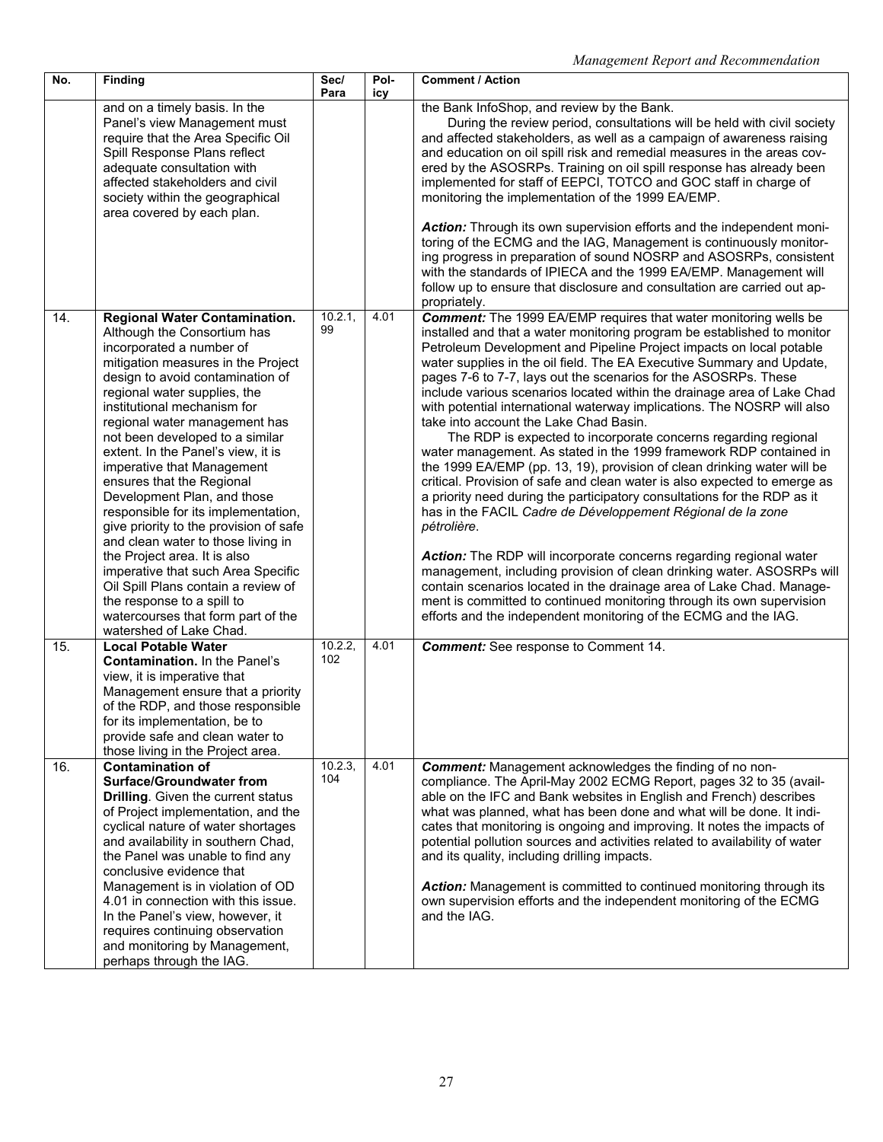| No. | <b>Finding</b>                                                                                                                                                                                                                                                                                                                                                                                                                                                                                                                                                                                                                                                                                                                                                                  | Sec/<br>Para   | Pol-<br>icy | <b>Comment / Action</b>                                                                                                                                                                                                                                                                                                                                                                                                                                                                                                                                                                                                                                                                                                                                                                                                                                                                                                                                                                                                                                                                                                                                                                                                                                                                                                                                                                            |
|-----|---------------------------------------------------------------------------------------------------------------------------------------------------------------------------------------------------------------------------------------------------------------------------------------------------------------------------------------------------------------------------------------------------------------------------------------------------------------------------------------------------------------------------------------------------------------------------------------------------------------------------------------------------------------------------------------------------------------------------------------------------------------------------------|----------------|-------------|----------------------------------------------------------------------------------------------------------------------------------------------------------------------------------------------------------------------------------------------------------------------------------------------------------------------------------------------------------------------------------------------------------------------------------------------------------------------------------------------------------------------------------------------------------------------------------------------------------------------------------------------------------------------------------------------------------------------------------------------------------------------------------------------------------------------------------------------------------------------------------------------------------------------------------------------------------------------------------------------------------------------------------------------------------------------------------------------------------------------------------------------------------------------------------------------------------------------------------------------------------------------------------------------------------------------------------------------------------------------------------------------------|
|     | and on a timely basis. In the<br>Panel's view Management must<br>require that the Area Specific Oil<br>Spill Response Plans reflect<br>adequate consultation with<br>affected stakeholders and civil<br>society within the geographical<br>area covered by each plan.                                                                                                                                                                                                                                                                                                                                                                                                                                                                                                           |                |             | the Bank InfoShop, and review by the Bank.<br>During the review period, consultations will be held with civil society<br>and affected stakeholders, as well as a campaign of awareness raising<br>and education on oil spill risk and remedial measures in the areas cov-<br>ered by the ASOSRPs. Training on oil spill response has already been<br>implemented for staff of EEPCI, TOTCO and GOC staff in charge of<br>monitoring the implementation of the 1999 EA/EMP.<br>Action: Through its own supervision efforts and the independent moni-<br>toring of the ECMG and the IAG, Management is continuously monitor-<br>ing progress in preparation of sound NOSRP and ASOSRPs, consistent<br>with the standards of IPIECA and the 1999 EA/EMP. Management will<br>follow up to ensure that disclosure and consultation are carried out ap-<br>propriately.                                                                                                                                                                                                                                                                                                                                                                                                                                                                                                                                  |
| 14. | <b>Regional Water Contamination.</b><br>Although the Consortium has<br>incorporated a number of<br>mitigation measures in the Project<br>design to avoid contamination of<br>regional water supplies, the<br>institutional mechanism for<br>regional water management has<br>not been developed to a similar<br>extent. In the Panel's view, it is<br>imperative that Management<br>ensures that the Regional<br>Development Plan, and those<br>responsible for its implementation,<br>give priority to the provision of safe<br>and clean water to those living in<br>the Project area. It is also<br>imperative that such Area Specific<br>Oil Spill Plans contain a review of<br>the response to a spill to<br>watercourses that form part of the<br>watershed of Lake Chad. | 10.2.1,<br>99  | 4.01        | <b>Comment:</b> The 1999 EA/EMP requires that water monitoring wells be<br>installed and that a water monitoring program be established to monitor<br>Petroleum Development and Pipeline Project impacts on local potable<br>water supplies in the oil field. The EA Executive Summary and Update,<br>pages 7-6 to 7-7, lays out the scenarios for the ASOSRPs. These<br>include various scenarios located within the drainage area of Lake Chad<br>with potential international waterway implications. The NOSRP will also<br>take into account the Lake Chad Basin.<br>The RDP is expected to incorporate concerns regarding regional<br>water management. As stated in the 1999 framework RDP contained in<br>the 1999 EA/EMP (pp. 13, 19), provision of clean drinking water will be<br>critical. Provision of safe and clean water is also expected to emerge as<br>a priority need during the participatory consultations for the RDP as it<br>has in the FACIL Cadre de Développement Régional de la zone<br>pétrolière.<br>Action: The RDP will incorporate concerns regarding regional water<br>management, including provision of clean drinking water. ASOSRPs will<br>contain scenarios located in the drainage area of Lake Chad. Manage-<br>ment is committed to continued monitoring through its own supervision<br>efforts and the independent monitoring of the ECMG and the IAG. |
| 15. | <b>Local Potable Water</b><br>Contamination. In the Panel's<br>view, it is imperative that<br>Management ensure that a priority<br>of the RDP, and those responsible<br>for its implementation, be to<br>provide safe and clean water to<br>those living in the Project area.                                                                                                                                                                                                                                                                                                                                                                                                                                                                                                   | 10.2.2,<br>102 | 4.01        | <b>Comment:</b> See response to Comment 14.                                                                                                                                                                                                                                                                                                                                                                                                                                                                                                                                                                                                                                                                                                                                                                                                                                                                                                                                                                                                                                                                                                                                                                                                                                                                                                                                                        |
| 16. | <b>Contamination of</b><br><b>Surface/Groundwater from</b><br><b>Drilling.</b> Given the current status<br>of Project implementation, and the<br>cyclical nature of water shortages<br>and availability in southern Chad,<br>the Panel was unable to find any<br>conclusive evidence that<br>Management is in violation of OD<br>4.01 in connection with this issue.<br>In the Panel's view, however, it<br>requires continuing observation<br>and monitoring by Management,<br>perhaps through the IAG.                                                                                                                                                                                                                                                                        | 10.2.3,<br>104 | 4.01        | <b>Comment:</b> Management acknowledges the finding of no non-<br>compliance. The April-May 2002 ECMG Report, pages 32 to 35 (avail-<br>able on the IFC and Bank websites in English and French) describes<br>what was planned, what has been done and what will be done. It indi-<br>cates that monitoring is ongoing and improving. It notes the impacts of<br>potential pollution sources and activities related to availability of water<br>and its quality, including drilling impacts.<br>Action: Management is committed to continued monitoring through its<br>own supervision efforts and the independent monitoring of the ECMG<br>and the IAG.                                                                                                                                                                                                                                                                                                                                                                                                                                                                                                                                                                                                                                                                                                                                          |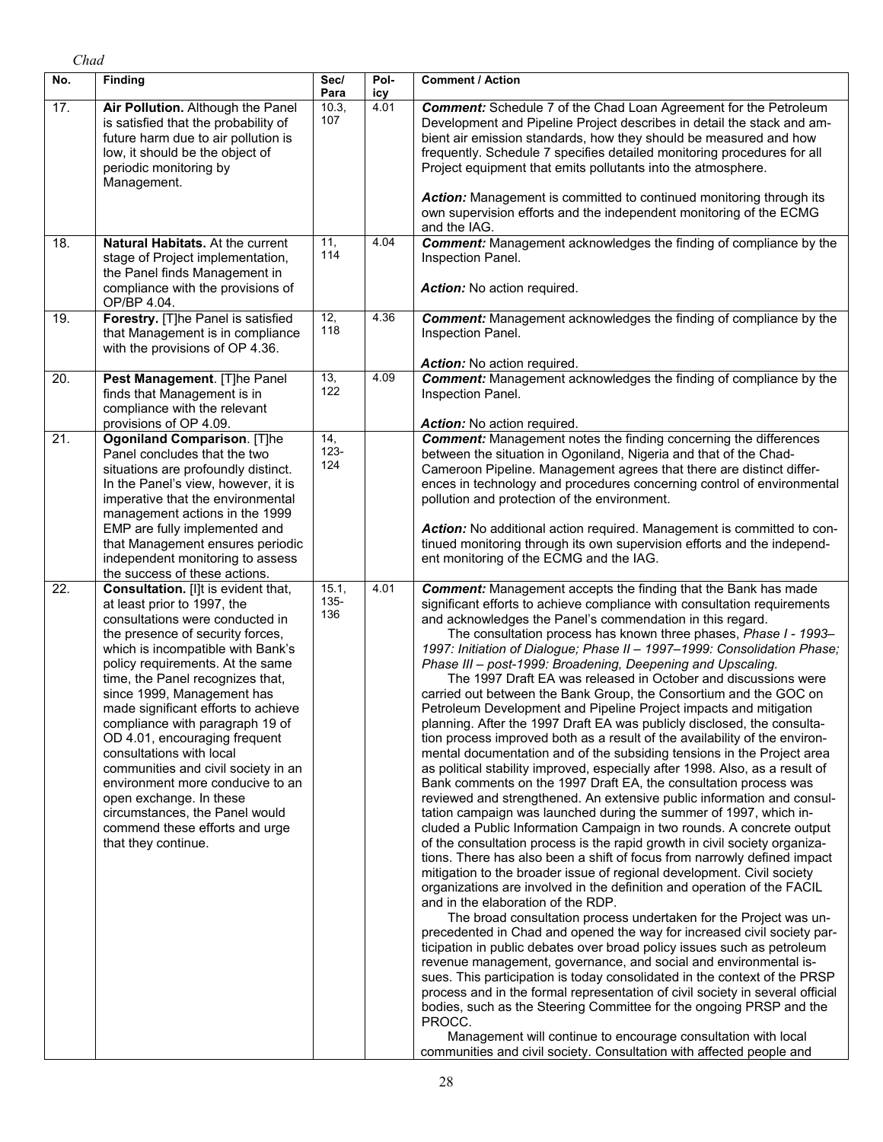| No. | <b>Finding</b>                                                                                                                                                                                                                                                                                                                                                                                                                                                                                                                                                                                                               | Sec/<br>Para             | Pol-<br>icy | <b>Comment / Action</b>                                                                                                                                                                                                                                                                                                                                                                                                                                                                                                                                                                                                                                                                                                                                                                                                                                                                                                                                                                                                                                                                                                                                                                                                                                                                                                                                                                                                                                                                                                                                                                                                                                                                                                                                                                                                                                                                                                                                                                                                                                                                                                                                                                                                                                                                              |
|-----|------------------------------------------------------------------------------------------------------------------------------------------------------------------------------------------------------------------------------------------------------------------------------------------------------------------------------------------------------------------------------------------------------------------------------------------------------------------------------------------------------------------------------------------------------------------------------------------------------------------------------|--------------------------|-------------|------------------------------------------------------------------------------------------------------------------------------------------------------------------------------------------------------------------------------------------------------------------------------------------------------------------------------------------------------------------------------------------------------------------------------------------------------------------------------------------------------------------------------------------------------------------------------------------------------------------------------------------------------------------------------------------------------------------------------------------------------------------------------------------------------------------------------------------------------------------------------------------------------------------------------------------------------------------------------------------------------------------------------------------------------------------------------------------------------------------------------------------------------------------------------------------------------------------------------------------------------------------------------------------------------------------------------------------------------------------------------------------------------------------------------------------------------------------------------------------------------------------------------------------------------------------------------------------------------------------------------------------------------------------------------------------------------------------------------------------------------------------------------------------------------------------------------------------------------------------------------------------------------------------------------------------------------------------------------------------------------------------------------------------------------------------------------------------------------------------------------------------------------------------------------------------------------------------------------------------------------------------------------------------------------|
| 17. | Air Pollution. Although the Panel<br>is satisfied that the probability of<br>future harm due to air pollution is<br>low, it should be the object of<br>periodic monitoring by<br>Management.                                                                                                                                                                                                                                                                                                                                                                                                                                 | 10.3,<br>107             | 4.01        | <b>Comment:</b> Schedule 7 of the Chad Loan Agreement for the Petroleum<br>Development and Pipeline Project describes in detail the stack and am-<br>bient air emission standards, how they should be measured and how<br>frequently. Schedule 7 specifies detailed monitoring procedures for all<br>Project equipment that emits pollutants into the atmosphere.<br>Action: Management is committed to continued monitoring through its<br>own supervision efforts and the independent monitoring of the ECMG                                                                                                                                                                                                                                                                                                                                                                                                                                                                                                                                                                                                                                                                                                                                                                                                                                                                                                                                                                                                                                                                                                                                                                                                                                                                                                                                                                                                                                                                                                                                                                                                                                                                                                                                                                                       |
| 18. | Natural Habitats. At the current<br>stage of Project implementation,<br>the Panel finds Management in<br>compliance with the provisions of<br>OP/BP 4.04.                                                                                                                                                                                                                                                                                                                                                                                                                                                                    | 11,<br>114               | 4.04        | and the IAG.<br><b>Comment:</b> Management acknowledges the finding of compliance by the<br>Inspection Panel.<br>Action: No action required.                                                                                                                                                                                                                                                                                                                                                                                                                                                                                                                                                                                                                                                                                                                                                                                                                                                                                                                                                                                                                                                                                                                                                                                                                                                                                                                                                                                                                                                                                                                                                                                                                                                                                                                                                                                                                                                                                                                                                                                                                                                                                                                                                         |
| 19. | Forestry. [T]he Panel is satisfied<br>that Management is in compliance<br>with the provisions of OP 4.36.                                                                                                                                                                                                                                                                                                                                                                                                                                                                                                                    | $\overline{12}$ ,<br>118 | 4.36        | <b>Comment:</b> Management acknowledges the finding of compliance by the<br>Inspection Panel.<br>Action: No action required.                                                                                                                                                                                                                                                                                                                                                                                                                                                                                                                                                                                                                                                                                                                                                                                                                                                                                                                                                                                                                                                                                                                                                                                                                                                                                                                                                                                                                                                                                                                                                                                                                                                                                                                                                                                                                                                                                                                                                                                                                                                                                                                                                                         |
| 20. | Pest Management. [T]he Panel<br>finds that Management is in<br>compliance with the relevant<br>provisions of OP 4.09.                                                                                                                                                                                                                                                                                                                                                                                                                                                                                                        | 13,<br>122               | 4.09        | <b>Comment:</b> Management acknowledges the finding of compliance by the<br>Inspection Panel.<br>Action: No action required.                                                                                                                                                                                                                                                                                                                                                                                                                                                                                                                                                                                                                                                                                                                                                                                                                                                                                                                                                                                                                                                                                                                                                                                                                                                                                                                                                                                                                                                                                                                                                                                                                                                                                                                                                                                                                                                                                                                                                                                                                                                                                                                                                                         |
| 21. | Ogoniland Comparison. [T]he<br>Panel concludes that the two<br>situations are profoundly distinct.<br>In the Panel's view, however, it is<br>imperative that the environmental<br>management actions in the 1999<br>EMP are fully implemented and<br>that Management ensures periodic<br>independent monitoring to assess<br>the success of these actions.                                                                                                                                                                                                                                                                   | 14,<br>$123 -$<br>124    |             | <b>Comment:</b> Management notes the finding concerning the differences<br>between the situation in Ogoniland, Nigeria and that of the Chad-<br>Cameroon Pipeline. Management agrees that there are distinct differ-<br>ences in technology and procedures concerning control of environmental<br>pollution and protection of the environment.<br>Action: No additional action required. Management is committed to con-<br>tinued monitoring through its own supervision efforts and the independ-<br>ent monitoring of the ECMG and the IAG.                                                                                                                                                                                                                                                                                                                                                                                                                                                                                                                                                                                                                                                                                                                                                                                                                                                                                                                                                                                                                                                                                                                                                                                                                                                                                                                                                                                                                                                                                                                                                                                                                                                                                                                                                       |
| 22. | Consultation. [I]t is evident that,<br>at least prior to 1997, the<br>consultations were conducted in<br>the presence of security forces,<br>which is incompatible with Bank's<br>policy requirements. At the same<br>time, the Panel recognizes that,<br>since 1999, Management has<br>made significant efforts to achieve<br>compliance with paragraph 19 of<br>OD 4.01, encouraging frequent<br>consultations with local<br>communities and civil society in an<br>environment more conducive to an<br>open exchange. In these<br>circumstances, the Panel would<br>commend these efforts and urge<br>that they continue. | 15.1,<br>$135 -$<br>136  | 4.01        | <b>Comment:</b> Management accepts the finding that the Bank has made<br>significant efforts to achieve compliance with consultation requirements<br>and acknowledges the Panel's commendation in this regard.<br>The consultation process has known three phases, Phase I - 1993-<br>1997: Initiation of Dialogue; Phase II - 1997-1999: Consolidation Phase;<br>Phase III - post-1999: Broadening, Deepening and Upscaling.<br>The 1997 Draft EA was released in October and discussions were<br>carried out between the Bank Group, the Consortium and the GOC on<br>Petroleum Development and Pipeline Project impacts and mitigation<br>planning. After the 1997 Draft EA was publicly disclosed, the consulta-<br>tion process improved both as a result of the availability of the environ-<br>mental documentation and of the subsiding tensions in the Project area<br>as political stability improved, especially after 1998. Also, as a result of<br>Bank comments on the 1997 Draft EA, the consultation process was<br>reviewed and strengthened. An extensive public information and consul-<br>tation campaign was launched during the summer of 1997, which in-<br>cluded a Public Information Campaign in two rounds. A concrete output<br>of the consultation process is the rapid growth in civil society organiza-<br>tions. There has also been a shift of focus from narrowly defined impact<br>mitigation to the broader issue of regional development. Civil society<br>organizations are involved in the definition and operation of the FACIL<br>and in the elaboration of the RDP.<br>The broad consultation process undertaken for the Project was un-<br>precedented in Chad and opened the way for increased civil society par-<br>ticipation in public debates over broad policy issues such as petroleum<br>revenue management, governance, and social and environmental is-<br>sues. This participation is today consolidated in the context of the PRSP<br>process and in the formal representation of civil society in several official<br>bodies, such as the Steering Committee for the ongoing PRSP and the<br>PROCC.<br>Management will continue to encourage consultation with local<br>communities and civil society. Consultation with affected people and |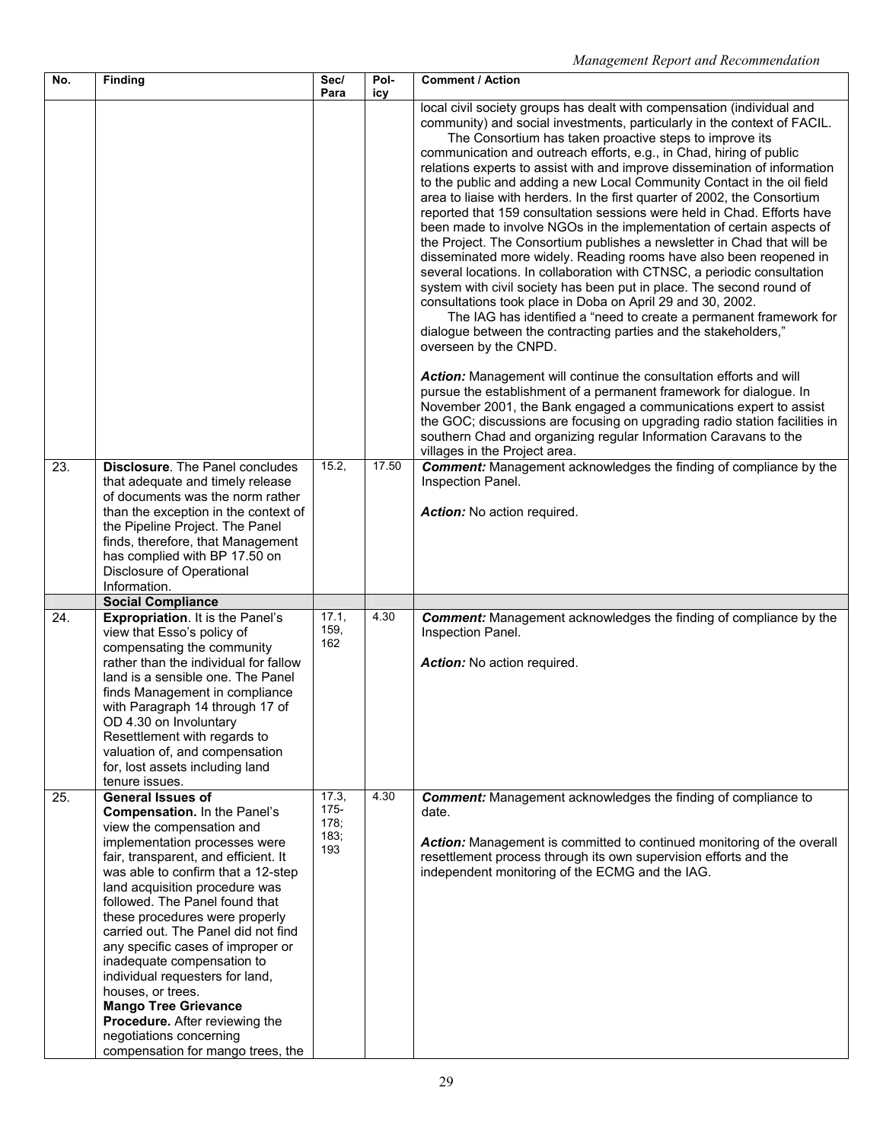| No.               | <b>Finding</b>                                                                                                                                                                                                                                                                                                                                                                                                                                                                                                                                                                                                | Sec/<br>Para                            | Pol-<br>icy | <b>Comment / Action</b>                                                                                                                                                                                                                                                                                                                                                                                                                                                                                                                                                                                                                                                                                                                                                                                                                                                                                                                                                                                                                                                                                                                                                                                                                                                                                                                                                                                                                                                                                                                                                                                               |
|-------------------|---------------------------------------------------------------------------------------------------------------------------------------------------------------------------------------------------------------------------------------------------------------------------------------------------------------------------------------------------------------------------------------------------------------------------------------------------------------------------------------------------------------------------------------------------------------------------------------------------------------|-----------------------------------------|-------------|-----------------------------------------------------------------------------------------------------------------------------------------------------------------------------------------------------------------------------------------------------------------------------------------------------------------------------------------------------------------------------------------------------------------------------------------------------------------------------------------------------------------------------------------------------------------------------------------------------------------------------------------------------------------------------------------------------------------------------------------------------------------------------------------------------------------------------------------------------------------------------------------------------------------------------------------------------------------------------------------------------------------------------------------------------------------------------------------------------------------------------------------------------------------------------------------------------------------------------------------------------------------------------------------------------------------------------------------------------------------------------------------------------------------------------------------------------------------------------------------------------------------------------------------------------------------------------------------------------------------------|
|                   |                                                                                                                                                                                                                                                                                                                                                                                                                                                                                                                                                                                                               |                                         |             | local civil society groups has dealt with compensation (individual and<br>community) and social investments, particularly in the context of FACIL.<br>The Consortium has taken proactive steps to improve its<br>communication and outreach efforts, e.g., in Chad, hiring of public<br>relations experts to assist with and improve dissemination of information<br>to the public and adding a new Local Community Contact in the oil field<br>area to liaise with herders. In the first quarter of 2002, the Consortium<br>reported that 159 consultation sessions were held in Chad. Efforts have<br>been made to involve NGOs in the implementation of certain aspects of<br>the Project. The Consortium publishes a newsletter in Chad that will be<br>disseminated more widely. Reading rooms have also been reopened in<br>several locations. In collaboration with CTNSC, a periodic consultation<br>system with civil society has been put in place. The second round of<br>consultations took place in Doba on April 29 and 30, 2002.<br>The IAG has identified a "need to create a permanent framework for<br>dialogue between the contracting parties and the stakeholders,"<br>overseen by the CNPD.<br>Action: Management will continue the consultation efforts and will<br>pursue the establishment of a permanent framework for dialogue. In<br>November 2001, the Bank engaged a communications expert to assist<br>the GOC; discussions are focusing on upgrading radio station facilities in<br>southern Chad and organizing regular Information Caravans to the<br>villages in the Project area. |
| 23.               | Disclosure. The Panel concludes<br>that adequate and timely release<br>of documents was the norm rather<br>than the exception in the context of<br>the Pipeline Project. The Panel<br>finds, therefore, that Management<br>has complied with BP 17.50 on<br>Disclosure of Operational<br>Information.                                                                                                                                                                                                                                                                                                         | 15.2,                                   | 17.50       | <b>Comment:</b> Management acknowledges the finding of compliance by the<br>Inspection Panel.<br>Action: No action required.                                                                                                                                                                                                                                                                                                                                                                                                                                                                                                                                                                                                                                                                                                                                                                                                                                                                                                                                                                                                                                                                                                                                                                                                                                                                                                                                                                                                                                                                                          |
|                   | <b>Social Compliance</b>                                                                                                                                                                                                                                                                                                                                                                                                                                                                                                                                                                                      |                                         |             |                                                                                                                                                                                                                                                                                                                                                                                                                                                                                                                                                                                                                                                                                                                                                                                                                                                                                                                                                                                                                                                                                                                                                                                                                                                                                                                                                                                                                                                                                                                                                                                                                       |
| 24.               | <b>Expropriation.</b> It is the Panel's<br>view that Esso's policy of<br>compensating the community<br>rather than the individual for fallow<br>land is a sensible one. The Panel<br>finds Management in compliance<br>with Paragraph 14 through 17 of<br>OD 4.30 on Involuntary<br>Resettlement with regards to<br>valuation of, and compensation<br>for, lost assets including land<br>tenure issues.                                                                                                                                                                                                       | 17.1,<br>159,<br>162                    | 4.30        | <b>Comment:</b> Management acknowledges the finding of compliance by the<br>Inspection Panel.<br>Action: No action required.                                                                                                                                                                                                                                                                                                                                                                                                                                                                                                                                                                                                                                                                                                                                                                                                                                                                                                                                                                                                                                                                                                                                                                                                                                                                                                                                                                                                                                                                                          |
| $\overline{25}$ . | <b>General Issues of</b><br>Compensation. In the Panel's<br>view the compensation and<br>implementation processes were<br>fair, transparent, and efficient. It<br>was able to confirm that a 12-step<br>land acquisition procedure was<br>followed. The Panel found that<br>these procedures were properly<br>carried out. The Panel did not find<br>any specific cases of improper or<br>inadequate compensation to<br>individual requesters for land,<br>houses, or trees.<br><b>Mango Tree Grievance</b><br>Procedure. After reviewing the<br>negotiations concerning<br>compensation for mango trees, the | 17.3,<br>$175 -$<br>178:<br>183;<br>193 | 4.30        | <b>Comment:</b> Management acknowledges the finding of compliance to<br>date.<br>Action: Management is committed to continued monitoring of the overall<br>resettlement process through its own supervision efforts and the<br>independent monitoring of the ECMG and the IAG.                                                                                                                                                                                                                                                                                                                                                                                                                                                                                                                                                                                                                                                                                                                                                                                                                                                                                                                                                                                                                                                                                                                                                                                                                                                                                                                                        |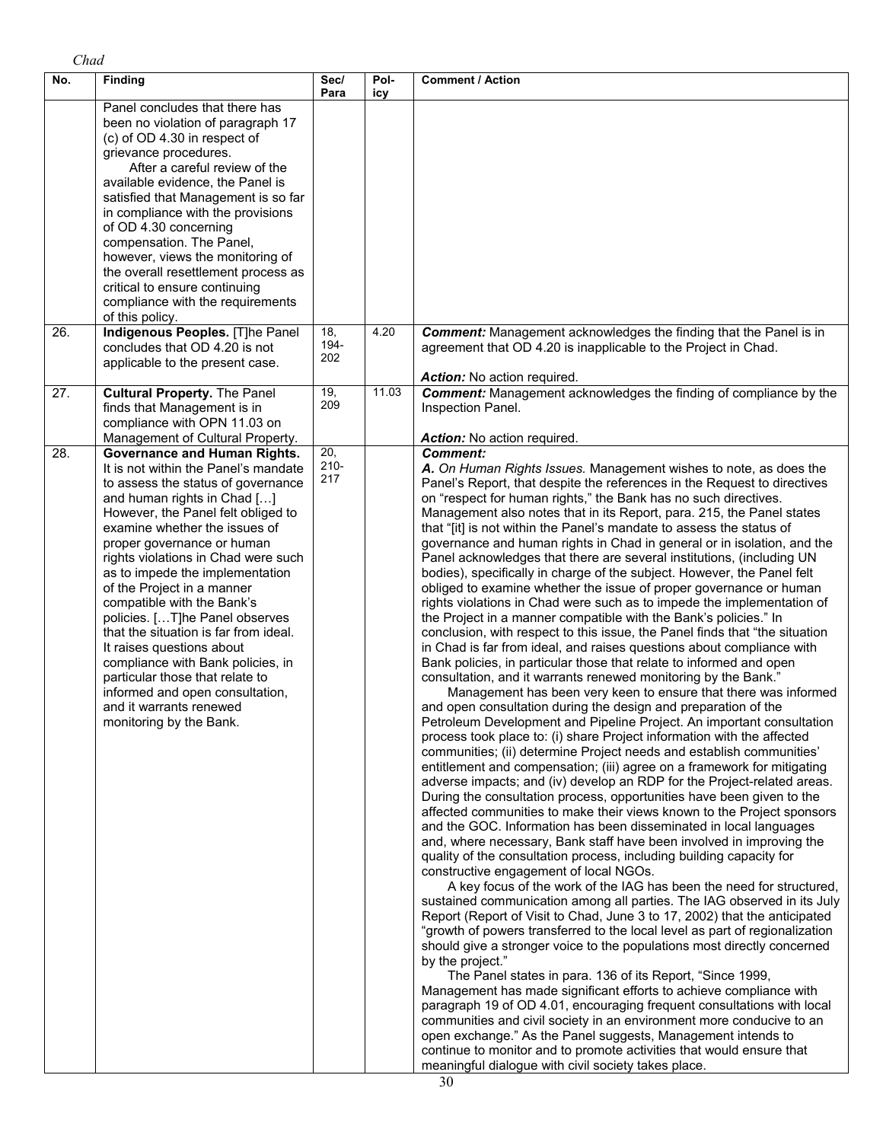| No. | <b>Finding</b>                                                                                                                                                                                                                                                                                                                                                                                                                                                                                                                                                                                                                                                       | Sec/<br>Para          | Pol-<br>icy | <b>Comment / Action</b>                                                                                                                                                                                                                                                                                                                                                                                                                                                                                                                                                                                                                                                                                                                                                                                                                                                                                                                                                                                                                                                                                                                                                                                                                                                                                                                                                                                                                                                                                                                                                                                                                                                                                                                                                                                                                                                                                                                                                                                                                                                                                                                                                                                                                                                                                                                                                                                                                                                                                                                                                                                                                                                                                                                                                                                                                                                                                                                                                            |
|-----|----------------------------------------------------------------------------------------------------------------------------------------------------------------------------------------------------------------------------------------------------------------------------------------------------------------------------------------------------------------------------------------------------------------------------------------------------------------------------------------------------------------------------------------------------------------------------------------------------------------------------------------------------------------------|-----------------------|-------------|------------------------------------------------------------------------------------------------------------------------------------------------------------------------------------------------------------------------------------------------------------------------------------------------------------------------------------------------------------------------------------------------------------------------------------------------------------------------------------------------------------------------------------------------------------------------------------------------------------------------------------------------------------------------------------------------------------------------------------------------------------------------------------------------------------------------------------------------------------------------------------------------------------------------------------------------------------------------------------------------------------------------------------------------------------------------------------------------------------------------------------------------------------------------------------------------------------------------------------------------------------------------------------------------------------------------------------------------------------------------------------------------------------------------------------------------------------------------------------------------------------------------------------------------------------------------------------------------------------------------------------------------------------------------------------------------------------------------------------------------------------------------------------------------------------------------------------------------------------------------------------------------------------------------------------------------------------------------------------------------------------------------------------------------------------------------------------------------------------------------------------------------------------------------------------------------------------------------------------------------------------------------------------------------------------------------------------------------------------------------------------------------------------------------------------------------------------------------------------------------------------------------------------------------------------------------------------------------------------------------------------------------------------------------------------------------------------------------------------------------------------------------------------------------------------------------------------------------------------------------------------------------------------------------------------------------------------------------------------|
|     | Panel concludes that there has<br>been no violation of paragraph 17<br>(c) of OD 4.30 in respect of<br>grievance procedures.<br>After a careful review of the<br>available evidence, the Panel is<br>satisfied that Management is so far<br>in compliance with the provisions<br>of OD 4.30 concerning<br>compensation. The Panel,<br>however, views the monitoring of<br>the overall resettlement process as<br>critical to ensure continuing<br>compliance with the requirements<br>of this policy.                                                                                                                                                                |                       |             |                                                                                                                                                                                                                                                                                                                                                                                                                                                                                                                                                                                                                                                                                                                                                                                                                                                                                                                                                                                                                                                                                                                                                                                                                                                                                                                                                                                                                                                                                                                                                                                                                                                                                                                                                                                                                                                                                                                                                                                                                                                                                                                                                                                                                                                                                                                                                                                                                                                                                                                                                                                                                                                                                                                                                                                                                                                                                                                                                                                    |
| 26. | Indigenous Peoples. [T]he Panel<br>concludes that OD 4.20 is not<br>applicable to the present case.                                                                                                                                                                                                                                                                                                                                                                                                                                                                                                                                                                  | 18,<br>194-<br>202    | 4.20        | <b>Comment:</b> Management acknowledges the finding that the Panel is in<br>agreement that OD 4.20 is inapplicable to the Project in Chad.<br>Action: No action required.                                                                                                                                                                                                                                                                                                                                                                                                                                                                                                                                                                                                                                                                                                                                                                                                                                                                                                                                                                                                                                                                                                                                                                                                                                                                                                                                                                                                                                                                                                                                                                                                                                                                                                                                                                                                                                                                                                                                                                                                                                                                                                                                                                                                                                                                                                                                                                                                                                                                                                                                                                                                                                                                                                                                                                                                          |
| 27. | <b>Cultural Property. The Panel</b><br>finds that Management is in<br>compliance with OPN 11.03 on<br>Management of Cultural Property.                                                                                                                                                                                                                                                                                                                                                                                                                                                                                                                               | 19,<br>209            | 11.03       | <b>Comment:</b> Management acknowledges the finding of compliance by the<br>Inspection Panel.<br>Action: No action required.                                                                                                                                                                                                                                                                                                                                                                                                                                                                                                                                                                                                                                                                                                                                                                                                                                                                                                                                                                                                                                                                                                                                                                                                                                                                                                                                                                                                                                                                                                                                                                                                                                                                                                                                                                                                                                                                                                                                                                                                                                                                                                                                                                                                                                                                                                                                                                                                                                                                                                                                                                                                                                                                                                                                                                                                                                                       |
| 28. | <b>Governance and Human Rights.</b><br>It is not within the Panel's mandate<br>to assess the status of governance<br>and human rights in Chad []<br>However, the Panel felt obliged to<br>examine whether the issues of<br>proper governance or human<br>rights violations in Chad were such<br>as to impede the implementation<br>of the Project in a manner<br>compatible with the Bank's<br>policies. [T]he Panel observes<br>that the situation is far from ideal.<br>It raises questions about<br>compliance with Bank policies, in<br>particular those that relate to<br>informed and open consultation,<br>and it warrants renewed<br>monitoring by the Bank. | 20,<br>$210 -$<br>217 |             | <b>Comment:</b><br>A. On Human Rights Issues. Management wishes to note, as does the<br>Panel's Report, that despite the references in the Request to directives<br>on "respect for human rights," the Bank has no such directives.<br>Management also notes that in its Report, para. 215, the Panel states<br>that "[it] is not within the Panel's mandate to assess the status of<br>governance and human rights in Chad in general or in isolation, and the<br>Panel acknowledges that there are several institutions, (including UN<br>bodies), specifically in charge of the subject. However, the Panel felt<br>obliged to examine whether the issue of proper governance or human<br>rights violations in Chad were such as to impede the implementation of<br>the Project in a manner compatible with the Bank's policies." In<br>conclusion, with respect to this issue, the Panel finds that "the situation<br>in Chad is far from ideal, and raises questions about compliance with<br>Bank policies, in particular those that relate to informed and open<br>consultation, and it warrants renewed monitoring by the Bank."<br>Management has been very keen to ensure that there was informed<br>and open consultation during the design and preparation of the<br>Petroleum Development and Pipeline Project. An important consultation<br>process took place to: (i) share Project information with the affected<br>communities; (ii) determine Project needs and establish communities'<br>entitlement and compensation; (iii) agree on a framework for mitigating<br>adverse impacts; and (iv) develop an RDP for the Project-related areas.<br>During the consultation process, opportunities have been given to the<br>affected communities to make their views known to the Project sponsors<br>and the GOC. Information has been disseminated in local languages<br>and, where necessary, Bank staff have been involved in improving the<br>quality of the consultation process, including building capacity for<br>constructive engagement of local NGOs.<br>A key focus of the work of the IAG has been the need for structured,<br>sustained communication among all parties. The IAG observed in its July<br>Report (Report of Visit to Chad, June 3 to 17, 2002) that the anticipated<br>"growth of powers transferred to the local level as part of regionalization<br>should give a stronger voice to the populations most directly concerned<br>by the project."<br>The Panel states in para. 136 of its Report, "Since 1999,<br>Management has made significant efforts to achieve compliance with<br>paragraph 19 of OD 4.01, encouraging frequent consultations with local<br>communities and civil society in an environment more conducive to an<br>open exchange." As the Panel suggests, Management intends to<br>continue to monitor and to promote activities that would ensure that<br>meaningful dialogue with civil society takes place. |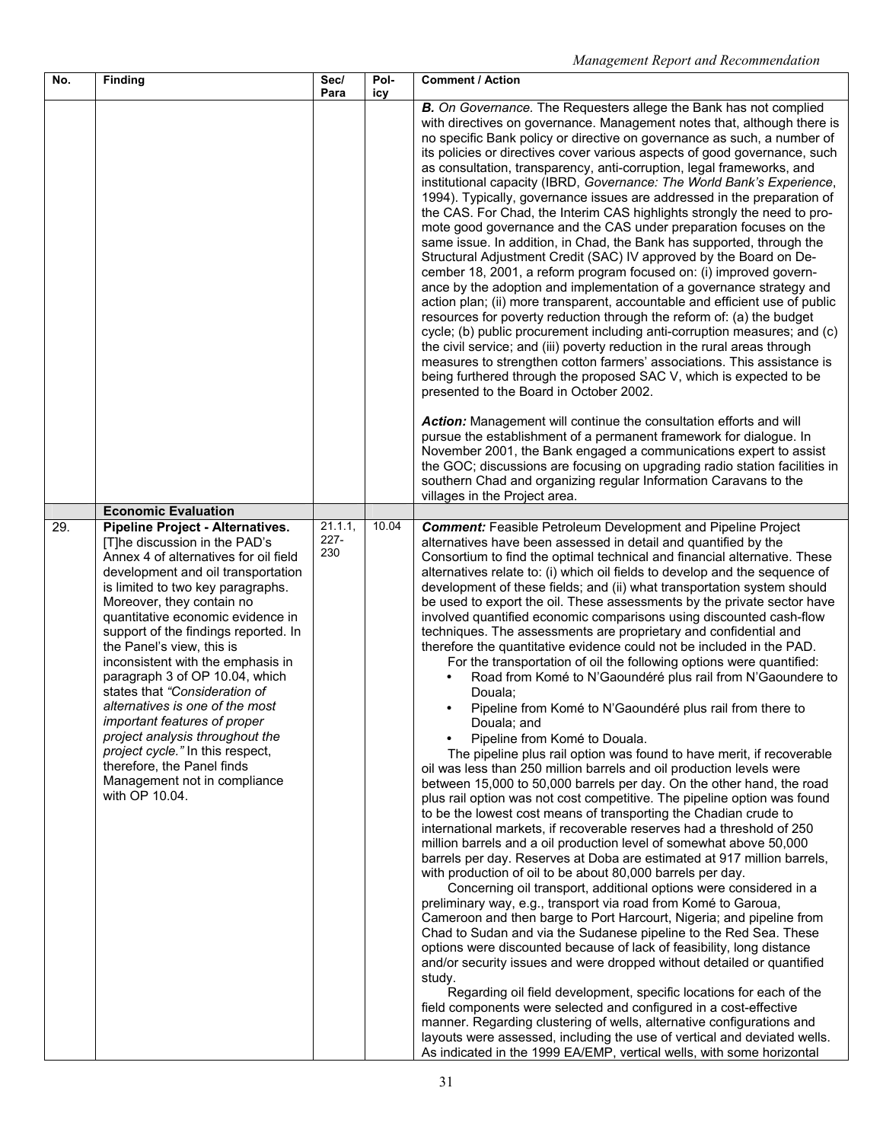| No. | <b>Finding</b>                                                                                                                                                                                                                                                                                                                                                                                                                                                                                                                                                                                                                                                        | Sec/<br>Para              | Pol-<br>icy | <b>Comment / Action</b>                                                                                                                                                                                                                                                                                                                                                                                                                                                                                                                                                                                                                                                                                                                                                                                                                                                                                                                                                                                                                                                                                                                                                                                                                                                                                                                                                                                                                                                                                                                                                                                                                                                                                                                                                                                                                                                                                                                                                                                                                                                                                                                                                                                                                                                                                                                                                                                                                   |
|-----|-----------------------------------------------------------------------------------------------------------------------------------------------------------------------------------------------------------------------------------------------------------------------------------------------------------------------------------------------------------------------------------------------------------------------------------------------------------------------------------------------------------------------------------------------------------------------------------------------------------------------------------------------------------------------|---------------------------|-------------|-------------------------------------------------------------------------------------------------------------------------------------------------------------------------------------------------------------------------------------------------------------------------------------------------------------------------------------------------------------------------------------------------------------------------------------------------------------------------------------------------------------------------------------------------------------------------------------------------------------------------------------------------------------------------------------------------------------------------------------------------------------------------------------------------------------------------------------------------------------------------------------------------------------------------------------------------------------------------------------------------------------------------------------------------------------------------------------------------------------------------------------------------------------------------------------------------------------------------------------------------------------------------------------------------------------------------------------------------------------------------------------------------------------------------------------------------------------------------------------------------------------------------------------------------------------------------------------------------------------------------------------------------------------------------------------------------------------------------------------------------------------------------------------------------------------------------------------------------------------------------------------------------------------------------------------------------------------------------------------------------------------------------------------------------------------------------------------------------------------------------------------------------------------------------------------------------------------------------------------------------------------------------------------------------------------------------------------------------------------------------------------------------------------------------------------------|
|     |                                                                                                                                                                                                                                                                                                                                                                                                                                                                                                                                                                                                                                                                       |                           |             | B. On Governance. The Requesters allege the Bank has not complied<br>with directives on governance. Management notes that, although there is<br>no specific Bank policy or directive on governance as such, a number of<br>its policies or directives cover various aspects of good governance, such<br>as consultation, transparency, anti-corruption, legal frameworks, and<br>institutional capacity (IBRD, Governance: The World Bank's Experience,<br>1994). Typically, governance issues are addressed in the preparation of<br>the CAS. For Chad, the Interim CAS highlights strongly the need to pro-<br>mote good governance and the CAS under preparation focuses on the<br>same issue. In addition, in Chad, the Bank has supported, through the<br>Structural Adjustment Credit (SAC) IV approved by the Board on De-<br>cember 18, 2001, a reform program focused on: (i) improved govern-<br>ance by the adoption and implementation of a governance strategy and<br>action plan; (ii) more transparent, accountable and efficient use of public<br>resources for poverty reduction through the reform of: (a) the budget<br>cycle; (b) public procurement including anti-corruption measures; and (c)<br>the civil service; and (iii) poverty reduction in the rural areas through<br>measures to strengthen cotton farmers' associations. This assistance is<br>being furthered through the proposed SAC V, which is expected to be<br>presented to the Board in October 2002.<br>Action: Management will continue the consultation efforts and will<br>pursue the establishment of a permanent framework for dialogue. In<br>November 2001, the Bank engaged a communications expert to assist<br>the GOC; discussions are focusing on upgrading radio station facilities in<br>southern Chad and organizing regular Information Caravans to the                                                                                                                                                                                                                                                                                                                                                                                                                                                                                                                                                                         |
|     | <b>Economic Evaluation</b>                                                                                                                                                                                                                                                                                                                                                                                                                                                                                                                                                                                                                                            |                           |             | villages in the Project area.                                                                                                                                                                                                                                                                                                                                                                                                                                                                                                                                                                                                                                                                                                                                                                                                                                                                                                                                                                                                                                                                                                                                                                                                                                                                                                                                                                                                                                                                                                                                                                                                                                                                                                                                                                                                                                                                                                                                                                                                                                                                                                                                                                                                                                                                                                                                                                                                             |
| 29. | <b>Pipeline Project - Alternatives.</b><br>[T]he discussion in the PAD's<br>Annex 4 of alternatives for oil field<br>development and oil transportation<br>is limited to two key paragraphs.<br>Moreover, they contain no<br>quantitative economic evidence in<br>support of the findings reported. In<br>the Panel's view, this is<br>inconsistent with the emphasis in<br>paragraph 3 of OP 10.04, which<br>states that "Consideration of<br>alternatives is one of the most<br>important features of proper<br>project analysis throughout the<br>project cycle." In this respect,<br>therefore, the Panel finds<br>Management not in compliance<br>with OP 10.04. | 21.1.1,<br>$227 -$<br>230 | 10.04       | <b>Comment:</b> Feasible Petroleum Development and Pipeline Project<br>alternatives have been assessed in detail and quantified by the<br>Consortium to find the optimal technical and financial alternative. These<br>alternatives relate to: (i) which oil fields to develop and the sequence of<br>development of these fields; and (ii) what transportation system should<br>be used to export the oil. These assessments by the private sector have<br>involved quantified economic comparisons using discounted cash-flow<br>techniques. The assessments are proprietary and confidential and<br>therefore the quantitative evidence could not be included in the PAD.<br>For the transportation of oil the following options were quantified:<br>Road from Komé to N'Gaoundéré plus rail from N'Gaoundere to<br>Douala:<br>Pipeline from Komé to N'Gaoundéré plus rail from there to<br>Douala; and<br>Pipeline from Komé to Douala.<br>The pipeline plus rail option was found to have merit, if recoverable<br>oil was less than 250 million barrels and oil production levels were<br>between 15,000 to 50,000 barrels per day. On the other hand, the road<br>plus rail option was not cost competitive. The pipeline option was found<br>to be the lowest cost means of transporting the Chadian crude to<br>international markets, if recoverable reserves had a threshold of 250<br>million barrels and a oil production level of somewhat above 50,000<br>barrels per day. Reserves at Doba are estimated at 917 million barrels,<br>with production of oil to be about 80,000 barrels per day.<br>Concerning oil transport, additional options were considered in a<br>preliminary way, e.g., transport via road from Komé to Garoua,<br>Cameroon and then barge to Port Harcourt, Nigeria; and pipeline from<br>Chad to Sudan and via the Sudanese pipeline to the Red Sea. These<br>options were discounted because of lack of feasibility, long distance<br>and/or security issues and were dropped without detailed or quantified<br>study.<br>Regarding oil field development, specific locations for each of the<br>field components were selected and configured in a cost-effective<br>manner. Regarding clustering of wells, alternative configurations and<br>layouts were assessed, including the use of vertical and deviated wells.<br>As indicated in the 1999 EA/EMP, vertical wells, with some horizontal |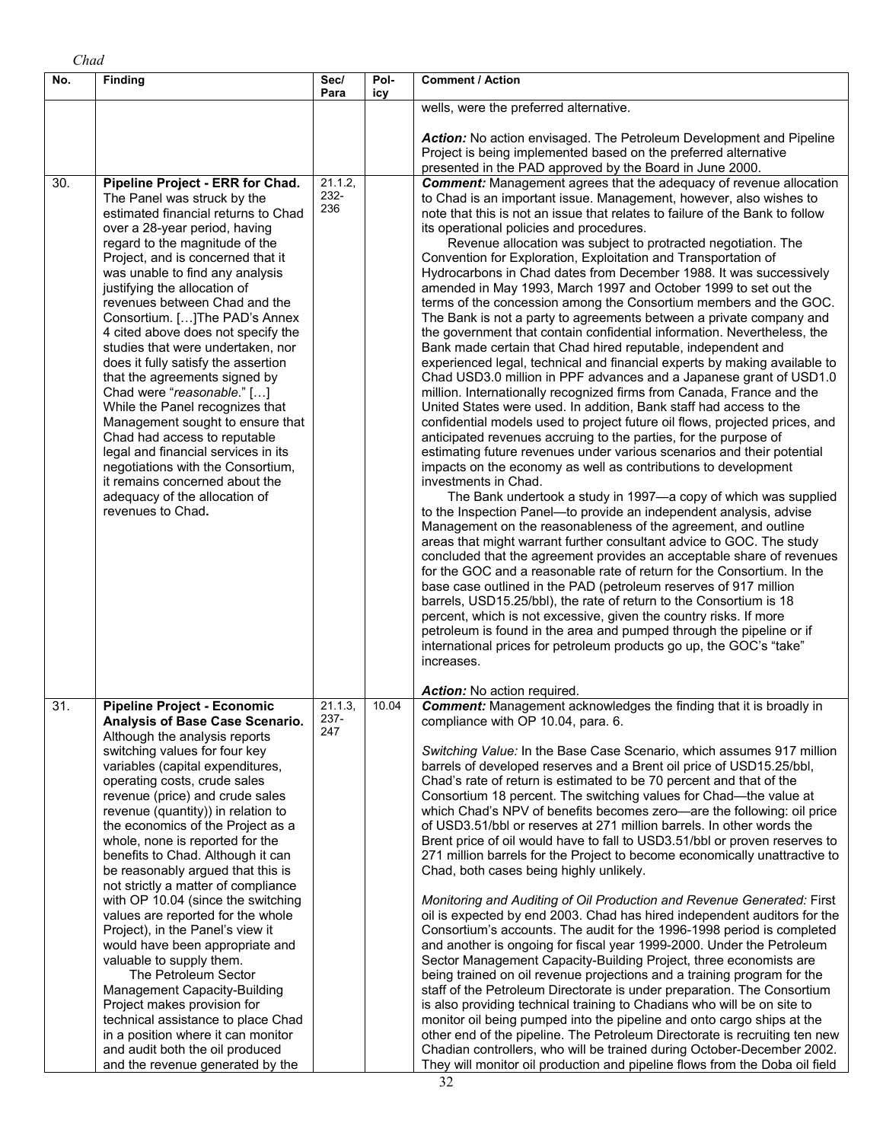| No.               | <b>Finding</b>                                                                                                                                                                                                                                                                                                                                                                                                                                                                                                                                                                                                                                                                                                                                                                                                                                                                                              | Sec/<br>Para           | Pol-<br>icy | <b>Comment / Action</b>                                                                                                                                                                                                                                                                                                                                                                                                                                                                                                                                                                                                                                                                                                                                                                                                                                                                                                                                                                                                                                                                                                                                                                                                                                                                                                                                                                                                                                                                                                                                                                                                                                                                                                                                                                                                                                                                                                                                                                                                                                                                                                                                                                                                                                                                                                  |
|-------------------|-------------------------------------------------------------------------------------------------------------------------------------------------------------------------------------------------------------------------------------------------------------------------------------------------------------------------------------------------------------------------------------------------------------------------------------------------------------------------------------------------------------------------------------------------------------------------------------------------------------------------------------------------------------------------------------------------------------------------------------------------------------------------------------------------------------------------------------------------------------------------------------------------------------|------------------------|-------------|--------------------------------------------------------------------------------------------------------------------------------------------------------------------------------------------------------------------------------------------------------------------------------------------------------------------------------------------------------------------------------------------------------------------------------------------------------------------------------------------------------------------------------------------------------------------------------------------------------------------------------------------------------------------------------------------------------------------------------------------------------------------------------------------------------------------------------------------------------------------------------------------------------------------------------------------------------------------------------------------------------------------------------------------------------------------------------------------------------------------------------------------------------------------------------------------------------------------------------------------------------------------------------------------------------------------------------------------------------------------------------------------------------------------------------------------------------------------------------------------------------------------------------------------------------------------------------------------------------------------------------------------------------------------------------------------------------------------------------------------------------------------------------------------------------------------------------------------------------------------------------------------------------------------------------------------------------------------------------------------------------------------------------------------------------------------------------------------------------------------------------------------------------------------------------------------------------------------------------------------------------------------------------------------------------------------------|
|                   |                                                                                                                                                                                                                                                                                                                                                                                                                                                                                                                                                                                                                                                                                                                                                                                                                                                                                                             |                        |             | wells, were the preferred alternative.                                                                                                                                                                                                                                                                                                                                                                                                                                                                                                                                                                                                                                                                                                                                                                                                                                                                                                                                                                                                                                                                                                                                                                                                                                                                                                                                                                                                                                                                                                                                                                                                                                                                                                                                                                                                                                                                                                                                                                                                                                                                                                                                                                                                                                                                                   |
|                   |                                                                                                                                                                                                                                                                                                                                                                                                                                                                                                                                                                                                                                                                                                                                                                                                                                                                                                             |                        |             | Action: No action envisaged. The Petroleum Development and Pipeline<br>Project is being implemented based on the preferred alternative<br>presented in the PAD approved by the Board in June 2000.                                                                                                                                                                                                                                                                                                                                                                                                                                                                                                                                                                                                                                                                                                                                                                                                                                                                                                                                                                                                                                                                                                                                                                                                                                                                                                                                                                                                                                                                                                                                                                                                                                                                                                                                                                                                                                                                                                                                                                                                                                                                                                                       |
| 30.               | Pipeline Project - ERR for Chad.<br>The Panel was struck by the<br>estimated financial returns to Chad<br>over a 28-year period, having<br>regard to the magnitude of the<br>Project, and is concerned that it<br>was unable to find any analysis<br>justifying the allocation of<br>revenues between Chad and the<br>Consortium. [] The PAD's Annex<br>4 cited above does not specify the<br>studies that were undertaken, nor<br>does it fully satisfy the assertion<br>that the agreements signed by<br>Chad were "reasonable." []<br>While the Panel recognizes that<br>Management sought to ensure that<br>Chad had access to reputable<br>legal and financial services in its<br>negotiations with the Consortium,<br>it remains concerned about the<br>adequacy of the allocation of<br>revenues to Chad.                                                                                            | 21.1.2,<br>232-<br>236 |             | <b>Comment:</b> Management agrees that the adequacy of revenue allocation<br>to Chad is an important issue. Management, however, also wishes to<br>note that this is not an issue that relates to failure of the Bank to follow<br>its operational policies and procedures.<br>Revenue allocation was subject to protracted negotiation. The<br>Convention for Exploration, Exploitation and Transportation of<br>Hydrocarbons in Chad dates from December 1988. It was successively<br>amended in May 1993, March 1997 and October 1999 to set out the<br>terms of the concession among the Consortium members and the GOC.<br>The Bank is not a party to agreements between a private company and<br>the government that contain confidential information. Nevertheless, the<br>Bank made certain that Chad hired reputable, independent and<br>experienced legal, technical and financial experts by making available to<br>Chad USD3.0 million in PPF advances and a Japanese grant of USD1.0<br>million. Internationally recognized firms from Canada, France and the<br>United States were used. In addition, Bank staff had access to the<br>confidential models used to project future oil flows, projected prices, and<br>anticipated revenues accruing to the parties, for the purpose of<br>estimating future revenues under various scenarios and their potential<br>impacts on the economy as well as contributions to development<br>investments in Chad.<br>The Bank undertook a study in 1997-a copy of which was supplied<br>to the Inspection Panel-to provide an independent analysis, advise<br>Management on the reasonableness of the agreement, and outline<br>areas that might warrant further consultant advice to GOC. The study<br>concluded that the agreement provides an acceptable share of revenues<br>for the GOC and a reasonable rate of return for the Consortium. In the<br>base case outlined in the PAD (petroleum reserves of 917 million<br>barrels, USD15.25/bbl), the rate of return to the Consortium is 18<br>percent, which is not excessive, given the country risks. If more<br>petroleum is found in the area and pumped through the pipeline or if<br>international prices for petroleum products go up, the GOC's "take"<br>increases.<br>Action: No action required. |
| $\overline{31}$ . | <b>Pipeline Project - Economic</b><br><b>Analysis of Base Case Scenario</b><br>Although the analysis reports<br>switching values for four key<br>variables (capital expenditures,<br>operating costs, crude sales<br>revenue (price) and crude sales<br>revenue (quantity)) in relation to<br>the economics of the Project as a<br>whole, none is reported for the<br>benefits to Chad. Although it can<br>be reasonably argued that this is<br>not strictly a matter of compliance<br>with OP 10.04 (since the switching<br>values are reported for the whole<br>Project), in the Panel's view it<br>would have been appropriate and<br>valuable to supply them.<br>The Petroleum Sector<br>Management Capacity-Building<br>Project makes provision for<br>technical assistance to place Chad<br>in a position where it can monitor<br>and audit both the oil produced<br>and the revenue generated by the | 21.1.3,<br>237-<br>247 | 10.04       | <b>Comment:</b> Management acknowledges the finding that it is broadly in<br>compliance with OP 10.04, para. 6.<br>Switching Value: In the Base Case Scenario, which assumes 917 million<br>barrels of developed reserves and a Brent oil price of USD15.25/bbl,<br>Chad's rate of return is estimated to be 70 percent and that of the<br>Consortium 18 percent. The switching values for Chad—the value at<br>which Chad's NPV of benefits becomes zero-are the following: oil price<br>of USD3.51/bbl or reserves at 271 million barrels. In other words the<br>Brent price of oil would have to fall to USD3.51/bbl or proven reserves to<br>271 million barrels for the Project to become economically unattractive to<br>Chad, both cases being highly unlikely.<br>Monitoring and Auditing of Oil Production and Revenue Generated: First<br>oil is expected by end 2003. Chad has hired independent auditors for the<br>Consortium's accounts. The audit for the 1996-1998 period is completed<br>and another is ongoing for fiscal year 1999-2000. Under the Petroleum<br>Sector Management Capacity-Building Project, three economists are<br>being trained on oil revenue projections and a training program for the<br>staff of the Petroleum Directorate is under preparation. The Consortium<br>is also providing technical training to Chadians who will be on site to<br>monitor oil being pumped into the pipeline and onto cargo ships at the<br>other end of the pipeline. The Petroleum Directorate is recruiting ten new<br>Chadian controllers, who will be trained during October-December 2002.<br>They will monitor oil production and pipeline flows from the Doba oil field                                                                                                                                                                                                                                                                                                                                                                                                                                                                                                                                                                                                                   |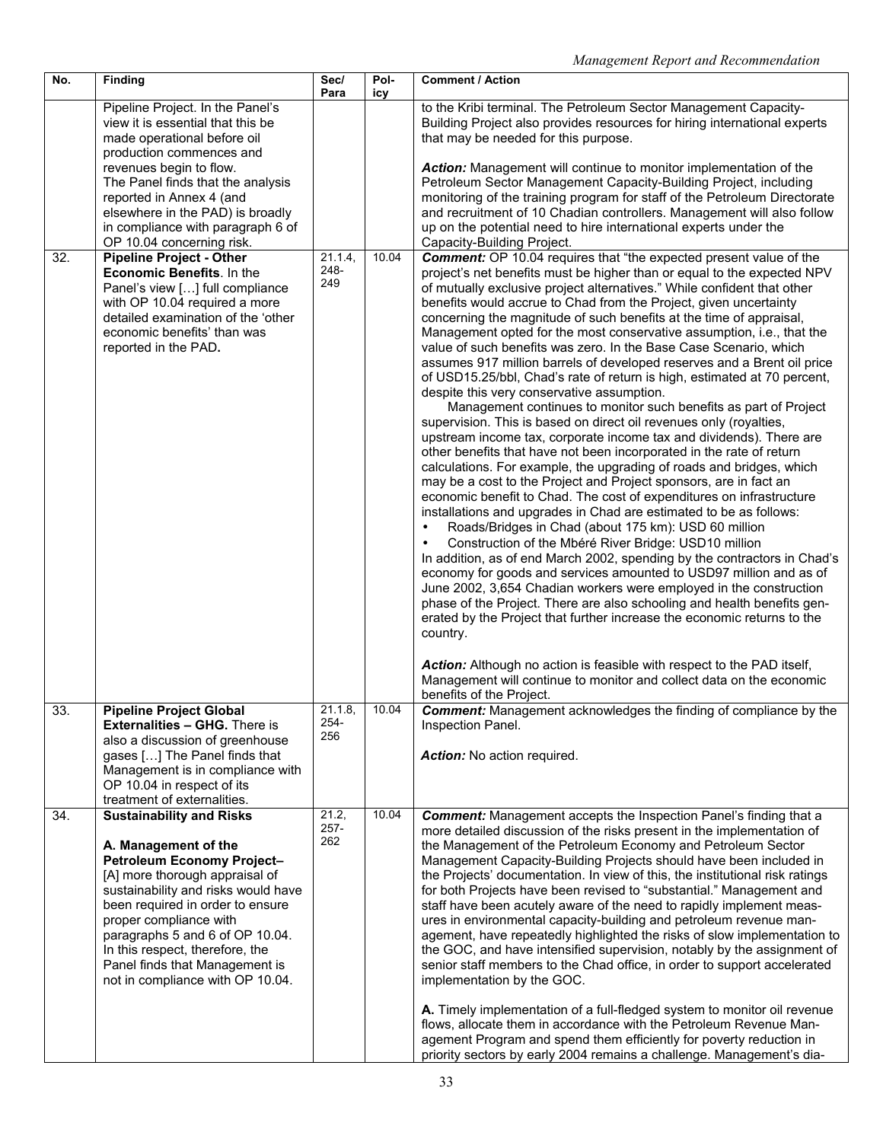| No. | Finding                                                                                                                                                                                                                                                                                                                                                                  | Sec/<br>Para            | Pol-<br>icy | <b>Comment / Action</b>                                                                                                                                                                                                                                                                                                                                                                                                                                                                                                                                                                                                                                                                                                                                                                                                                                                                                                                                                                                                                                                                                                                                                                                                                                                                                                                                                                                                                                                                                                                                                                                                                                                                                                                                                                                                                                                                                                      |
|-----|--------------------------------------------------------------------------------------------------------------------------------------------------------------------------------------------------------------------------------------------------------------------------------------------------------------------------------------------------------------------------|-------------------------|-------------|------------------------------------------------------------------------------------------------------------------------------------------------------------------------------------------------------------------------------------------------------------------------------------------------------------------------------------------------------------------------------------------------------------------------------------------------------------------------------------------------------------------------------------------------------------------------------------------------------------------------------------------------------------------------------------------------------------------------------------------------------------------------------------------------------------------------------------------------------------------------------------------------------------------------------------------------------------------------------------------------------------------------------------------------------------------------------------------------------------------------------------------------------------------------------------------------------------------------------------------------------------------------------------------------------------------------------------------------------------------------------------------------------------------------------------------------------------------------------------------------------------------------------------------------------------------------------------------------------------------------------------------------------------------------------------------------------------------------------------------------------------------------------------------------------------------------------------------------------------------------------------------------------------------------------|
|     | Pipeline Project. In the Panel's<br>view it is essential that this be<br>made operational before oil<br>production commences and<br>revenues begin to flow.<br>The Panel finds that the analysis<br>reported in Annex 4 (and<br>elsewhere in the PAD) is broadly<br>in compliance with paragraph 6 of                                                                    |                         |             | to the Kribi terminal. The Petroleum Sector Management Capacity-<br>Building Project also provides resources for hiring international experts<br>that may be needed for this purpose.<br>Action: Management will continue to monitor implementation of the<br>Petroleum Sector Management Capacity-Building Project, including<br>monitoring of the training program for staff of the Petroleum Directorate<br>and recruitment of 10 Chadian controllers. Management will also follow<br>up on the potential need to hire international experts under the                                                                                                                                                                                                                                                                                                                                                                                                                                                                                                                                                                                                                                                                                                                                                                                                                                                                                                                                                                                                                                                                                                                                                                                                                                                                                                                                                                    |
| 32. | OP 10.04 concerning risk.<br><b>Pipeline Project - Other</b>                                                                                                                                                                                                                                                                                                             | 21.1.4,                 | 10.04       | Capacity-Building Project.<br><b>Comment:</b> OP 10.04 requires that "the expected present value of the                                                                                                                                                                                                                                                                                                                                                                                                                                                                                                                                                                                                                                                                                                                                                                                                                                                                                                                                                                                                                                                                                                                                                                                                                                                                                                                                                                                                                                                                                                                                                                                                                                                                                                                                                                                                                      |
|     | Economic Benefits. In the<br>Panel's view [] full compliance<br>with OP 10.04 required a more<br>detailed examination of the 'other<br>economic benefits' than was<br>reported in the PAD.                                                                                                                                                                               | 248-<br>249             |             | project's net benefits must be higher than or equal to the expected NPV<br>of mutually exclusive project alternatives." While confident that other<br>benefits would accrue to Chad from the Project, given uncertainty<br>concerning the magnitude of such benefits at the time of appraisal,<br>Management opted for the most conservative assumption, i.e., that the<br>value of such benefits was zero. In the Base Case Scenario, which<br>assumes 917 million barrels of developed reserves and a Brent oil price<br>of USD15.25/bbl, Chad's rate of return is high, estimated at 70 percent,<br>despite this very conservative assumption.<br>Management continues to monitor such benefits as part of Project<br>supervision. This is based on direct oil revenues only (royalties,<br>upstream income tax, corporate income tax and dividends). There are<br>other benefits that have not been incorporated in the rate of return<br>calculations. For example, the upgrading of roads and bridges, which<br>may be a cost to the Project and Project sponsors, are in fact an<br>economic benefit to Chad. The cost of expenditures on infrastructure<br>installations and upgrades in Chad are estimated to be as follows:<br>Roads/Bridges in Chad (about 175 km): USD 60 million<br>$\bullet$<br>Construction of the Mbéré River Bridge: USD10 million<br>$\bullet$<br>In addition, as of end March 2002, spending by the contractors in Chad's<br>economy for goods and services amounted to USD97 million and as of<br>June 2002, 3,654 Chadian workers were employed in the construction<br>phase of the Project. There are also schooling and health benefits gen-<br>erated by the Project that further increase the economic returns to the<br>country.<br>Action: Although no action is feasible with respect to the PAD itself,<br>Management will continue to monitor and collect data on the economic |
| 33. | <b>Pipeline Project Global</b>                                                                                                                                                                                                                                                                                                                                           | 21.1.8                  | 10.04       | benefits of the Project.<br><b>Comment:</b> Management acknowledges the finding of compliance by the                                                                                                                                                                                                                                                                                                                                                                                                                                                                                                                                                                                                                                                                                                                                                                                                                                                                                                                                                                                                                                                                                                                                                                                                                                                                                                                                                                                                                                                                                                                                                                                                                                                                                                                                                                                                                         |
|     | <b>Externalities - GHG.</b> There is<br>also a discussion of greenhouse<br>gases [] The Panel finds that<br>Management is in compliance with<br>OP 10.04 in respect of its<br>treatment of externalities.                                                                                                                                                                | 254-<br>256             |             | Inspection Panel.<br>Action: No action required.                                                                                                                                                                                                                                                                                                                                                                                                                                                                                                                                                                                                                                                                                                                                                                                                                                                                                                                                                                                                                                                                                                                                                                                                                                                                                                                                                                                                                                                                                                                                                                                                                                                                                                                                                                                                                                                                             |
| 34. | <b>Sustainability and Risks</b><br>A. Management of the<br>Petroleum Economy Project-<br>[A] more thorough appraisal of<br>sustainability and risks would have<br>been required in order to ensure<br>proper compliance with<br>paragraphs 5 and 6 of OP 10.04.<br>In this respect, therefore, the<br>Panel finds that Management is<br>not in compliance with OP 10.04. | 21.2,<br>$257 -$<br>262 | 10.04       | <b>Comment:</b> Management accepts the Inspection Panel's finding that a<br>more detailed discussion of the risks present in the implementation of<br>the Management of the Petroleum Economy and Petroleum Sector<br>Management Capacity-Building Projects should have been included in<br>the Projects' documentation. In view of this, the institutional risk ratings<br>for both Projects have been revised to "substantial." Management and<br>staff have been acutely aware of the need to rapidly implement meas-<br>ures in environmental capacity-building and petroleum revenue man-<br>agement, have repeatedly highlighted the risks of slow implementation to<br>the GOC, and have intensified supervision, notably by the assignment of<br>senior staff members to the Chad office, in order to support accelerated<br>implementation by the GOC.<br>A. Timely implementation of a full-fledged system to monitor oil revenue<br>flows, allocate them in accordance with the Petroleum Revenue Man-<br>agement Program and spend them efficiently for poverty reduction in<br>priority sectors by early 2004 remains a challenge. Management's dia-                                                                                                                                                                                                                                                                                                                                                                                                                                                                                                                                                                                                                                                                                                                                                            |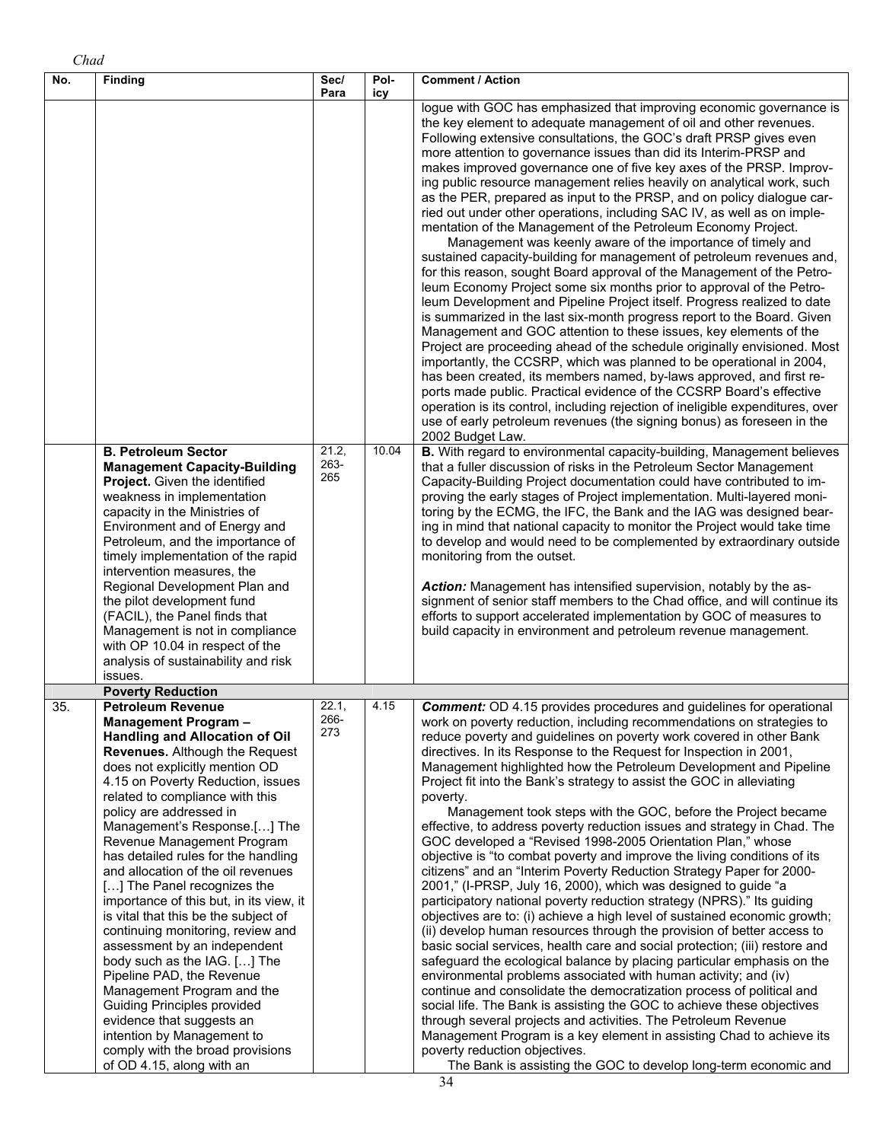| No. | <b>Finding</b>                                                                                                                                                                                                                                                                                                                                                                                                                                                                                                                                                                                                                                                                                                                                                                                                                                                        | Sec/<br>Para         | Pol-<br>icy | <b>Comment / Action</b>                                                                                                                                                                                                                                                                                                                                                                                                                                                                                                                                                                                                                                                                                                                                                                                                                                                                                                                                                                                                                                                                                                                                                                                                                                                                                                                                                                                                                                                                                                                                                                                                                                                                                                                                    |
|-----|-----------------------------------------------------------------------------------------------------------------------------------------------------------------------------------------------------------------------------------------------------------------------------------------------------------------------------------------------------------------------------------------------------------------------------------------------------------------------------------------------------------------------------------------------------------------------------------------------------------------------------------------------------------------------------------------------------------------------------------------------------------------------------------------------------------------------------------------------------------------------|----------------------|-------------|------------------------------------------------------------------------------------------------------------------------------------------------------------------------------------------------------------------------------------------------------------------------------------------------------------------------------------------------------------------------------------------------------------------------------------------------------------------------------------------------------------------------------------------------------------------------------------------------------------------------------------------------------------------------------------------------------------------------------------------------------------------------------------------------------------------------------------------------------------------------------------------------------------------------------------------------------------------------------------------------------------------------------------------------------------------------------------------------------------------------------------------------------------------------------------------------------------------------------------------------------------------------------------------------------------------------------------------------------------------------------------------------------------------------------------------------------------------------------------------------------------------------------------------------------------------------------------------------------------------------------------------------------------------------------------------------------------------------------------------------------------|
|     |                                                                                                                                                                                                                                                                                                                                                                                                                                                                                                                                                                                                                                                                                                                                                                                                                                                                       |                      |             | logue with GOC has emphasized that improving economic governance is<br>the key element to adequate management of oil and other revenues.<br>Following extensive consultations, the GOC's draft PRSP gives even<br>more attention to governance issues than did its Interim-PRSP and<br>makes improved governance one of five key axes of the PRSP. Improv-<br>ing public resource management relies heavily on analytical work, such<br>as the PER, prepared as input to the PRSP, and on policy dialogue car-<br>ried out under other operations, including SAC IV, as well as on imple-<br>mentation of the Management of the Petroleum Economy Project.<br>Management was keenly aware of the importance of timely and<br>sustained capacity-building for management of petroleum revenues and,<br>for this reason, sought Board approval of the Management of the Petro-<br>leum Economy Project some six months prior to approval of the Petro-<br>leum Development and Pipeline Project itself. Progress realized to date<br>is summarized in the last six-month progress report to the Board. Given<br>Management and GOC attention to these issues, key elements of the<br>Project are proceeding ahead of the schedule originally envisioned. Most<br>importantly, the CCSRP, which was planned to be operational in 2004,<br>has been created, its members named, by-laws approved, and first re-<br>ports made public. Practical evidence of the CCSRP Board's effective<br>operation is its control, including rejection of ineligible expenditures, over<br>use of early petroleum revenues (the signing bonus) as foreseen in the<br>2002 Budget Law.                                                                                        |
|     | <b>B. Petroleum Sector</b><br><b>Management Capacity-Building</b><br>Project. Given the identified<br>weakness in implementation<br>capacity in the Ministries of<br>Environment and of Energy and<br>Petroleum, and the importance of<br>timely implementation of the rapid<br>intervention measures, the<br>Regional Development Plan and<br>the pilot development fund<br>(FACIL), the Panel finds that<br>Management is not in compliance<br>with OP 10.04 in respect of the<br>analysis of sustainability and risk<br>issues.                                                                                                                                                                                                                                                                                                                                    | 21.2,<br>263-<br>265 | 10.04       | B. With regard to environmental capacity-building, Management believes<br>that a fuller discussion of risks in the Petroleum Sector Management<br>Capacity-Building Project documentation could have contributed to im-<br>proving the early stages of Project implementation. Multi-layered moni-<br>toring by the ECMG, the IFC, the Bank and the IAG was designed bear-<br>ing in mind that national capacity to monitor the Project would take time<br>to develop and would need to be complemented by extraordinary outside<br>monitoring from the outset.<br>Action: Management has intensified supervision, notably by the as-<br>signment of senior staff members to the Chad office, and will continue its<br>efforts to support accelerated implementation by GOC of measures to<br>build capacity in environment and petroleum revenue management.                                                                                                                                                                                                                                                                                                                                                                                                                                                                                                                                                                                                                                                                                                                                                                                                                                                                                              |
|     | <b>Poverty Reduction</b>                                                                                                                                                                                                                                                                                                                                                                                                                                                                                                                                                                                                                                                                                                                                                                                                                                              |                      |             |                                                                                                                                                                                                                                                                                                                                                                                                                                                                                                                                                                                                                                                                                                                                                                                                                                                                                                                                                                                                                                                                                                                                                                                                                                                                                                                                                                                                                                                                                                                                                                                                                                                                                                                                                            |
| 35. | <b>Petroleum Revenue</b><br><b>Management Program-</b><br><b>Handling and Allocation of Oil</b><br>Revenues. Although the Request<br>does not explicitly mention OD<br>4.15 on Poverty Reduction, issues<br>related to compliance with this<br>policy are addressed in<br>Management's Response.[] The<br>Revenue Management Program<br>has detailed rules for the handling<br>and allocation of the oil revenues<br>[] The Panel recognizes the<br>importance of this but, in its view, it<br>is vital that this be the subject of<br>continuing monitoring, review and<br>assessment by an independent<br>body such as the IAG. [] The<br>Pipeline PAD, the Revenue<br>Management Program and the<br><b>Guiding Principles provided</b><br>evidence that suggests an<br>intention by Management to<br>comply with the broad provisions<br>of OD 4.15, along with an | 22.1,<br>266-<br>273 | 4.15        | <b>Comment:</b> OD 4.15 provides procedures and guidelines for operational<br>work on poverty reduction, including recommendations on strategies to<br>reduce poverty and guidelines on poverty work covered in other Bank<br>directives. In its Response to the Request for Inspection in 2001,<br>Management highlighted how the Petroleum Development and Pipeline<br>Project fit into the Bank's strategy to assist the GOC in alleviating<br>poverty.<br>Management took steps with the GOC, before the Project became<br>effective, to address poverty reduction issues and strategy in Chad. The<br>GOC developed a "Revised 1998-2005 Orientation Plan," whose<br>objective is "to combat poverty and improve the living conditions of its<br>citizens" and an "Interim Poverty Reduction Strategy Paper for 2000-<br>2001," (I-PRSP, July 16, 2000), which was designed to guide "a<br>participatory national poverty reduction strategy (NPRS)." Its guiding<br>objectives are to: (i) achieve a high level of sustained economic growth;<br>(ii) develop human resources through the provision of better access to<br>basic social services, health care and social protection; (iii) restore and<br>safeguard the ecological balance by placing particular emphasis on the<br>environmental problems associated with human activity; and (iv)<br>continue and consolidate the democratization process of political and<br>social life. The Bank is assisting the GOC to achieve these objectives<br>through several projects and activities. The Petroleum Revenue<br>Management Program is a key element in assisting Chad to achieve its<br>poverty reduction objectives.<br>The Bank is assisting the GOC to develop long-term economic and |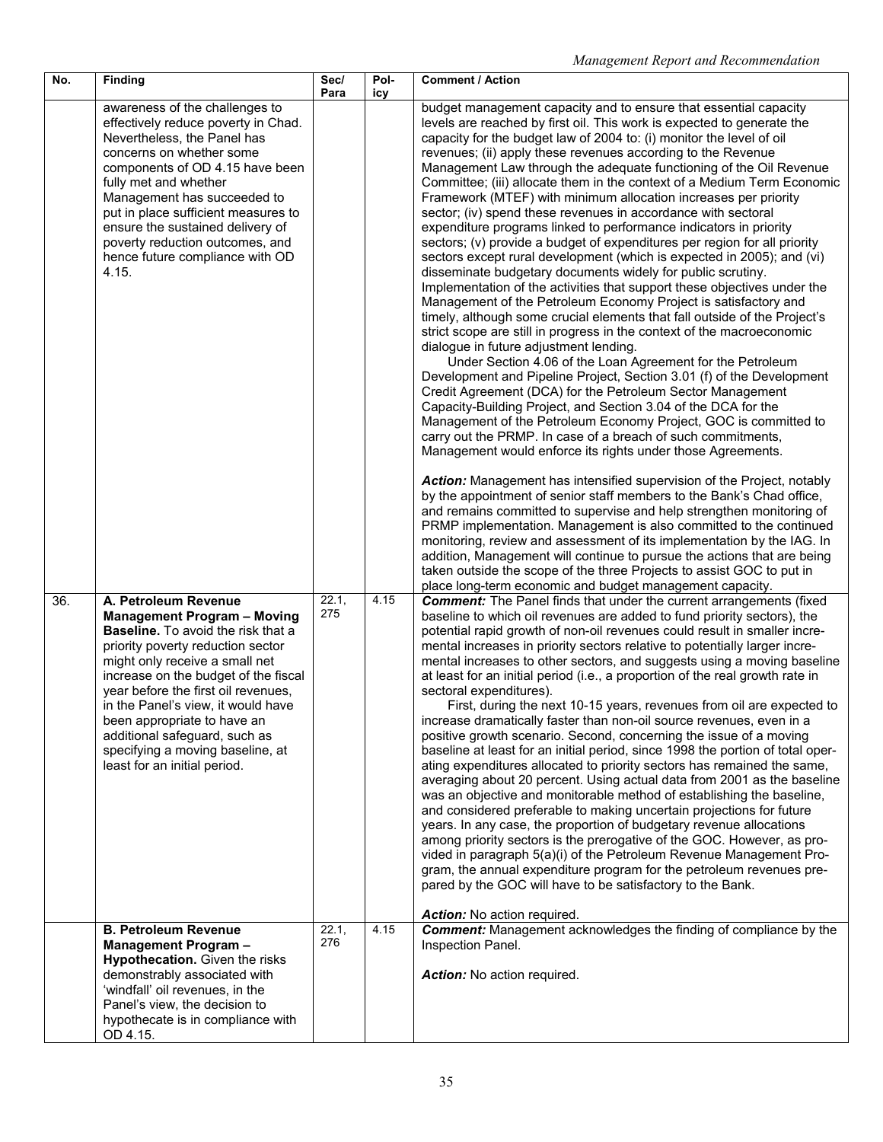| No. | Finding                                                                                                                                                                                                                                                                                                                                                                                                                                                                                                                   | Sec/<br>Para                 | Pol-<br>icy  | <b>Comment / Action</b>                                                                                                                                                                                                                                                                                                                                                                                                                                                                                                                                                                                                                                                                                                                                                                                                                                                                                                                                                                                                                                                                                                                                                                                                                                                                                                                                                                                                                                                                                                                                                                                                                                                                                                                                                                                                                                                                                                                                                                                                                                                                                                                                                                                                                                                                 |
|-----|---------------------------------------------------------------------------------------------------------------------------------------------------------------------------------------------------------------------------------------------------------------------------------------------------------------------------------------------------------------------------------------------------------------------------------------------------------------------------------------------------------------------------|------------------------------|--------------|-----------------------------------------------------------------------------------------------------------------------------------------------------------------------------------------------------------------------------------------------------------------------------------------------------------------------------------------------------------------------------------------------------------------------------------------------------------------------------------------------------------------------------------------------------------------------------------------------------------------------------------------------------------------------------------------------------------------------------------------------------------------------------------------------------------------------------------------------------------------------------------------------------------------------------------------------------------------------------------------------------------------------------------------------------------------------------------------------------------------------------------------------------------------------------------------------------------------------------------------------------------------------------------------------------------------------------------------------------------------------------------------------------------------------------------------------------------------------------------------------------------------------------------------------------------------------------------------------------------------------------------------------------------------------------------------------------------------------------------------------------------------------------------------------------------------------------------------------------------------------------------------------------------------------------------------------------------------------------------------------------------------------------------------------------------------------------------------------------------------------------------------------------------------------------------------------------------------------------------------------------------------------------------------|
|     | awareness of the challenges to<br>effectively reduce poverty in Chad.<br>Nevertheless, the Panel has<br>concerns on whether some<br>components of OD 4.15 have been<br>fully met and whether<br>Management has succeeded to<br>put in place sufficient measures to<br>ensure the sustained delivery of<br>poverty reduction outcomes, and<br>hence future compliance with OD<br>4.15.                                                                                                                                     |                              |              | budget management capacity and to ensure that essential capacity<br>levels are reached by first oil. This work is expected to generate the<br>capacity for the budget law of 2004 to: (i) monitor the level of oil<br>revenues; (ii) apply these revenues according to the Revenue<br>Management Law through the adequate functioning of the Oil Revenue<br>Committee; (iii) allocate them in the context of a Medium Term Economic<br>Framework (MTEF) with minimum allocation increases per priority<br>sector; (iv) spend these revenues in accordance with sectoral<br>expenditure programs linked to performance indicators in priority<br>sectors; (v) provide a budget of expenditures per region for all priority<br>sectors except rural development (which is expected in 2005); and (vi)<br>disseminate budgetary documents widely for public scrutiny.<br>Implementation of the activities that support these objectives under the<br>Management of the Petroleum Economy Project is satisfactory and<br>timely, although some crucial elements that fall outside of the Project's<br>strict scope are still in progress in the context of the macroeconomic<br>dialogue in future adjustment lending.<br>Under Section 4.06 of the Loan Agreement for the Petroleum<br>Development and Pipeline Project, Section 3.01 (f) of the Development<br>Credit Agreement (DCA) for the Petroleum Sector Management<br>Capacity-Building Project, and Section 3.04 of the DCA for the<br>Management of the Petroleum Economy Project, GOC is committed to<br>carry out the PRMP. In case of a breach of such commitments,<br>Management would enforce its rights under those Agreements.<br>Action: Management has intensified supervision of the Project, notably<br>by the appointment of senior staff members to the Bank's Chad office,<br>and remains committed to supervise and help strengthen monitoring of<br>PRMP implementation. Management is also committed to the continued<br>monitoring, review and assessment of its implementation by the IAG. In<br>addition, Management will continue to pursue the actions that are being<br>taken outside the scope of the three Projects to assist GOC to put in<br>place long-term economic and budget management capacity. |
| 36. | A. Petroleum Revenue<br><b>Management Program - Moving</b><br>Baseline. To avoid the risk that a<br>priority poverty reduction sector<br>might only receive a small net<br>increase on the budget of the fiscal<br>year before the first oil revenues,<br>in the Panel's view, it would have<br>been appropriate to have an<br>additional safeguard, such as<br>specifying a moving baseline, at<br>least for an initial period.<br><b>B. Petroleum Revenue</b><br>Management Program -<br>Hypothecation. Given the risks | 22.1,<br>275<br>22.1,<br>276 | 4.15<br>4.15 | <b>Comment:</b> The Panel finds that under the current arrangements (fixed<br>baseline to which oil revenues are added to fund priority sectors), the<br>potential rapid growth of non-oil revenues could result in smaller incre-<br>mental increases in priority sectors relative to potentially larger incre-<br>mental increases to other sectors, and suggests using a moving baseline<br>at least for an initial period (i.e., a proportion of the real growth rate in<br>sectoral expenditures).<br>First, during the next 10-15 years, revenues from oil are expected to<br>increase dramatically faster than non-oil source revenues, even in a<br>positive growth scenario. Second, concerning the issue of a moving<br>baseline at least for an initial period, since 1998 the portion of total oper-<br>ating expenditures allocated to priority sectors has remained the same,<br>averaging about 20 percent. Using actual data from 2001 as the baseline<br>was an objective and monitorable method of establishing the baseline,<br>and considered preferable to making uncertain projections for future<br>years. In any case, the proportion of budgetary revenue allocations<br>among priority sectors is the prerogative of the GOC. However, as pro-<br>vided in paragraph 5(a)(i) of the Petroleum Revenue Management Pro-<br>gram, the annual expenditure program for the petroleum revenues pre-<br>pared by the GOC will have to be satisfactory to the Bank.<br>Action: No action required.<br><b>Comment:</b> Management acknowledges the finding of compliance by the<br>Inspection Panel.                                                                                                                                                                                                                                                                                                                                                                                                                                                                                                                                                                                                                                                                   |
|     | demonstrably associated with<br>'windfall' oil revenues, in the<br>Panel's view, the decision to<br>hypothecate is in compliance with<br>OD 4.15.                                                                                                                                                                                                                                                                                                                                                                         |                              |              | Action: No action required.                                                                                                                                                                                                                                                                                                                                                                                                                                                                                                                                                                                                                                                                                                                                                                                                                                                                                                                                                                                                                                                                                                                                                                                                                                                                                                                                                                                                                                                                                                                                                                                                                                                                                                                                                                                                                                                                                                                                                                                                                                                                                                                                                                                                                                                             |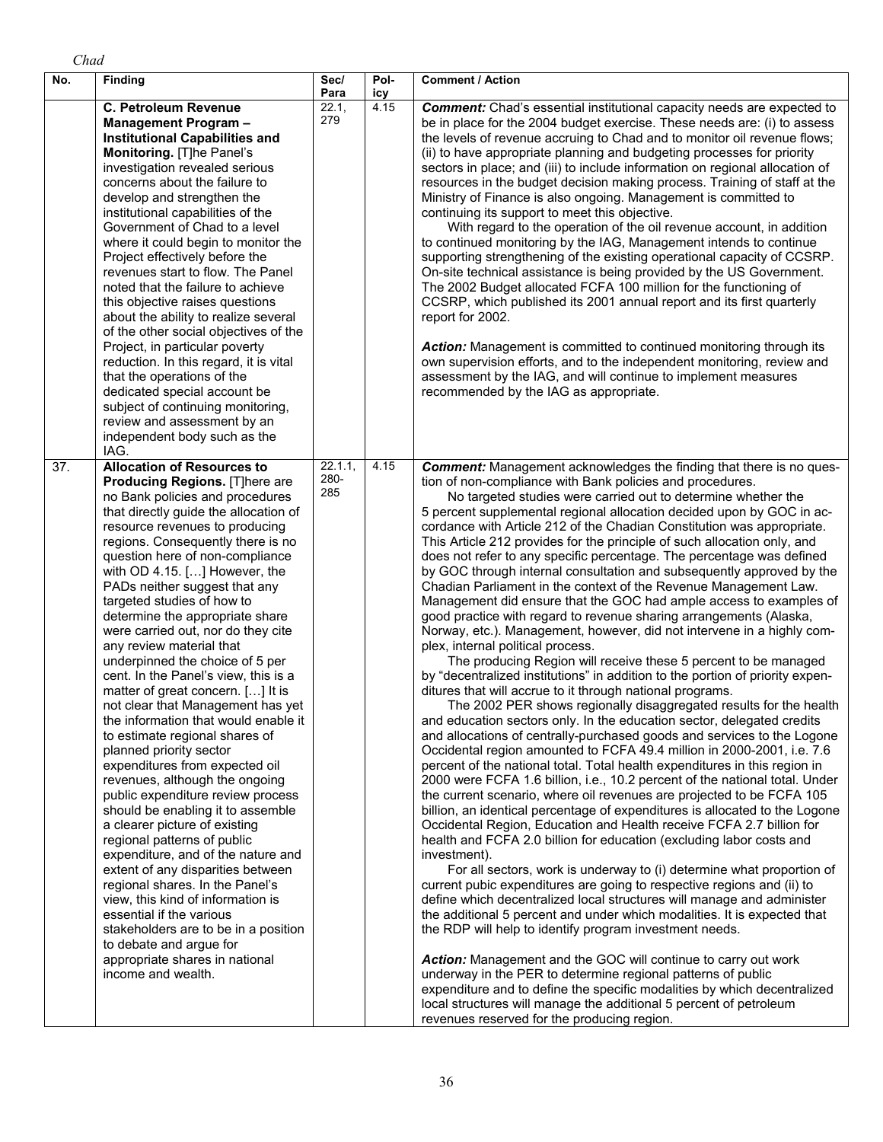| ,,, |
|-----|
|     |

| No. | Finding                                                                                                                                                                                                                                                                                                                                                                                                                                                                                                                                                                                                                                                                                                                                                                                                                                                                                                                                                                                                                                                                                                                                                                                                                                          | Sec/<br>Para           | Pol-<br>icy | <b>Comment / Action</b>                                                                                                                                                                                                                                                                                                                                                                                                                                                                                                                                                                                                                                                                                                                                                                                                                                                                                                                                                                                                                                                                                                                                                                                                                                                                                                                                                                                                                                                                                                                                                                                                                                                                                                                                                                                                                                                                                                                                                                                                                                                                                                                                                                                                                                                                                                                                                                                                                                                                                                                                                                                                                           |
|-----|--------------------------------------------------------------------------------------------------------------------------------------------------------------------------------------------------------------------------------------------------------------------------------------------------------------------------------------------------------------------------------------------------------------------------------------------------------------------------------------------------------------------------------------------------------------------------------------------------------------------------------------------------------------------------------------------------------------------------------------------------------------------------------------------------------------------------------------------------------------------------------------------------------------------------------------------------------------------------------------------------------------------------------------------------------------------------------------------------------------------------------------------------------------------------------------------------------------------------------------------------|------------------------|-------------|---------------------------------------------------------------------------------------------------------------------------------------------------------------------------------------------------------------------------------------------------------------------------------------------------------------------------------------------------------------------------------------------------------------------------------------------------------------------------------------------------------------------------------------------------------------------------------------------------------------------------------------------------------------------------------------------------------------------------------------------------------------------------------------------------------------------------------------------------------------------------------------------------------------------------------------------------------------------------------------------------------------------------------------------------------------------------------------------------------------------------------------------------------------------------------------------------------------------------------------------------------------------------------------------------------------------------------------------------------------------------------------------------------------------------------------------------------------------------------------------------------------------------------------------------------------------------------------------------------------------------------------------------------------------------------------------------------------------------------------------------------------------------------------------------------------------------------------------------------------------------------------------------------------------------------------------------------------------------------------------------------------------------------------------------------------------------------------------------------------------------------------------------------------------------------------------------------------------------------------------------------------------------------------------------------------------------------------------------------------------------------------------------------------------------------------------------------------------------------------------------------------------------------------------------------------------------------------------------------------------------------------------------|
|     | <b>C. Petroleum Revenue</b><br><b>Management Program -</b><br><b>Institutional Capabilities and</b><br>Monitoring. [T]he Panel's<br>investigation revealed serious<br>concerns about the failure to<br>develop and strengthen the<br>institutional capabilities of the<br>Government of Chad to a level<br>where it could begin to monitor the<br>Project effectively before the<br>revenues start to flow. The Panel<br>noted that the failure to achieve<br>this objective raises questions<br>about the ability to realize several<br>of the other social objectives of the<br>Project, in particular poverty<br>reduction. In this regard, it is vital<br>that the operations of the<br>dedicated special account be<br>subject of continuing monitoring,<br>review and assessment by an<br>independent body such as the<br>IAG.                                                                                                                                                                                                                                                                                                                                                                                                             | 22.1,<br>279           | 4.15        | <b>Comment:</b> Chad's essential institutional capacity needs are expected to<br>be in place for the 2004 budget exercise. These needs are: (i) to assess<br>the levels of revenue accruing to Chad and to monitor oil revenue flows;<br>(ii) to have appropriate planning and budgeting processes for priority<br>sectors in place; and (iii) to include information on regional allocation of<br>resources in the budget decision making process. Training of staff at the<br>Ministry of Finance is also ongoing. Management is committed to<br>continuing its support to meet this objective.<br>With regard to the operation of the oil revenue account, in addition<br>to continued monitoring by the IAG, Management intends to continue<br>supporting strengthening of the existing operational capacity of CCSRP.<br>On-site technical assistance is being provided by the US Government.<br>The 2002 Budget allocated FCFA 100 million for the functioning of<br>CCSRP, which published its 2001 annual report and its first quarterly<br>report for 2002.<br>Action: Management is committed to continued monitoring through its<br>own supervision efforts, and to the independent monitoring, review and<br>assessment by the IAG, and will continue to implement measures<br>recommended by the IAG as appropriate.                                                                                                                                                                                                                                                                                                                                                                                                                                                                                                                                                                                                                                                                                                                                                                                                                                                                                                                                                                                                                                                                                                                                                                                                                                                                                                                 |
| 37. | <b>Allocation of Resources to</b><br>Producing Regions. [T]here are<br>no Bank policies and procedures<br>that directly guide the allocation of<br>resource revenues to producing<br>regions. Consequently there is no<br>question here of non-compliance<br>with OD 4.15. [] However, the<br>PADs neither suggest that any<br>targeted studies of how to<br>determine the appropriate share<br>were carried out, nor do they cite<br>any review material that<br>underpinned the choice of 5 per<br>cent. In the Panel's view, this is a<br>matter of great concern. [] It is<br>not clear that Management has yet<br>the information that would enable it<br>to estimate regional shares of<br>planned priority sector<br>expenditures from expected oil<br>revenues, although the ongoing<br>public expenditure review process<br>should be enabling it to assemble<br>a clearer picture of existing<br>regional patterns of public<br>expenditure, and of the nature and<br>extent of any disparities between<br>regional shares. In the Panel's<br>view, this kind of information is<br>essential if the various<br>stakeholders are to be in a position<br>to debate and argue for<br>appropriate shares in national<br>income and wealth. | 22.1.1,<br>280-<br>285 | 4.15        | <b>Comment:</b> Management acknowledges the finding that there is no ques-<br>tion of non-compliance with Bank policies and procedures.<br>No targeted studies were carried out to determine whether the<br>5 percent supplemental regional allocation decided upon by GOC in ac-<br>cordance with Article 212 of the Chadian Constitution was appropriate.<br>This Article 212 provides for the principle of such allocation only, and<br>does not refer to any specific percentage. The percentage was defined<br>by GOC through internal consultation and subsequently approved by the<br>Chadian Parliament in the context of the Revenue Management Law.<br>Management did ensure that the GOC had ample access to examples of<br>good practice with regard to revenue sharing arrangements (Alaska,<br>Norway, etc.). Management, however, did not intervene in a highly com-<br>plex, internal political process.<br>The producing Region will receive these 5 percent to be managed<br>by "decentralized institutions" in addition to the portion of priority expen-<br>ditures that will accrue to it through national programs.<br>The 2002 PER shows regionally disaggregated results for the health<br>and education sectors only. In the education sector, delegated credits<br>and allocations of centrally-purchased goods and services to the Logone<br>Occidental region amounted to FCFA 49.4 million in 2000-2001, i.e. 7.6<br>percent of the national total. Total health expenditures in this region in<br>2000 were FCFA 1.6 billion, i.e., 10.2 percent of the national total. Under<br>the current scenario, where oil revenues are projected to be FCFA 105<br>billion, an identical percentage of expenditures is allocated to the Logone<br>Occidental Region, Education and Health receive FCFA 2.7 billion for<br>health and FCFA 2.0 billion for education (excluding labor costs and<br>investment).<br>For all sectors, work is underway to (i) determine what proportion of<br>current pubic expenditures are going to respective regions and (ii) to<br>define which decentralized local structures will manage and administer<br>the additional 5 percent and under which modalities. It is expected that<br>the RDP will help to identify program investment needs.<br><b>Action:</b> Management and the GOC will continue to carry out work<br>underway in the PER to determine regional patterns of public<br>expenditure and to define the specific modalities by which decentralized<br>local structures will manage the additional 5 percent of petroleum<br>revenues reserved for the producing region. |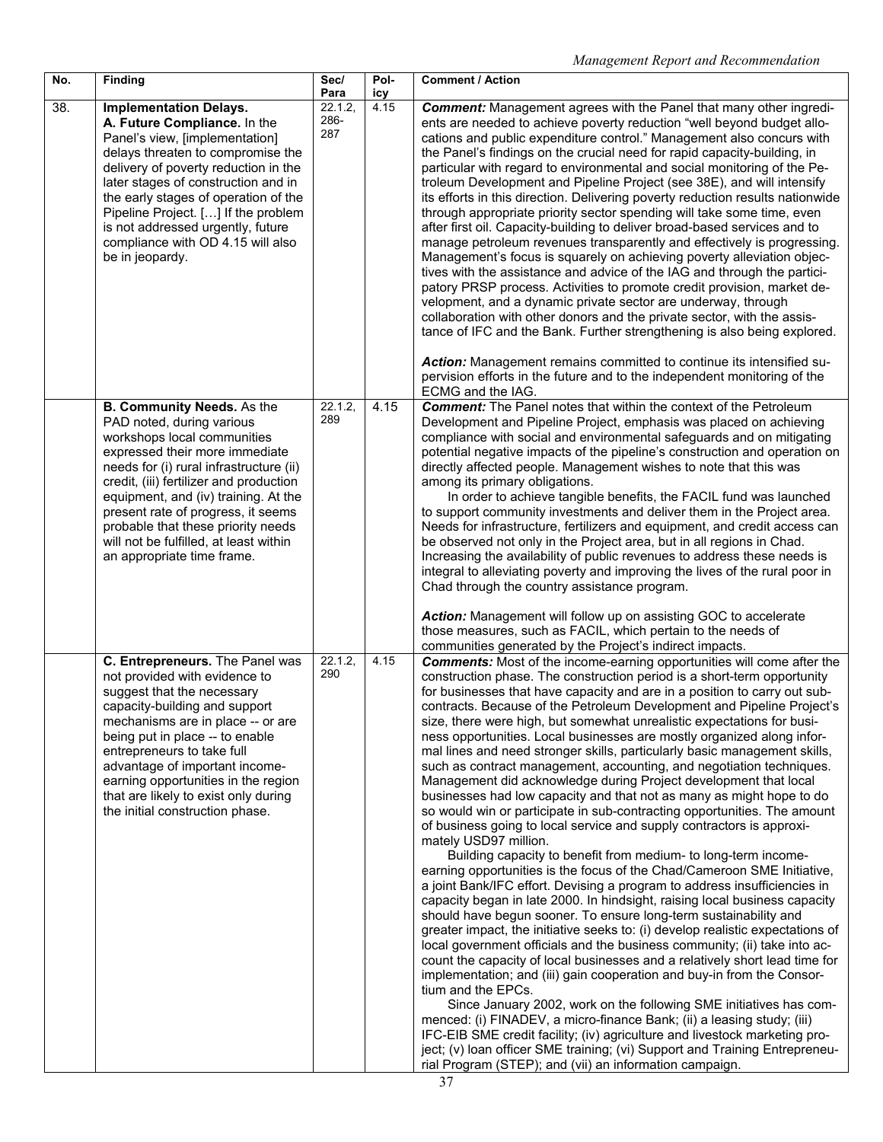| No. | Finding                                                                                                                                                                                                                                                                                                                                                                                                    | Sec/<br>Para           | Pol-<br>icy | <b>Comment / Action</b>                                                                                                                                                                                                                                                                                                                                                                                                                                                                                                                                                                                                                                                                                                                                                                                                                                                                                                                                                                                                                                                                                                                                                                                                                                                                                                                                                                                                                                                                                                                                                                                                                                                                                                                                                                                                                                                                                                                                                                                                                                                                                                                                                                                                                              |
|-----|------------------------------------------------------------------------------------------------------------------------------------------------------------------------------------------------------------------------------------------------------------------------------------------------------------------------------------------------------------------------------------------------------------|------------------------|-------------|------------------------------------------------------------------------------------------------------------------------------------------------------------------------------------------------------------------------------------------------------------------------------------------------------------------------------------------------------------------------------------------------------------------------------------------------------------------------------------------------------------------------------------------------------------------------------------------------------------------------------------------------------------------------------------------------------------------------------------------------------------------------------------------------------------------------------------------------------------------------------------------------------------------------------------------------------------------------------------------------------------------------------------------------------------------------------------------------------------------------------------------------------------------------------------------------------------------------------------------------------------------------------------------------------------------------------------------------------------------------------------------------------------------------------------------------------------------------------------------------------------------------------------------------------------------------------------------------------------------------------------------------------------------------------------------------------------------------------------------------------------------------------------------------------------------------------------------------------------------------------------------------------------------------------------------------------------------------------------------------------------------------------------------------------------------------------------------------------------------------------------------------------------------------------------------------------------------------------------------------------|
| 38. | <b>Implementation Delays.</b><br>A. Future Compliance. In the<br>Panel's view, [implementation]<br>delays threaten to compromise the<br>delivery of poverty reduction in the<br>later stages of construction and in<br>the early stages of operation of the<br>Pipeline Project. [] If the problem<br>is not addressed urgently, future<br>compliance with OD 4.15 will also<br>be in jeopardy.            | 22.1.2,<br>286-<br>287 | 4.15        | <b>Comment:</b> Management agrees with the Panel that many other ingredi-<br>ents are needed to achieve poverty reduction "well beyond budget allo-<br>cations and public expenditure control." Management also concurs with<br>the Panel's findings on the crucial need for rapid capacity-building, in<br>particular with regard to environmental and social monitoring of the Pe-<br>troleum Development and Pipeline Project (see 38E), and will intensify<br>its efforts in this direction. Delivering poverty reduction results nationwide<br>through appropriate priority sector spending will take some time, even<br>after first oil. Capacity-building to deliver broad-based services and to<br>manage petroleum revenues transparently and effectively is progressing.<br>Management's focus is squarely on achieving poverty alleviation objec-<br>tives with the assistance and advice of the IAG and through the partici-<br>patory PRSP process. Activities to promote credit provision, market de-<br>velopment, and a dynamic private sector are underway, through<br>collaboration with other donors and the private sector, with the assis-<br>tance of IFC and the Bank. Further strengthening is also being explored.<br>Action: Management remains committed to continue its intensified su-                                                                                                                                                                                                                                                                                                                                                                                                                                                                                                                                                                                                                                                                                                                                                                                                                                                                                                                                  |
|     | B. Community Needs. As the<br>PAD noted, during various<br>workshops local communities<br>expressed their more immediate<br>needs for (i) rural infrastructure (ii)<br>credit, (iii) fertilizer and production<br>equipment, and (iv) training. At the<br>present rate of progress, it seems<br>probable that these priority needs<br>will not be fulfilled, at least within<br>an appropriate time frame. | 22.1.2,<br>289         | 4.15        | pervision efforts in the future and to the independent monitoring of the<br>ECMG and the IAG.<br><b>Comment:</b> The Panel notes that within the context of the Petroleum<br>Development and Pipeline Project, emphasis was placed on achieving<br>compliance with social and environmental safeguards and on mitigating<br>potential negative impacts of the pipeline's construction and operation on<br>directly affected people. Management wishes to note that this was<br>among its primary obligations.<br>In order to achieve tangible benefits, the FACIL fund was launched<br>to support community investments and deliver them in the Project area.<br>Needs for infrastructure, fertilizers and equipment, and credit access can<br>be observed not only in the Project area, but in all regions in Chad.<br>Increasing the availability of public revenues to address these needs is<br>integral to alleviating poverty and improving the lives of the rural poor in<br>Chad through the country assistance program.                                                                                                                                                                                                                                                                                                                                                                                                                                                                                                                                                                                                                                                                                                                                                                                                                                                                                                                                                                                                                                                                                                                                                                                                                     |
|     | C. Entrepreneurs. The Panel was<br>not provided with evidence to<br>suggest that the necessary<br>capacity-building and support<br>mechanisms are in place -- or are<br>being put in place -- to enable<br>entrepreneurs to take full<br>advantage of important income-<br>earning opportunities in the region<br>that are likely to exist only during<br>the initial construction phase.                  | 22.1.2,<br>290         | 4.15        | Action: Management will follow up on assisting GOC to accelerate<br>those measures, such as FACIL, which pertain to the needs of<br>communities generated by the Project's indirect impacts.<br><b>Comments:</b> Most of the income-earning opportunities will come after the<br>construction phase. The construction period is a short-term opportunity<br>for businesses that have capacity and are in a position to carry out sub-<br>contracts. Because of the Petroleum Development and Pipeline Project's<br>size, there were high, but somewhat unrealistic expectations for busi-<br>ness opportunities. Local businesses are mostly organized along infor-<br>mal lines and need stronger skills, particularly basic management skills,<br>such as contract management, accounting, and negotiation techniques.<br>Management did acknowledge during Project development that local<br>businesses had low capacity and that not as many as might hope to do<br>so would win or participate in sub-contracting opportunities. The amount<br>of business going to local service and supply contractors is approxi-<br>mately USD97 million.<br>Building capacity to benefit from medium- to long-term income-<br>earning opportunities is the focus of the Chad/Cameroon SME Initiative,<br>a joint Bank/IFC effort. Devising a program to address insufficiencies in<br>capacity began in late 2000. In hindsight, raising local business capacity<br>should have begun sooner. To ensure long-term sustainability and<br>greater impact, the initiative seeks to: (i) develop realistic expectations of<br>local government officials and the business community; (ii) take into ac-<br>count the capacity of local businesses and a relatively short lead time for<br>implementation; and (iii) gain cooperation and buy-in from the Consor-<br>tium and the EPCs.<br>Since January 2002, work on the following SME initiatives has com-<br>menced: (i) FINADEV, a micro-finance Bank; (ii) a leasing study; (iii)<br>IFC-EIB SME credit facility; (iv) agriculture and livestock marketing pro-<br>ject; (v) loan officer SME training; (vi) Support and Training Entrepreneu-<br>rial Program (STEP); and (vii) an information campaign. |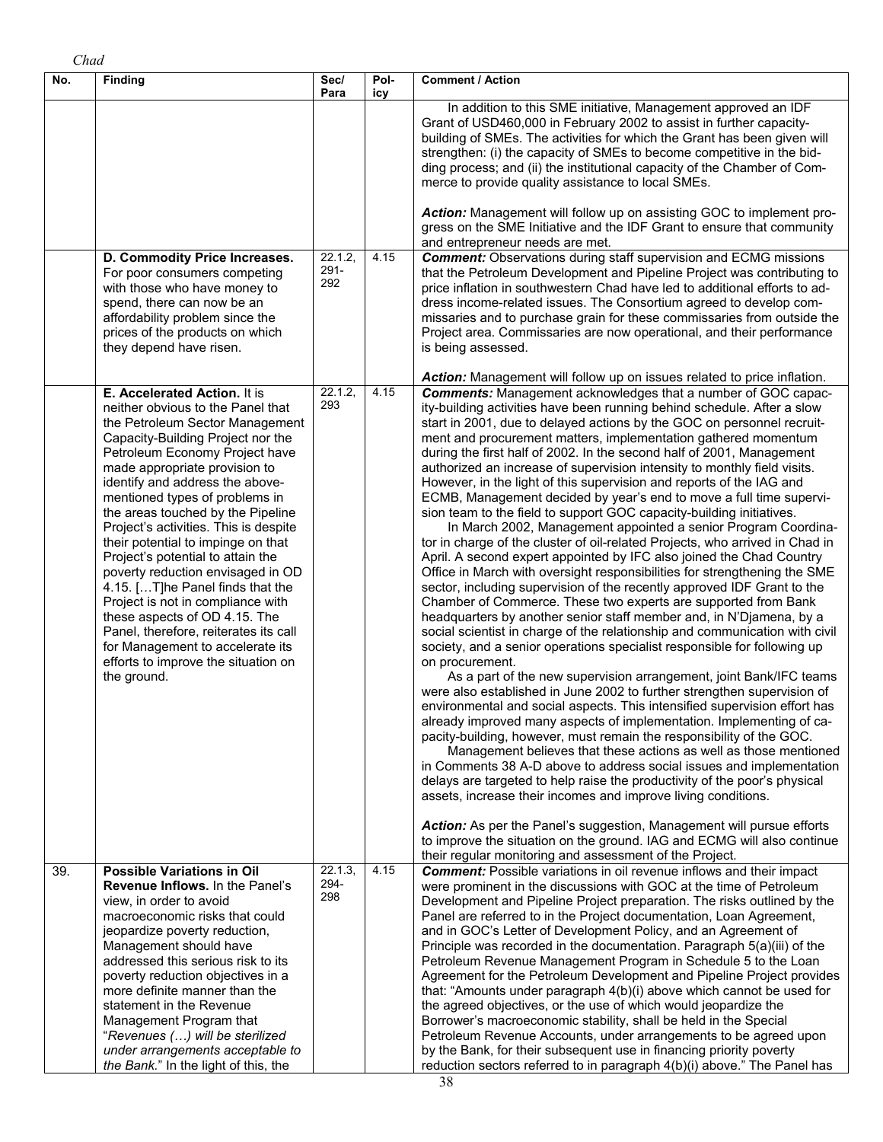| No. | <b>Finding</b>                                                                                                                                                                                                                                                                                                                                                                                                                                                                                                                                                                                                                                                                                                               | Sec/<br>Para              | Pol-<br>icy | <b>Comment / Action</b>                                                                                                                                                                                                                                                                                                                                                                                                                                                                                                                                                                                                                                                                                                                                                                                                                                                                                                                                                                                                                                                                                                                                                                                                                                                                                                                                                                                                                                                                                                                                                                                                                                                                                                                                                                                                                                                                                                                                                                                                                                                                                                                                                                                                                                                                                                                             |
|-----|------------------------------------------------------------------------------------------------------------------------------------------------------------------------------------------------------------------------------------------------------------------------------------------------------------------------------------------------------------------------------------------------------------------------------------------------------------------------------------------------------------------------------------------------------------------------------------------------------------------------------------------------------------------------------------------------------------------------------|---------------------------|-------------|-----------------------------------------------------------------------------------------------------------------------------------------------------------------------------------------------------------------------------------------------------------------------------------------------------------------------------------------------------------------------------------------------------------------------------------------------------------------------------------------------------------------------------------------------------------------------------------------------------------------------------------------------------------------------------------------------------------------------------------------------------------------------------------------------------------------------------------------------------------------------------------------------------------------------------------------------------------------------------------------------------------------------------------------------------------------------------------------------------------------------------------------------------------------------------------------------------------------------------------------------------------------------------------------------------------------------------------------------------------------------------------------------------------------------------------------------------------------------------------------------------------------------------------------------------------------------------------------------------------------------------------------------------------------------------------------------------------------------------------------------------------------------------------------------------------------------------------------------------------------------------------------------------------------------------------------------------------------------------------------------------------------------------------------------------------------------------------------------------------------------------------------------------------------------------------------------------------------------------------------------------------------------------------------------------------------------------------------------------|
|     |                                                                                                                                                                                                                                                                                                                                                                                                                                                                                                                                                                                                                                                                                                                              |                           |             | In addition to this SME initiative, Management approved an IDF<br>Grant of USD460,000 in February 2002 to assist in further capacity-<br>building of SMEs. The activities for which the Grant has been given will<br>strengthen: (i) the capacity of SMEs to become competitive in the bid-<br>ding process; and (ii) the institutional capacity of the Chamber of Com-<br>merce to provide quality assistance to local SMEs.<br>Action: Management will follow up on assisting GOC to implement pro-                                                                                                                                                                                                                                                                                                                                                                                                                                                                                                                                                                                                                                                                                                                                                                                                                                                                                                                                                                                                                                                                                                                                                                                                                                                                                                                                                                                                                                                                                                                                                                                                                                                                                                                                                                                                                                               |
|     |                                                                                                                                                                                                                                                                                                                                                                                                                                                                                                                                                                                                                                                                                                                              |                           |             | gress on the SME Initiative and the IDF Grant to ensure that community<br>and entrepreneur needs are met.                                                                                                                                                                                                                                                                                                                                                                                                                                                                                                                                                                                                                                                                                                                                                                                                                                                                                                                                                                                                                                                                                                                                                                                                                                                                                                                                                                                                                                                                                                                                                                                                                                                                                                                                                                                                                                                                                                                                                                                                                                                                                                                                                                                                                                           |
|     | D. Commodity Price Increases.<br>For poor consumers competing<br>with those who have money to<br>spend, there can now be an<br>affordability problem since the<br>prices of the products on which<br>they depend have risen.                                                                                                                                                                                                                                                                                                                                                                                                                                                                                                 | 22.1.2,<br>$291 -$<br>292 | 4.15        | <b>Comment:</b> Observations during staff supervision and ECMG missions<br>that the Petroleum Development and Pipeline Project was contributing to<br>price inflation in southwestern Chad have led to additional efforts to ad-<br>dress income-related issues. The Consortium agreed to develop com-<br>missaries and to purchase grain for these commissaries from outside the<br>Project area. Commissaries are now operational, and their performance<br>is being assessed.                                                                                                                                                                                                                                                                                                                                                                                                                                                                                                                                                                                                                                                                                                                                                                                                                                                                                                                                                                                                                                                                                                                                                                                                                                                                                                                                                                                                                                                                                                                                                                                                                                                                                                                                                                                                                                                                    |
|     | E. Accelerated Action. It is<br>neither obvious to the Panel that<br>the Petroleum Sector Management<br>Capacity-Building Project nor the<br>Petroleum Economy Project have<br>made appropriate provision to<br>identify and address the above-<br>mentioned types of problems in<br>the areas touched by the Pipeline<br>Project's activities. This is despite<br>their potential to impinge on that<br>Project's potential to attain the<br>poverty reduction envisaged in OD<br>4.15. [T]he Panel finds that the<br>Project is not in compliance with<br>these aspects of OD 4.15. The<br>Panel, therefore, reiterates its call<br>for Management to accelerate its<br>efforts to improve the situation on<br>the ground. | 22.1.2<br>293             | 4.15        | Action: Management will follow up on issues related to price inflation.<br><b>Comments:</b> Management acknowledges that a number of GOC capac-<br>ity-building activities have been running behind schedule. After a slow<br>start in 2001, due to delayed actions by the GOC on personnel recruit-<br>ment and procurement matters, implementation gathered momentum<br>during the first half of 2002. In the second half of 2001, Management<br>authorized an increase of supervision intensity to monthly field visits.<br>However, in the light of this supervision and reports of the IAG and<br>ECMB, Management decided by year's end to move a full time supervi-<br>sion team to the field to support GOC capacity-building initiatives.<br>In March 2002, Management appointed a senior Program Coordina-<br>tor in charge of the cluster of oil-related Projects, who arrived in Chad in<br>April. A second expert appointed by IFC also joined the Chad Country<br>Office in March with oversight responsibilities for strengthening the SME<br>sector, including supervision of the recently approved IDF Grant to the<br>Chamber of Commerce. These two experts are supported from Bank<br>headquarters by another senior staff member and, in N'Djamena, by a<br>social scientist in charge of the relationship and communication with civil<br>society, and a senior operations specialist responsible for following up<br>on procurement.<br>As a part of the new supervision arrangement, joint Bank/IFC teams<br>were also established in June 2002 to further strengthen supervision of<br>environmental and social aspects. This intensified supervision effort has<br>already improved many aspects of implementation. Implementing of ca-<br>pacity-building, however, must remain the responsibility of the GOC.<br>Management believes that these actions as well as those mentioned<br>in Comments 38 A-D above to address social issues and implementation<br>delays are targeted to help raise the productivity of the poor's physical<br>assets, increase their incomes and improve living conditions.<br>Action: As per the Panel's suggestion, Management will pursue efforts<br>to improve the situation on the ground. IAG and ECMG will also continue<br>their regular monitoring and assessment of the Project. |
| 39. | <b>Possible Variations in Oil</b><br><b>Revenue Inflows.</b> In the Panel's<br>view, in order to avoid<br>macroeconomic risks that could<br>jeopardize poverty reduction,<br>Management should have<br>addressed this serious risk to its<br>poverty reduction objectives in a<br>more definite manner than the<br>statement in the Revenue<br>Management Program that<br>"Revenues () will be sterilized<br>under arrangements acceptable to<br>the Bank." In the light of this, the                                                                                                                                                                                                                                        | 22.1.3.<br>294-<br>298    | 4.15        | <b>Comment:</b> Possible variations in oil revenue inflows and their impact<br>were prominent in the discussions with GOC at the time of Petroleum<br>Development and Pipeline Project preparation. The risks outlined by the<br>Panel are referred to in the Project documentation, Loan Agreement,<br>and in GOC's Letter of Development Policy, and an Agreement of<br>Principle was recorded in the documentation. Paragraph 5(a)(iii) of the<br>Petroleum Revenue Management Program in Schedule 5 to the Loan<br>Agreement for the Petroleum Development and Pipeline Project provides<br>that: "Amounts under paragraph 4(b)(i) above which cannot be used for<br>the agreed objectives, or the use of which would jeopardize the<br>Borrower's macroeconomic stability, shall be held in the Special<br>Petroleum Revenue Accounts, under arrangements to be agreed upon<br>by the Bank, for their subsequent use in financing priority poverty<br>reduction sectors referred to in paragraph 4(b)(i) above." The Panel has                                                                                                                                                                                                                                                                                                                                                                                                                                                                                                                                                                                                                                                                                                                                                                                                                                                                                                                                                                                                                                                                                                                                                                                                                                                                                                                 |